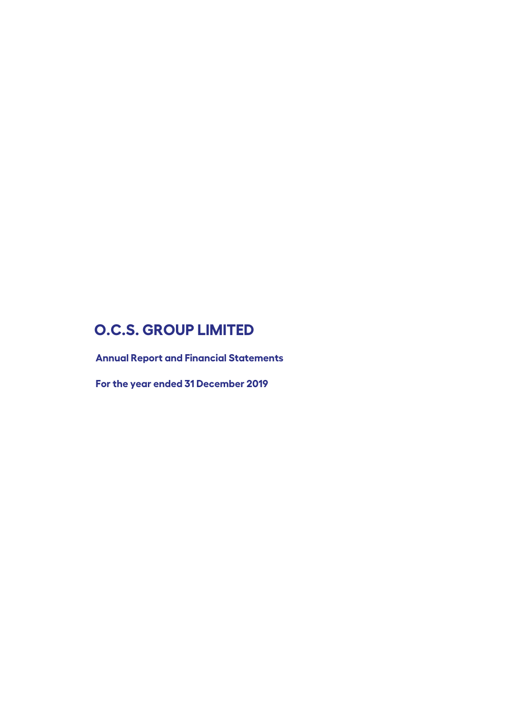**Annual Report and Financial Statements** 

**For the year ended 31 December 2019**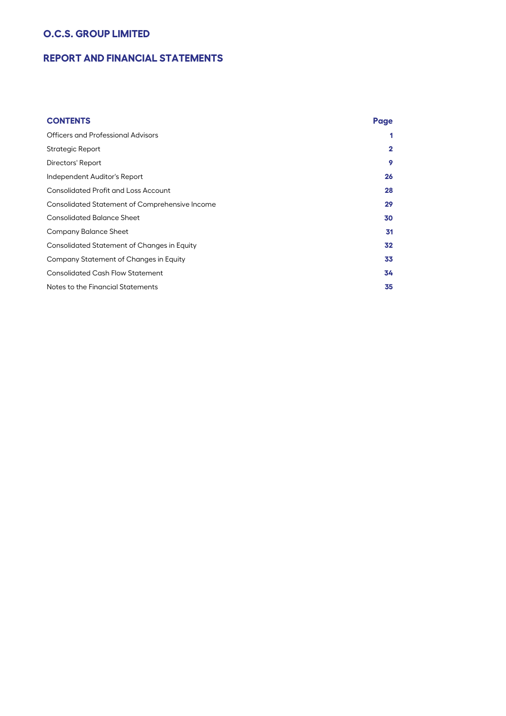# **REPORT AND FINANCIAL STATEMENTS**

| <b>CONTENTS</b>                                | Page         |
|------------------------------------------------|--------------|
| Officers and Professional Advisors             | 1            |
| Strategic Report                               | $\mathbf{2}$ |
| Directors' Report                              | 9            |
| Independent Auditor's Report                   | 26           |
| <b>Consolidated Profit and Loss Account</b>    | 28           |
| Consolidated Statement of Comprehensive Income | 29           |
| <b>Consolidated Balance Sheet</b>              | 30           |
| Company Balance Sheet                          | 31           |
| Consolidated Statement of Changes in Equity    | 32           |
| Company Statement of Changes in Equity         | 33           |
| <b>Consolidated Cash Flow Statement</b>        | 34           |
| Notes to the Financial Statements              | 35           |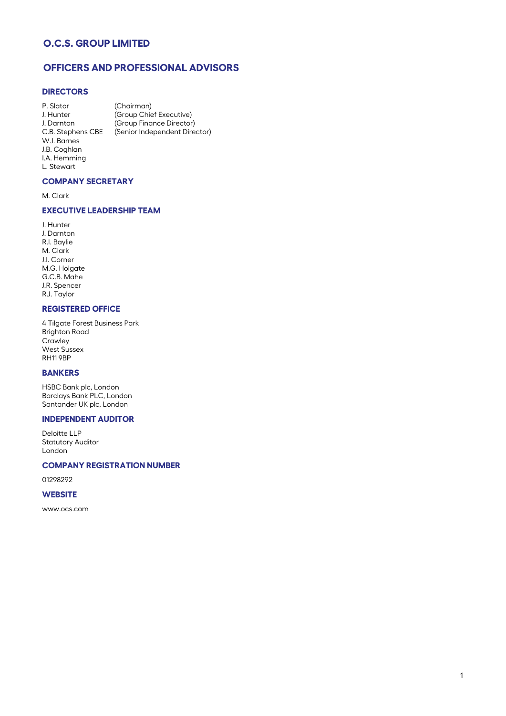# **OFFICERS AND PROFESSIONAL ADVISORS**

## **DIRECTORS**

P. Slator (Chairman) J. Hunter (Group Chief Executive) J. Darnton (Group Finance Director)<br>C.B. Stephens CBE (Senior Independent Dire (Senior Independent Director) W.J. Barnes J.B. Coghlan I.A. Hemming L. Stewart

### **COMPANY SECRETARY**

M. Clark

## **EXECUTIVE LEADERSHIP TEAM**

J. Hunter J. Darnton R.I. Baylie M. Clark J.I. Corner M.G. Holgate G.C.B. Mahe J.R. Spencer R.J. Taylor

### **REGISTERED OFFICE**

4 Tilgate Forest Business Park Brighton Road **Crawley** West Sussex RH11 9BP

### **BANKERS**

HSBC Bank plc, London Barclays Bank PLC, London Santander UK plc, London

### **INDEPENDENT AUDITOR**

Deloitte LLP Statutory Auditor London

#### **COMPANY REGISTRATION NUMBER**

01298292

### **WEBSITE**

www.ocs.com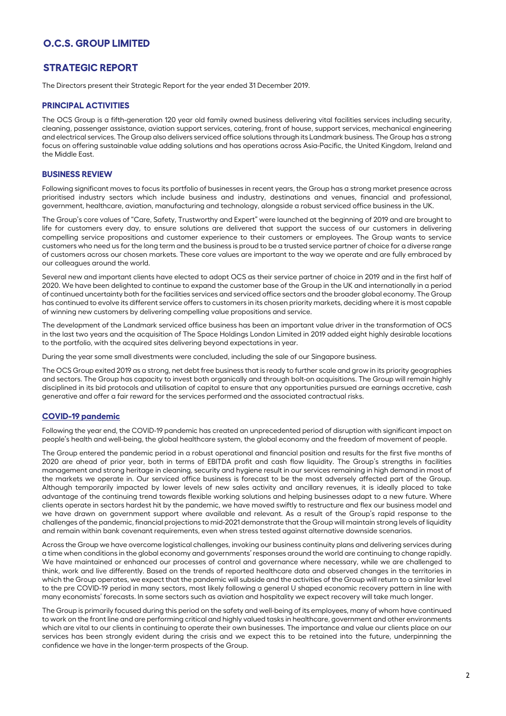## **STRATEGIC REPORT**

The Directors present their Strategic Report for the year ended 31 December 2019.

#### **PRINCIPAL ACTIVITIES**

The OCS Group is a fifth-generation 120 year old family owned business delivering vital facilities services including security, cleaning, passenger assistance, aviation support services, catering, front of house, support services, mechanical engineering and electrical services. The Group also delivers serviced office solutions through its Landmark business. The Group has a strong focus on offering sustainable value adding solutions and has operations across Asia-Pacific, the United Kingdom, Ireland and the Middle East.

### **BUSINESS REVIEW**

Following significant moves to focus its portfolio of businesses in recent years, the Group has a strong market presence across prioritised industry sectors which include business and industry, destinations and venues, financial and professional, government, healthcare, aviation, manufacturing and technology, alongside a robust serviced office business in the UK.

The Group's core values of "Care, Safety, Trustworthy and Expert" were launched at the beginning of 2019 and are brought to life for customers every day, to ensure solutions are delivered that support the success of our customers in delivering compelling service propositions and customer experience to their customers or employees. The Group wants to service customers who need us for the long term and the business is proud to be a trusted service partner of choice for a diverse range of customers across our chosen markets. These core values are important to the way we operate and are fully embraced by our colleagues around the world.

Several new and important clients have elected to adopt OCS as their service partner of choice in 2019 and in the first half of 2020. We have been delighted to continue to expand the customer base of the Group in the UK and internationally in a period of continued uncertainty both for the facilities services and serviced office sectors and the broader global economy. The Group has continued to evolve its different service offers to customers in its chosen priority markets, deciding where it is most capable of winning new customers by delivering compelling value propositions and service.

The development of the Landmark serviced office business has been an important value driver in the transformation of OCS in the last two years and the acquisition of The Space Holdings London Limited in 2019 added eight highly desirable locations to the portfolio, with the acquired sites delivering beyond expectations in year.

During the year some small divestments were concluded, including the sale of our Singapore business.

The OCS Group exited 2019 as a strong, net debt free business that is ready to further scale and grow in its priority geographies and sectors. The Group has capacity to invest both organically and through bolt-on acquisitions. The Group will remain highly disciplined in its bid protocols and utilisation of capital to ensure that any opportunities pursued are earnings accretive, cash generative and offer a fair reward for the services performed and the associated contractual risks.

#### **COVID-19 pandemic**

Following the year end, the COVID-19 pandemic has created an unprecedented period of disruption with significant impact on people's health and well-being, the global healthcare system, the global economy and the freedom of movement of people.

The Group entered the pandemic period in a robust operational and financial position and results for the first five months of 2020 are ahead of prior year, both in terms of EBITDA profit and cash flow liquidity. The Group's strengths in facilities management and strong heritage in cleaning, security and hygiene result in our services remaining in high demand in most of the markets we operate in. Our serviced office business is forecast to be the most adversely affected part of the Group. Although temporarily impacted by lower levels of new sales activity and ancillary revenues, it is ideally placed to take advantage of the continuing trend towards flexible working solutions and helping businesses adapt to a new future. Where clients operate in sectors hardest hit by the pandemic, we have moved swiftly to restructure and flex our business model and we have drawn on government support where available and relevant. As a result of the Group's rapid response to the challenges of the pandemic, financial projections to mid-2021 demonstrate that the Group will maintain strong levels of liquidity and remain within bank covenant requirements, even when stress tested against alternative downside scenarios.

Across the Group we have overcome logistical challenges, invoking our business continuity plans and delivering services during a time when conditions in the global economy and governments' responses around the world are continuing to change rapidly. We have maintained or enhanced our processes of control and governance where necessary, while we are challenged to think, work and live differently. Based on the trends of reported healthcare data and observed changes in the territories in which the Group operates, we expect that the pandemic will subside and the activities of the Group will return to a similar level to the pre COVID-19 period in many sectors, most likely following a general U shaped economic recovery pattern in line with many economists' forecasts. In some sectors such as aviation and hospitality we expect recovery will take much longer.

The Group is primarily focused during this period on the safety and well-being of its employees, many of whom have continued to work on the front line and are performing critical and highly valued tasks in healthcare, government and other environments which are vital to our clients in continuing to operate their own businesses. The importance and value our clients place on our services has been strongly evident during the crisis and we expect this to be retained into the future, underpinning the confidence we have in the longer-term prospects of the Group.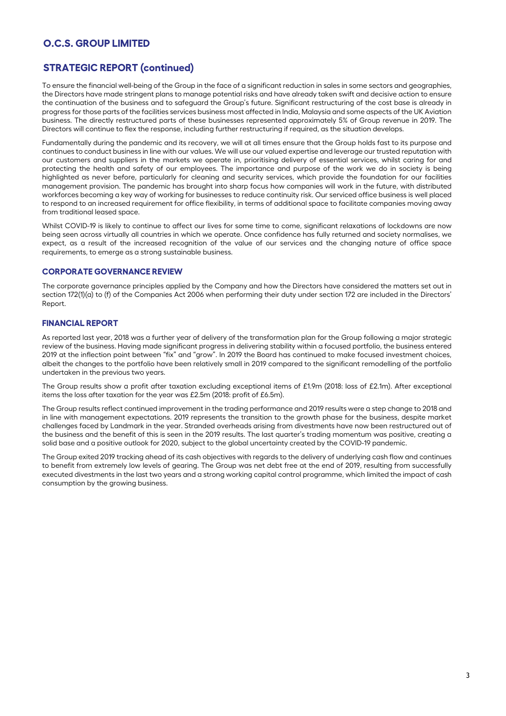# **STRATEGIC REPORT (continued)**

To ensure the financial well-being of the Group in the face of a significant reduction in sales in some sectors and geographies, the Directors have made stringent plans to manage potential risks and have already taken swift and decisive action to ensure the continuation of the business and to safeguard the Group's future. Significant restructuring of the cost base is already in progress for those parts of the facilities services business most affected in India, Malaysia and some aspects of the UK Aviation business. The directly restructured parts of these businesses represented approximately 5% of Group revenue in 2019. The Directors will continue to flex the response, including further restructuring if required, as the situation develops.

Fundamentally during the pandemic and its recovery, we will at all times ensure that the Group holds fast to its purpose and continues to conduct business in line with our values. We will use our valued expertise and leverage our trusted reputation with our customers and suppliers in the markets we operate in, prioritising delivery of essential services, whilst caring for and protecting the health and safety of our employees. The importance and purpose of the work we do in society is being highlighted as never before, particularly for cleaning and security services, which provide the foundation for our facilities management provision. The pandemic has brought into sharp focus how companies will work in the future, with distributed workforces becoming a key way of working for businesses to reduce continuity risk. Our serviced office business is well placed to respond to an increased requirement for office flexibility, in terms of additional space to facilitate companies moving away from traditional leased space.

Whilst COVID-19 is likely to continue to affect our lives for some time to come, significant relaxations of lockdowns are now being seen across virtually all countries in which we operate. Once confidence has fully returned and society normalises, we expect, as a result of the increased recognition of the value of our services and the changing nature of office space requirements, to emerge as a strong sustainable business.

### **CORPORATE GOVERNANCE REVIEW**

The corporate governance principles applied by the Company and how the Directors have considered the matters set out in section 172(1)(a) to (f) of the Companies Act 2006 when performing their duty under section 172 are included in the Directors' Report.

### **FINANCIAL REPORT**

As reported last year, 2018 was a further year of delivery of the transformation plan for the Group following a major strategic review of the business. Having made significant progress in delivering stability within a focused portfolio, the business entered 2019 at the inflection point between "fix" and "grow". In 2019 the Board has continued to make focused investment choices, albeit the changes to the portfolio have been relatively small in 2019 compared to the significant remodelling of the portfolio undertaken in the previous two years.

The Group results show a profit after taxation excluding exceptional items of £1.9m (2018: loss of £2.1m). After exceptional items the loss after taxation for the year was £2.5m (2018: profit of £6.5m).

The Group results reflect continued improvement in the trading performance and 2019 results were a step change to 2018 and in line with management expectations. 2019 represents the transition to the growth phase for the business, despite market challenges faced by Landmark in the year. Stranded overheads arising from divestments have now been restructured out of the business and the benefit of this is seen in the 2019 results. The last quarter's trading momentum was positive, creating a solid base and a positive outlook for 2020, subject to the global uncertainty created by the COVID-19 pandemic.

The Group exited 2019 tracking ahead of its cash objectives with regards to the delivery of underlying cash flow and continues to benefit from extremely low levels of gearing. The Group was net debt free at the end of 2019, resulting from successfully executed divestments in the last two years and a strong working capital control programme, which limited the impact of cash consumption by the growing business.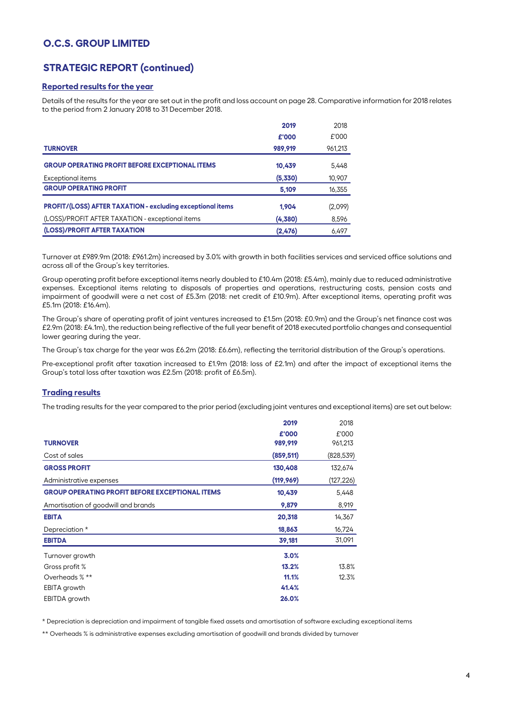# **STRATEGIC REPORT (continued)**

### **Reported results for the year**

Details of the results for the year are set out in the profit and loss account on page 28. Comparative information for 2018 relates to the period from 2 January 2018 to 31 December 2018.

|                                                                   | 2019    | 2018    |
|-------------------------------------------------------------------|---------|---------|
|                                                                   | £'000   | £'000   |
| <b>TURNOVER</b>                                                   | 989.919 | 961,213 |
| <b>GROUP OPERATING PROFIT BEFORE EXCEPTIONAL ITEMS</b>            | 10.439  | 5.448   |
| <b>Exceptional items</b>                                          | (5,330) | 10,907  |
| <b>GROUP OPERATING PROFIT</b>                                     | 5.109   | 16,355  |
| <b>PROFIT/(LOSS) AFTER TAXATION - excluding exceptional items</b> | 1.904   | (2,099) |
| (LOSS)/PROFIT AFTER TAXATION - exceptional items                  | (4,380) | 8,596   |
| (LOSS)/PROFIT AFTER TAXATION                                      | (2,476) | 6,497   |

Turnover at £989.9m (2018: £961.2m) increased by 3.0% with growth in both facilities services and serviced office solutions and across all of the Group's key territories.

Group operating profit before exceptional items nearly doubled to £10.4m (2018: £5.4m), mainly due to reduced administrative expenses. Exceptional items relating to disposals of properties and operations, restructuring costs, pension costs and impairment of goodwill were a net cost of £5.3m (2018: net credit of £10.9m). After exceptional items, operating profit was £5.1m (2018: £16.4m).

The Group's share of operating profit of joint ventures increased to £1.5m (2018: £0.9m) and the Group's net finance cost was £2.9m (2018: £4.1m), the reduction being reflective of the full year benefit of 2018 executed portfolio changes and consequential lower gearing during the year.

The Group's tax charge for the year was £6.2m (2018: £6.6m), reflecting the territorial distribution of the Group's operations.

Pre-exceptional profit after taxation increased to £1.9m (2018: loss of £2.1m) and after the impact of exceptional items the Group's total loss after taxation was £2.5m (2018: profit of £6.5m).

### **Trading results**

The trading results for the year compared to the prior period (excluding joint ventures and exceptional items) are set out below:

|                                                        | 2019       | 2018       |
|--------------------------------------------------------|------------|------------|
|                                                        | £'000      | £'000      |
| <b>TURNOVER</b>                                        | 989,919    | 961,213    |
| Cost of sales                                          | (859, 511) | (828, 539) |
| <b>GROSS PROFIT</b>                                    | 130,408    | 132,674    |
| Administrative expenses                                | (119, 969) | (127, 226) |
| <b>GROUP OPERATING PROFIT BEFORE EXCEPTIONAL ITEMS</b> | 10,439     | 5,448      |
| Amortisation of goodwill and brands                    | 9,879      | 8,919      |
| <b>EBITA</b>                                           | 20,318     | 14,367     |
| Depreciation *                                         | 18,863     | 16,724     |
| <b>EBITDA</b>                                          | 39,181     | 31,091     |
| Turnover growth                                        | 3.0%       |            |
| Gross profit %                                         | 13.2%      | 13.8%      |
| Overheads % **                                         | 11.1%      | 12.3%      |
| <b>EBITA</b> growth                                    | 41.4%      |            |
| EBITDA growth                                          | 26.0%      |            |

\* Depreciation is depreciation and impairment of tangible fixed assets and amortisation of software excluding exceptional items

\*\* Overheads % is administrative expenses excluding amortisation of goodwill and brands divided by turnover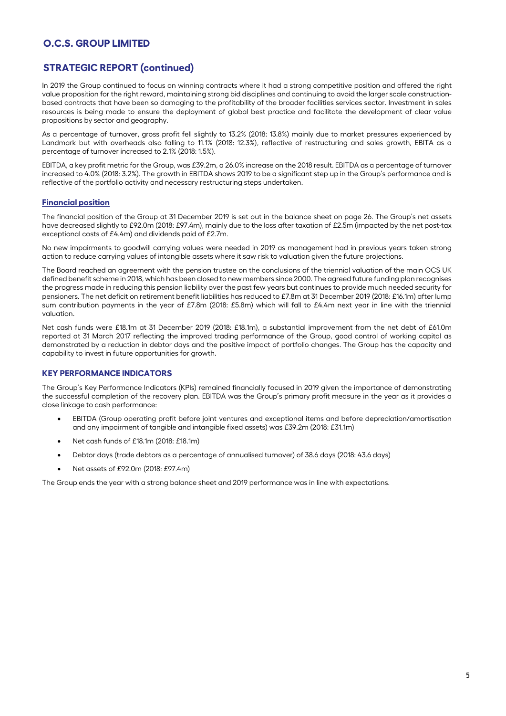# **STRATEGIC REPORT (continued)**

In 2019 the Group continued to focus on winning contracts where it had a strong competitive position and offered the right value proposition for the right reward, maintaining strong bid disciplines and continuing to avoid the larger scale constructionbased contracts that have been so damaging to the profitability of the broader facilities services sector. Investment in sales resources is being made to ensure the deployment of global best practice and facilitate the development of clear value propositions by sector and geography.

As a percentage of turnover, gross profit fell slightly to 13.2% (2018: 13.8%) mainly due to market pressures experienced by Landmark but with overheads also falling to 11.1% (2018: 12.3%), reflective of restructuring and sales growth, EBITA as a percentage of turnover increased to 2.1% (2018: 1.5%).

EBITDA, a key profit metric for the Group, was £39.2m, a 26.0% increase on the 2018 result. EBITDA as a percentage of turnover increased to 4.0% (2018: 3.2%). The growth in EBITDA shows 2019 to be a significant step up in the Group's performance and is reflective of the portfolio activity and necessary restructuring steps undertaken.

### **Financial position**

The financial position of the Group at 31 December 2019 is set out in the balance sheet on page 26. The Group's net assets have decreased slightly to £92.0m (2018: £97.4m), mainly due to the loss after taxation of £2.5m (impacted by the net post-tax exceptional costs of £4.4m) and dividends paid of £2.7m.

No new impairments to goodwill carrying values were needed in 2019 as management had in previous years taken strong action to reduce carrying values of intangible assets where it saw risk to valuation given the future projections.

The Board reached an agreement with the pension trustee on the conclusions of the triennial valuation of the main OCS UK defined benefit scheme in 2018, which has been closed to new members since 2000. The agreed future funding plan recognises the progress made in reducing this pension liability over the past few years but continues to provide much needed security for pensioners. The net deficit on retirement benefit liabilities has reduced to £7.8m at 31 December 2019 (2018: £16.1m) after lump sum contribution payments in the year of £7.8m (2018: £5.8m) which will fall to £4.4m next year in line with the triennial valuation.

Net cash funds were £18.1m at 31 December 2019 (2018: £18.1m), a substantial improvement from the net debt of £61.0m reported at 31 March 2017 reflecting the improved trading performance of the Group, good control of working capital as demonstrated by a reduction in debtor days and the positive impact of portfolio changes. The Group has the capacity and capability to invest in future opportunities for growth.

### **KEY PERFORMANCE INDICATORS**

The Group's Key Performance Indicators (KPIs) remained financially focused in 2019 given the importance of demonstrating the successful completion of the recovery plan. EBITDA was the Group's primary profit measure in the year as it provides a close linkage to cash performance:

- EBITDA (Group operating profit before joint ventures and exceptional items and before depreciation/amortisation and any impairment of tangible and intangible fixed assets) was £39.2m (2018: £31.1m)
- Net cash funds of £18.1m (2018: £18.1m)
- Debtor days (trade debtors as a percentage of annualised turnover) of 38.6 days (2018: 43.6 days)
- Net assets of £92.0m (2018: £97.4m)

The Group ends the year with a strong balance sheet and 2019 performance was in line with expectations.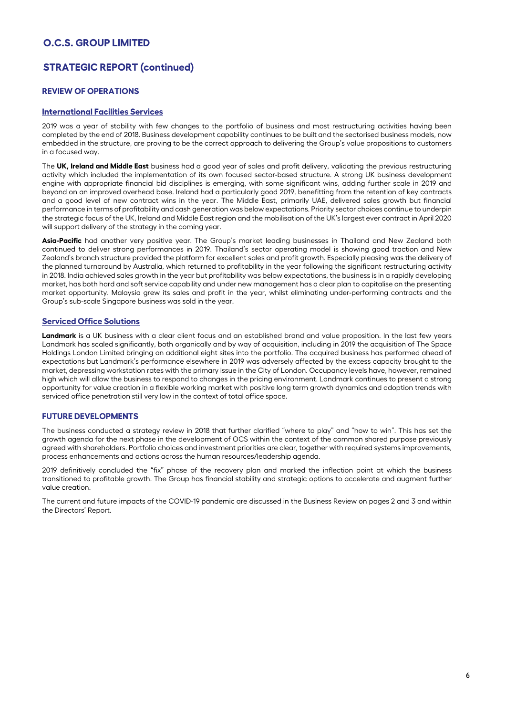# **STRATEGIC REPORT (continued)**

## **REVIEW OF OPERATIONS**

### **International Facilities Services**

2019 was a year of stability with few changes to the portfolio of business and most restructuring activities having been completed by the end of 2018. Business development capability continues to be built and the sectorised business models, now embedded in the structure, are proving to be the correct approach to delivering the Group's value propositions to customers in a focused way.

The **UK, Ireland and Middle East** business had a good year of sales and profit delivery, validating the previous restructuring activity which included the implementation of its own focused sector-based structure. A strong UK business development engine with appropriate financial bid disciplines is emerging, with some significant wins, adding further scale in 2019 and beyond on an improved overhead base. Ireland had a particularly good 2019, benefitting from the retention of key contracts and a good level of new contract wins in the year. The Middle East, primarily UAE, delivered sales growth but financial performance in terms of profitability and cash generation was below expectations. Priority sector choices continue to underpin the strategic focus of the UK, Ireland and Middle East region and the mobilisation of the UK's largest ever contract in April 2020 will support delivery of the strategy in the coming year.

**Asia-Pacific** had another very positive year. The Group's market leading businesses in Thailand and New Zealand both continued to deliver strong performances in 2019. Thailand's sector operating model is showing good traction and New Zealand's branch structure provided the platform for excellent sales and profit growth. Especially pleasing was the delivery of the planned turnaround by Australia, which returned to profitability in the year following the significant restructuring activity in 2018. India achieved sales growth in the year but profitability was below expectations, the business is in a rapidly developing market, has both hard and soft service capability and under new management has a clear plan to capitalise on the presenting market opportunity. Malaysia grew its sales and profit in the year, whilst eliminating under-performing contracts and the Group's sub-scale Singapore business was sold in the year.

### **Serviced Office Solutions**

**Landmark** is a UK business with a clear client focus and an established brand and value proposition. In the last few years Landmark has scaled significantly, both organically and by way of acquisition, including in 2019 the acquisition of The Space Holdings London Limited bringing an additional eight sites into the portfolio. The acquired business has performed ahead of expectations but Landmark's performance elsewhere in 2019 was adversely affected by the excess capacity brought to the market, depressing workstation rates with the primary issue in the City of London. Occupancy levels have, however, remained high which will allow the business to respond to changes in the pricing environment. Landmark continues to present a strong opportunity for value creation in a flexible working market with positive long term growth dynamics and adoption trends with serviced office penetration still very low in the context of total office space.

### **FUTURE DEVELOPMENTS**

The business conducted a strategy review in 2018 that further clarified "where to play" and "how to win". This has set the growth agenda for the next phase in the development of OCS within the context of the common shared purpose previously agreed with shareholders. Portfolio choices and investment priorities are clear, together with required systems improvements, process enhancements and actions across the human resources/leadership agenda.

2019 definitively concluded the "fix" phase of the recovery plan and marked the inflection point at which the business transitioned to profitable growth. The Group has financial stability and strategic options to accelerate and augment further value creation.

The current and future impacts of the COVID-19 pandemic are discussed in the Business Review on pages 2 and 3 and within the Directors' Report.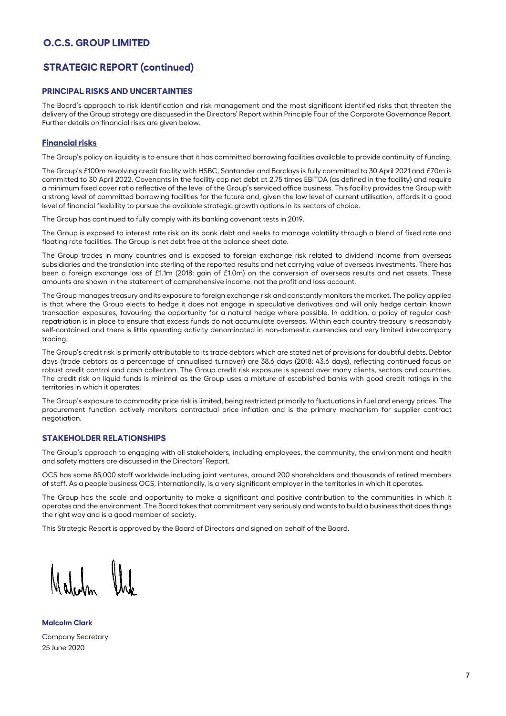# **STRATEGIC REPORT (continued)**

### **PRINCIPAL RISKS AND UNCERTAINTIES**

The Board's approach to risk identification and risk management and the most significant identified risks that threaten the delivery of the Group strategy are discussed in the Directors' Report within Principle Four of the Corporate Governance Report. Further details on financial risks are given below.

### **Financial risks**

The Group's policy on liquidity is to ensure that it has committed borrowing facilities available to provide continuity of funding.

The Group's £100m revolving credit facility with HSBC, Santander and Barclays is fully committed to 30 April 2021 and £70m is committed to 30 April 2022. Covenants in the facility cap net debt at 2.75 times EBITDA (as defined in the facility) and require a minimum fixed cover ratio reflective of the level of the Group's serviced office business. This facility provides the Group with a strong level of committed borrowing facilities for the future and, given the low level of current utilisation, affords it a good level of financial flexibility to pursue the available strategic growth options in its sectors of choice.

The Group has continued to fully comply with its banking covenant tests in 2019.

The Group is exposed to interest rate risk on its bank debt and seeks to manage volatility through a blend of fixed rate and floating rate facilities. The Group is net debt free at the balance sheet date.

The Group trades in many countries and is exposed to foreign exchange risk related to dividend income from overseas subsidiaries and the translation into sterling of the reported results and net carrying value of overseas investments. There has been a foreign exchange loss of £1.1m (2018: gain of £1.0m) on the conversion of overseas results and net assets. These amounts are shown in the statement of comprehensive income, not the profit and loss account.

The Group manages treasury and its exposure to foreign exchange risk and constantly monitors the market. The policy applied is that where the Group elects to hedge it does not engage in speculative derivatives and will only hedge certain known transaction exposures, favouring the opportunity for a natural hedge where possible. In addition, a policy of regular cash repatriation is in place to ensure that excess funds do not accumulate overseas. Within each country treasury is reasonably self-contained and there is little operating activity denominated in non-domestic currencies and very limited intercompany trading.

The Group's credit risk is primarily attributable to its trade debtors which are stated net of provisions for doubtful debts. Debtor days (trade debtors as a percentage of annualised turnover) are 38.6 days (2018: 43.6 days), reflecting continued focus on robust credit control and cash collection. The Group credit risk exposure is spread over many clients, sectors and countries. The credit risk on liquid funds is minimal as the Group uses a mixture of established banks with good credit ratings in the territories in which it operates.

The Group's exposure to commodity price risk is limited, being restricted primarily to fluctuations in fuel and energy prices. The procurement function actively monitors contractual price inflation and is the primary mechanism for supplier contract negotiation.

## **STAKEHOLDER RELATIONSHIPS**

The Group's approach to engaging with all stakeholders, including employees, the community, the environment and health and safety matters are discussed in the Directors' Report.

OCS has some 85,000 staff worldwide including joint ventures, around 200 shareholders and thousands of retired members of staff. As a people business OCS, internationally, is a very significant employer in the territories in which it operates.

The Group has the scale and opportunity to make a significant and positive contribution to the communities in which it operates and the environment. The Board takes that commitment very seriously and wants to build a business that does things the right way and is a good member of society.

This Strategic Report is approved by the Board of Directors and signed on behalf of the Board.

**Malcolm Clark** Company Secretary 25 June 2020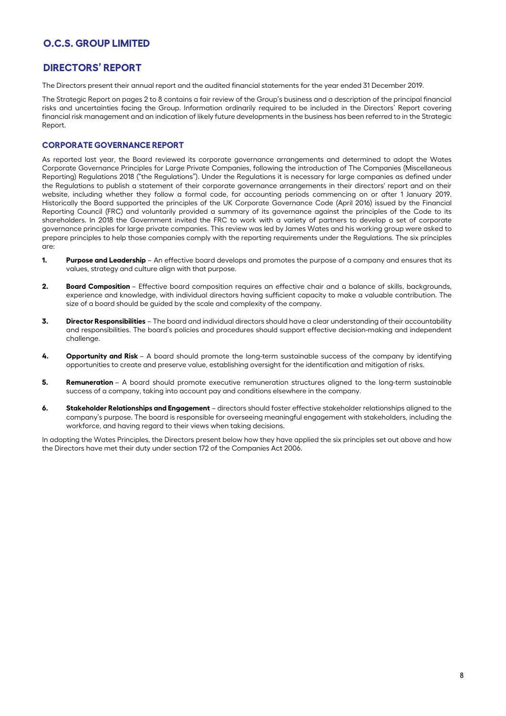# **DIRECTORS' REPORT**

The Directors present their annual report and the audited financial statements for the year ended 31 December 2019.

The Strategic Report on pages 2 to 8 contains a fair review of the Group's business and a description of the principal financial risks and uncertainties facing the Group. Information ordinarily required to be included in the Directors' Report covering financial risk management and an indication of likely future developments in the business has been referred to in the Strategic Report.

### **CORPORATE GOVERNANCE REPORT**

As reported last year, the Board reviewed its corporate governance arrangements and determined to adopt the Wates Corporate Governance Principles for Large Private Companies, following the introduction of The Companies (Miscellaneous Reporting) Regulations 2018 ("the Regulations"). Under the Regulations it is necessary for large companies as defined under the Regulations to publish a statement of their corporate governance arrangements in their directors' report and on their website, including whether they follow a formal code, for accounting periods commencing on or after 1 January 2019. Historically the Board supported the principles of the UK Corporate Governance Code (April 2016) issued by the Financial Reporting Council (FRC) and voluntarily provided a summary of its governance against the principles of the Code to its shareholders. In 2018 the Government invited the FRC to work with a variety of partners to develop a set of corporate governance principles for large private companies. This review was led by James Wates and his working group were asked to prepare principles to help those companies comply with the reporting requirements under the Regulations. The six principles are:

- **1. Purpose and Leadership** An effective board develops and promotes the purpose of a company and ensures that its values, strategy and culture align with that purpose.
- **2. Board Composition** Effective board composition requires an effective chair and a balance of skills, backgrounds, experience and knowledge, with individual directors having sufficient capacity to make a valuable contribution. The size of a board should be guided by the scale and complexity of the company.
- **3. Director Responsibilities** The board and individual directors should have a clear understanding of their accountability and responsibilities. The board's policies and procedures should support effective decision-making and independent challenge.
- **4. Opportunity and Risk** A board should promote the long-term sustainable success of the company by identifying opportunities to create and preserve value, establishing oversight for the identification and mitigation of risks.
- **5. Remuneration** A board should promote executive remuneration structures aligned to the long-term sustainable success of a company, taking into account pay and conditions elsewhere in the company.
- **6. Stakeholder Relationships and Engagement** directors should foster effective stakeholder relationships aligned to the company's purpose. The board is responsible for overseeing meaningful engagement with stakeholders, including the workforce, and having regard to their views when taking decisions.

In adopting the Wates Principles, the Directors present below how they have applied the six principles set out above and how the Directors have met their duty under section 172 of the Companies Act 2006.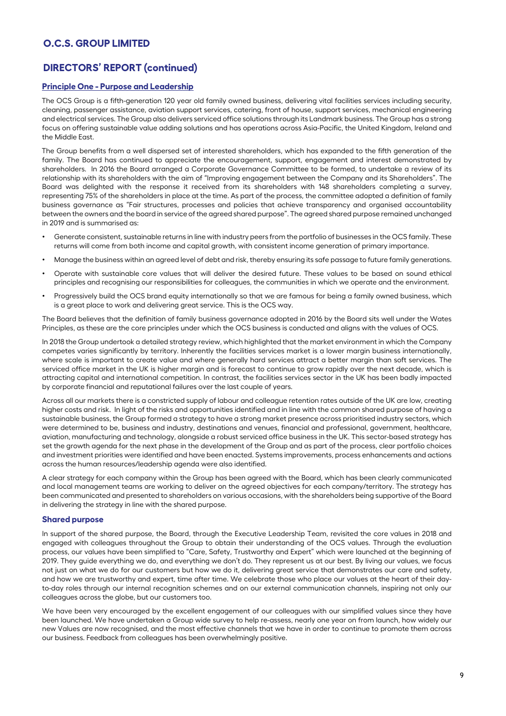# **DIRECTORS' REPORT (continued)**

### **Principle One - Purpose and Leadership**

The OCS Group is a fifth-generation 120 year old family owned business, delivering vital facilities services including security, cleaning, passenger assistance, aviation support services, catering, front of house, support services, mechanical engineering and electrical services. The Group also delivers serviced office solutions through its Landmark business. The Group has a strong focus on offering sustainable value adding solutions and has operations across Asia-Pacific, the United Kingdom, Ireland and the Middle East.

The Group benefits from a well dispersed set of interested shareholders, which has expanded to the fifth generation of the family. The Board has continued to appreciate the encouragement, support, engagement and interest demonstrated by shareholders. In 2016 the Board arranged a Corporate Governance Committee to be formed, to undertake a review of its relationship with its shareholders with the aim of "Improving engagement between the Company and its Shareholders". The Board was delighted with the response it received from its shareholders with 148 shareholders completing a survey, representing 75% of the shareholders in place at the time. As part of the process, the committee adopted a definition of family business governance as "Fair structures, processes and policies that achieve transparency and organised accountability between the owners and the board in service of the agreed shared purpose". The agreed shared purpose remained unchanged in 2019 and is summarised as:

- Generate consistent, sustainable returns in line with industry peers from the portfolio of businesses in the OCS family. These returns will come from both income and capital growth, with consistent income generation of primary importance.
- Manage the business within an agreed level of debt and risk, thereby ensuring its safe passage to future family generations.
- Operate with sustainable core values that will deliver the desired future. These values to be based on sound ethical principles and recognising our responsibilities for colleagues, the communities in which we operate and the environment.
- Progressively build the OCS brand equity internationally so that we are famous for being a family owned business, which is a great place to work and delivering great service. This is the OCS way.

The Board believes that the definition of family business governance adopted in 2016 by the Board sits well under the Wates Principles, as these are the core principles under which the OCS business is conducted and aligns with the values of OCS.

In 2018 the Group undertook a detailed strategy review, which highlighted that the market environment in which the Company competes varies significantly by territory. Inherently the facilities services market is a lower margin business internationally, where scale is important to create value and where generally hard services attract a better margin than soft services. The serviced office market in the UK is higher margin and is forecast to continue to grow rapidly over the next decade, which is attracting capital and international competition. In contrast, the facilities services sector in the UK has been badly impacted by corporate financial and reputational failures over the last couple of years.

Across all our markets there is a constricted supply of labour and colleague retention rates outside of the UK are low, creating higher costs and risk. In light of the risks and opportunities identified and in line with the common shared purpose of having a sustainable business, the Group formed a strategy to have a strong market presence across prioritised industry sectors, which were determined to be, business and industry, destinations and venues, financial and professional, government, healthcare, aviation, manufacturing and technology, alongside a robust serviced office business in the UK. This sector-based strategy has set the growth agenda for the next phase in the development of the Group and as part of the process, clear portfolio choices and investment priorities were identified and have been enacted. Systems improvements, process enhancements and actions across the human resources/leadership agenda were also identified.

A clear strategy for each company within the Group has been agreed with the Board, which has been clearly communicated and local management teams are working to deliver on the agreed objectives for each company/territory. The strategy has been communicated and presented to shareholders on various occasions, with the shareholders being supportive of the Board in delivering the strategy in line with the shared purpose.

#### **Shared purpose**

In support of the shared purpose, the Board, through the Executive Leadership Team, revisited the core values in 2018 and engaged with colleagues throughout the Group to obtain their understanding of the OCS values. Through the evaluation process, our values have been simplified to "Care, Safety, Trustworthy and Expert" which were launched at the beginning of 2019. They guide everything we do, and everything we don't do. They represent us at our best. By living our values, we focus not just on what we do for our customers but how we do it, delivering great service that demonstrates our care and safety, and how we are trustworthy and expert, time after time. We celebrate those who place our values at the heart of their dayto-day roles through our internal recognition schemes and on our external communication channels, inspiring not only our colleagues across the globe, but our customers too.

We have been very encouraged by the excellent engagement of our colleagues with our simplified values since they have been launched. We have undertaken a Group wide survey to help re-assess, nearly one year on from launch, how widely our new Values are now recognised, and the most effective channels that we have in order to continue to promote them across our business. Feedback from colleagues has been overwhelmingly positive.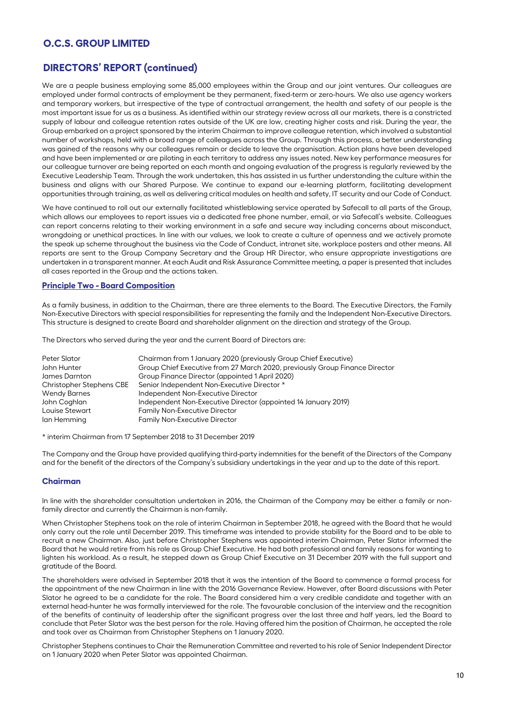# **DIRECTORS' REPORT (continued)**

We are a people business employing some 85,000 employees within the Group and our joint ventures. Our colleagues are employed under formal contracts of employment be they permanent, fixed-term or zero-hours. We also use agency workers and temporary workers, but irrespective of the type of contractual arrangement, the health and safety of our people is the most important issue for us as a business. As identified within our strategy review across all our markets, there is a constricted supply of labour and colleague retention rates outside of the UK are low, creating higher costs and risk. During the year, the Group embarked on a project sponsored by the interim Chairman to improve colleague retention, which involved a substantial number of workshops, held with a broad range of colleagues across the Group. Through this process, a better understanding was gained of the reasons why our colleagues remain or decide to leave the organisation. Action plans have been developed and have been implemented or are piloting in each territory to address any issues noted. New key performance measures for our colleague turnover are being reported on each month and ongoing evaluation of the progress is regularly reviewed by the Executive Leadership Team. Through the work undertaken, this has assisted in us further understanding the culture within the business and aligns with our Shared Purpose. We continue to expand our e-learning platform, facilitating development opportunities through training, as well as delivering critical modules on health and safety, IT security and our Code of Conduct.

We have continued to roll out our externally facilitated whistleblowing service operated by Safecall to all parts of the Group, which allows our employees to report issues via a dedicated free phone number, email, or via Safecall's website. Colleagues can report concerns relating to their working environment in a safe and secure way including concerns about misconduct, wrongdoing or unethical practices. In line with our values, we look to create a culture of openness and we actively promote the speak up scheme throughout the business via the Code of Conduct, intranet site, workplace posters and other means. All reports are sent to the Group Company Secretary and the Group HR Director, who ensure appropriate investigations are undertaken in a transparent manner. At each Audit and Risk Assurance Committee meeting, a paper is presented that includes all cases reported in the Group and the actions taken.

### **Principle Two - Board Composition**

As a family business, in addition to the Chairman, there are three elements to the Board. The Executive Directors, the Family Non-Executive Directors with special responsibilities for representing the family and the Independent Non-Executive Directors. This structure is designed to create Board and shareholder alignment on the direction and strategy of the Group.

The Directors who served during the year and the current Board of Directors are:

| Chairman from 1 January 2020 (previously Group Chief Executive)             |
|-----------------------------------------------------------------------------|
| Group Chief Executive from 27 March 2020, previously Group Finance Director |
| Group Finance Director (appointed 1 April 2020)                             |
| Senior Independent Non-Executive Director *                                 |
| Independent Non-Executive Director                                          |
| Independent Non-Executive Director (appointed 14 January 2019)              |
| <b>Family Non-Executive Director</b>                                        |
| <b>Family Non-Executive Director</b>                                        |
|                                                                             |

\* interim Chairman from 17 September 2018 to 31 December 2019

The Company and the Group have provided qualifying third-party indemnities for the benefit of the Directors of the Company and for the benefit of the directors of the Company's subsidiary undertakings in the year and up to the date of this report.

#### **Chairman**

In line with the shareholder consultation undertaken in 2016, the Chairman of the Company may be either a family or nonfamily director and currently the Chairman is non-family.

When Christopher Stephens took on the role of interim Chairman in September 2018, he agreed with the Board that he would only carry out the role until December 2019. This timeframe was intended to provide stability for the Board and to be able to recruit a new Chairman. Also, just before Christopher Stephens was appointed interim Chairman, Peter Slator informed the Board that he would retire from his role as Group Chief Executive. He had both professional and family reasons for wanting to lighten his workload. As a result, he stepped down as Group Chief Executive on 31 December 2019 with the full support and gratitude of the Board.

The shareholders were advised in September 2018 that it was the intention of the Board to commence a formal process for the appointment of the new Chairman in line with the 2016 Governance Review. However, after Board discussions with Peter Slator he agreed to be a candidate for the role. The Board considered him a very credible candidate and together with an external head-hunter he was formally interviewed for the role. The favourable conclusion of the interview and the recognition of the benefits of continuity of leadership after the significant progress over the last three and half years, led the Board to conclude that Peter Slator was the best person for the role. Having offered him the position of Chairman, he accepted the role and took over as Chairman from Christopher Stephens on 1 January 2020.

Christopher Stephens continues to Chair the Remuneration Committee and reverted to his role of Senior Independent Director on 1 January 2020 when Peter Slator was appointed Chairman.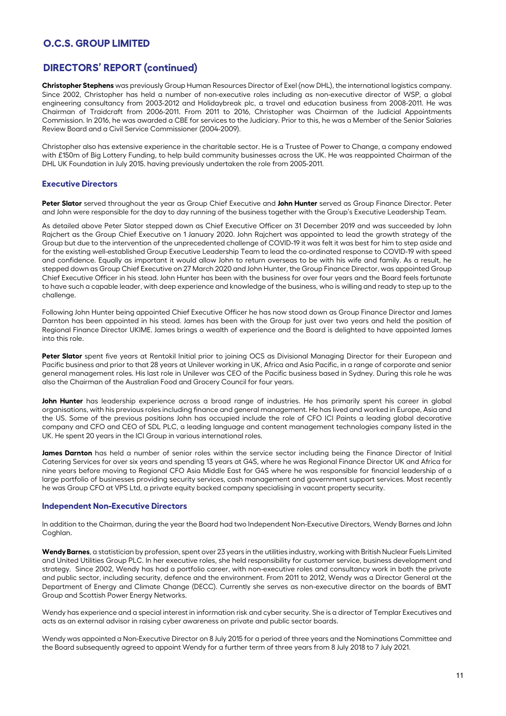# **DIRECTORS' REPORT (continued)**

**Christopher Stephens** was previously Group Human Resources Director of Exel (now DHL), the international logistics company. Since 2002, Christopher has held a number of non-executive roles including as non-executive director of WSP, a global engineering consultancy from 2003-2012 and Holidaybreak plc, a travel and education business from 2008-2011. He was Chairman of Traidcraft from 2006-2011. From 2011 to 2016, Christopher was Chairman of the Judicial Appointments Commission. In 2016, he was awarded a CBE for services to the Judiciary. Prior to this, he was a Member of the Senior Salaries Review Board and a Civil Service Commissioner (2004-2009).

Christopher also has extensive experience in the charitable sector. He is a Trustee of Power to Change, a company endowed with £150m of Big Lottery Funding, to help build community businesses across the UK. He was reappointed Chairman of the DHL UK Foundation in July 2015. having previously undertaken the role from 2005-2011.

### **Executive Directors**

**Peter Slator** served throughout the year as Group Chief Executive and **John Hunter** served as Group Finance Director. Peter and John were responsible for the day to day running of the business together with the Group's Executive Leadership Team.

As detailed above Peter Slator stepped down as Chief Executive Officer on 31 December 2019 and was succeeded by John Rajchert as the Group Chief Executive on 1 January 2020. John Rajchert was appointed to lead the growth strategy of the Group but due to the intervention of the unprecedented challenge of COVID-19 it was felt it was best for him to step aside and for the existing well-established Group Executive Leadership Team to lead the co-ordinated response to COVID-19 with speed and confidence. Equally as important it would allow John to return overseas to be with his wife and family. As a result, he stepped down as Group Chief Executive on 27 March 2020 and John Hunter, the Group Finance Director, was appointed Group Chief Executive Officer in his stead. John Hunter has been with the business for over four years and the Board feels fortunate to have such a capable leader, with deep experience and knowledge of the business, who is willing and ready to step up to the challenge

Following John Hunter being appointed Chief Executive Officer he has now stood down as Group Finance Director and James Darnton has been appointed in his stead. James has been with the Group for just over two years and held the position of Regional Finance Director UKIME. James brings a wealth of experience and the Board is delighted to have appointed James into this role.

Peter Slator spent five years at Rentokil Initial prior to joining OCS as Divisional Managing Director for their European and Pacific business and prior to that 28 years at Unilever working in UK, Africa and Asia Pacific, in a range of corporate and senior general management roles. His last role in Unilever was CEO of the Pacific business based in Sydney. During this role he was also the Chairman of the Australian Food and Grocery Council for four years.

**John Hunter** has leadership experience across a broad range of industries. He has primarily spent his career in global organisations, with his previous roles including finance and general management. He has lived and worked in Europe, Asia and the US. Some of the previous positions John has occupied include the role of CFO ICI Paints a leading global decorative company and CFO and CEO of SDL PLC, a leading language and content management technologies company listed in the UK. He spent 20 years in the ICI Group in various international roles.

**James Darnton** has held a number of senior roles within the service sector including being the Finance Director of Initial Catering Services for over six years and spending 13 years at G4S, where he was Regional Finance Director UK and Africa for nine years before moving to Regional CFO Asia Middle East for G4S where he was responsible for financial leadership of a large portfolio of businesses providing security services, cash management and government support services. Most recently he was Group CFO at VPS Ltd, a private equity backed company specialising in vacant property security.

### **Independent Non-Executive Directors**

In addition to the Chairman, during the year the Board had two Independent Non-Executive Directors, Wendy Barnes and John Coghlan.

**Wendy Barnes**, a statistician by profession, spent over 23 years in the utilities industry, working with British Nuclear Fuels Limited and United Utilities Group PLC. In her executive roles, she held responsibility for customer service, business development and strategy. Since 2002, Wendy has had a portfolio career, with non-executive roles and consultancy work in both the private and public sector, including security, defence and the environment. From 2011 to 2012, Wendy was a Director General at the Department of Energy and Climate Change (DECC). Currently she serves as non-executive director on the boards of BMT Group and Scottish Power Energy Networks.

Wendy has experience and a special interest in information risk and cyber security. She is a director of Templar Executives and acts as an external advisor in raising cyber awareness on private and public sector boards.

Wendy was appointed a Non-Executive Director on 8 July 2015 for a period of three years and the Nominations Committee and the Board subsequently agreed to appoint Wendy for a further term of three years from 8 July 2018 to 7 July 2021.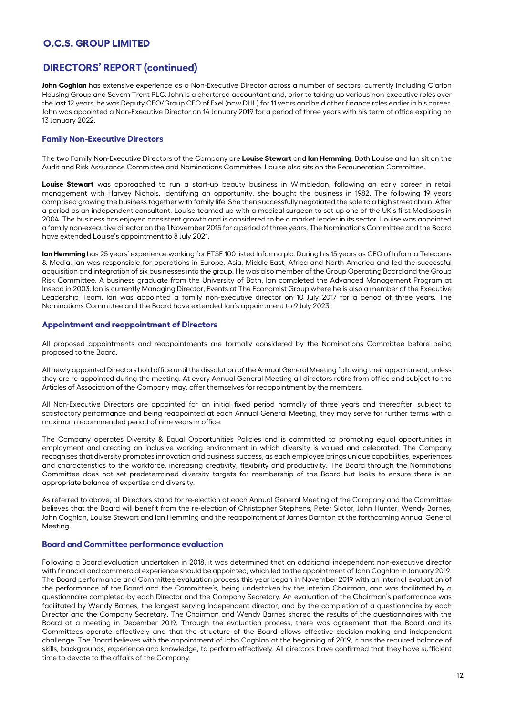# **DIRECTORS' REPORT (continued)**

**John Coghlan** has extensive experience as a Non-Executive Director across a number of sectors, currently including Clarion Housing Group and Severn Trent PLC. John is a chartered accountant and, prior to taking up various non-executive roles over the last 12 years, he was Deputy CEO/Group CFO of Exel (now DHL) for 11 years and held other finance roles earlier in his career. John was appointed a Non-Executive Director on 14 January 2019 for a period of three years with his term of office expiring on 13 January 2022.

### **Family Non-Executive Directors**

The two Family Non-Executive Directors of the Company are **Louise Stewart** and **Ian Hemming**. Both Louise and Ian sit on the Audit and Risk Assurance Committee and Nominations Committee. Louise also sits on the Remuneration Committee.

**Louise Stewart** was approached to run a start-up beauty business in Wimbledon, following an early career in retail management with Harvey Nichols. Identifying an opportunity, she bought the business in 1982. The following 19 years comprised growing the business together with family life. She then successfully negotiated the sale to a high street chain. After a period as an independent consultant, Louise teamed up with a medical surgeon to set up one of the UK's first Medispas in 2004. The business has enjoyed consistent growth and is considered to be a market leader in its sector. Louise was appointed a family non-executive director on the 1 November 2015 for a period of three years. The Nominations Committee and the Board have extended Louise's appointment to 8 July 2021.

**Ian Hemming** has 25 years' experience working for FTSE 100 listed Informa plc. During his 15 years as CEO of Informa Telecoms & Media, Ian was responsible for operations in Europe, Asia, Middle East, Africa and North America and led the successful acquisition and integration of six businesses into the group. He was also member of the Group Operating Board and the Group Risk Committee. A business graduate from the University of Bath, Ian completed the Advanced Management Program at Insead in 2003. Ian is currently Managing Director, Events at The Economist Group where he is also a member of the Executive Leadership Team. Ian was appointed a family non-executive director on 10 July 2017 for a period of three years. The Nominations Committee and the Board have extended Ian's appointment to 9 July 2023.

#### **Appointment and reappointment of Directors**

All proposed appointments and reappointments are formally considered by the Nominations Committee before being proposed to the Board.

All newly appointed Directors hold office until the dissolution of the Annual General Meeting following their appointment, unless they are re-appointed during the meeting. At every Annual General Meeting all directors retire from office and subject to the Articles of Association of the Company may, offer themselves for reappointment by the members.

All Non-Executive Directors are appointed for an initial fixed period normally of three years and thereafter, subject to satisfactory performance and being reappointed at each Annual General Meeting, they may serve for further terms with a maximum recommended period of nine years in office.

The Company operates Diversity & Equal Opportunities Policies and is committed to promoting equal opportunities in employment and creating an inclusive working environment in which diversity is valued and celebrated. The Company recognises that diversity promotes innovation and business success, as each employee brings unique capabilities, experiences and characteristics to the workforce, increasing creativity, flexibility and productivity. The Board through the Nominations Committee does not set predetermined diversity targets for membership of the Board but looks to ensure there is an appropriate balance of expertise and diversity.

As referred to above, all Directors stand for re-election at each Annual General Meeting of the Company and the Committee believes that the Board will benefit from the re-election of Christopher Stephens, Peter Slator, John Hunter, Wendy Barnes, John Coghlan, Louise Stewart and Ian Hemming and the reappointment of James Darnton at the forthcoming Annual General Meeting.

#### **Board and Committee performance evaluation**

Following a Board evaluation undertaken in 2018, it was determined that an additional independent non-executive director with financial and commercial experience should be appointed, which led to the appointment of John Coghlan in January 2019. The Board performance and Committee evaluation process this year began in November 2019 with an internal evaluation of the performance of the Board and the Committee's, being undertaken by the interim Chairman, and was facilitated by a questionnaire completed by each Director and the Company Secretary. An evaluation of the Chairman's performance was facilitated by Wendy Barnes, the longest serving independent director, and by the completion of a questionnaire by each Director and the Company Secretary. The Chairman and Wendy Barnes shared the results of the questionnaires with the Board at a meeting in December 2019. Through the evaluation process, there was agreement that the Board and its Committees operate effectively and that the structure of the Board allows effective decision-making and independent challenge. The Board believes with the appointment of John Coghlan at the beginning of 2019, it has the required balance of skills, backgrounds, experience and knowledge, to perform effectively. All directors have confirmed that they have sufficient time to devote to the affairs of the Company.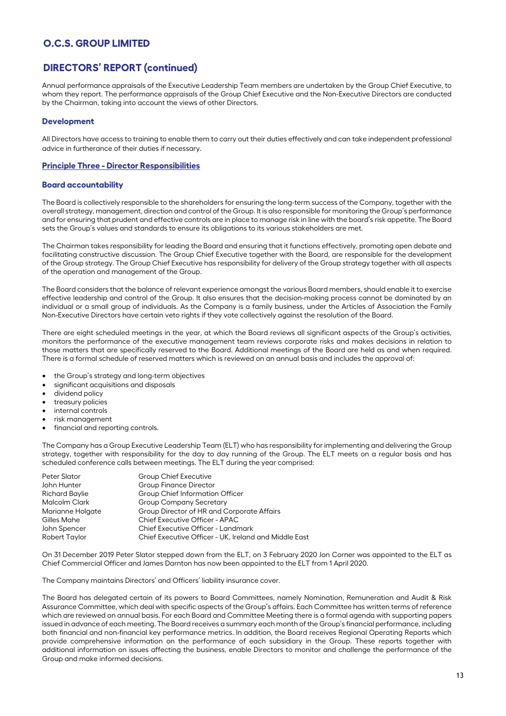# **DIRECTORS' REPORT (continued)**

Annual performance appraisals of the Executive Leadership Team members are undertaken by the Group Chief Executive, to whom they report. The performance appraisals of the Group Chief Executive and the Non-Executive Directors are conducted by the Chairman, taking into account the views of other Directors.

### **Development**

All Directors have access to training to enable them to carry out their duties effectively and can take independent professional advice in furtherance of their duties if necessary.

#### **Principle Three - Director Responsibilities**

#### **Board accountability**

The Board is collectively responsible to the shareholders for ensuring the long-term success of the Company, together with the overall strategy, management, direction and control of the Group. It is also responsible for monitoring the Group's performance and for ensuring that prudent and effective controls are in place to manage risk in line with the board's risk appetite. The Board sets the Group's values and standards to ensure its obligations to its various stakeholders are met.

The Chairman takes responsibility for leading the Board and ensuring that it functions effectively, promoting open debate and facilitating constructive discussion. The Group Chief Executive together with the Board, are responsible for the development of the Group strategy. The Group Chief Executive has responsibility for delivery of the Group strategy together with all aspects of the operation and management of the Group.

The Board considers that the balance of relevant experience amongst the various Board members, should enable it to exercise effective leadership and control of the Group. It also ensures that the decision-making process cannot be dominated by an individual or a small group of individuals. As the Company is a family business, under the Articles of Association the Family Non-Executive Directors have certain veto rights if they vote collectively against the resolution of the Board.

There are eight scheduled meetings in the year, at which the Board reviews all significant aspects of the Group's activities, monitors the performance of the executive management team reviews corporate risks and makes decisions in relation to those matters that are specifically reserved to the Board. Additional meetings of the Board are held as and when required. There is a formal schedule of reserved matters which is reviewed on an annual basis and includes the approval of:

- the Group's strategy and long-term objectives
- significant acquisitions and disposals
- dividend policy
- treasury policies
- internal controls
- risk management
- financial and reporting controls.

The Company has a Group Executive Leadership Team (ELT) who has responsibility for implementing and delivering the Group strategy, together with responsibility for the day to day running of the Group. The ELT meets on a regular basis and has scheduled conference calls between meetings. The ELT during the year comprised:

| <b>Group Chief Executive</b>                          |
|-------------------------------------------------------|
| <b>Group Finance Director</b>                         |
| Group Chief Information Officer                       |
| <b>Group Company Secretary</b>                        |
| Group Director of HR and Corporate Affairs            |
| Chief Executive Officer - APAC                        |
| Chief Executive Officer - Landmark                    |
| Chief Executive Officer - UK, Ireland and Middle East |
|                                                       |

On 31 December 2019 Peter Slator stepped down from the ELT, on 3 February 2020 Jon Corner was appointed to the ELT as Chief Commercial Officer and James Darnton has now been appointed to the ELT from 1 April 2020.

The Company maintains Directors' and Officers' liability insurance cover.

The Board has delegated certain of its powers to Board Committees, namely Nomination, Remuneration and Audit & Risk Assurance Committee, which deal with specific aspects of the Group's affairs. Each Committee has written terms of reference which are reviewed on annual basis. For each Board and Committee Meeting there is a formal agenda with supporting papers issued in advance of each meeting. The Board receives a summary each month of the Group's financial performance, including both financial and non-financial key performance metrics. In addition, the Board receives Regional Operating Reports which provide comprehensive information on the performance of each subsidiary in the Group. These reports together with additional information on issues affecting the business, enable Directors to monitor and challenge the performance of the Group and make informed decisions.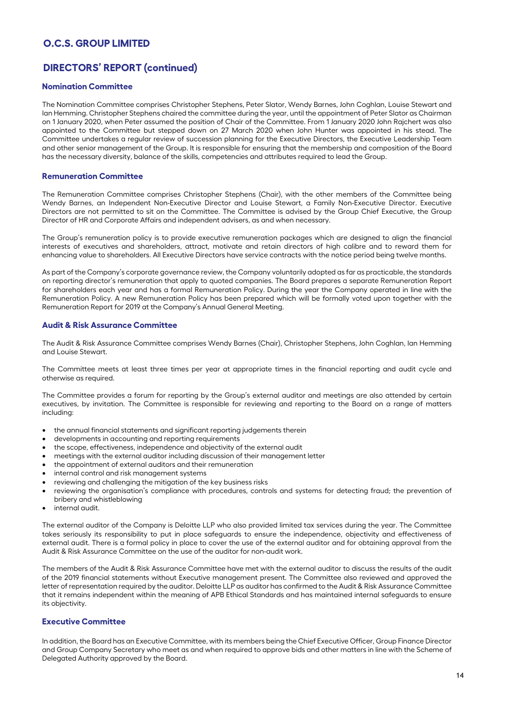# **DIRECTORS' REPORT (continued)**

### **Nomination Committee**

The Nomination Committee comprises Christopher Stephens, Peter Slator, Wendy Barnes, John Coghlan, Louise Stewart and Ian Hemming. Christopher Stephens chaired the committee during the year, until the appointment of Peter Slator as Chairman on 1 January 2020, when Peter assumed the position of Chair of the Committee. From 1 January 2020 John Rajchert was also appointed to the Committee but stepped down on 27 March 2020 when John Hunter was appointed in his stead. The Committee undertakes a regular review of succession planning for the Executive Directors, the Executive Leadership Team and other senior management of the Group. It is responsible for ensuring that the membership and composition of the Board has the necessary diversity, balance of the skills, competencies and attributes required to lead the Group.

#### **Remuneration Committee**

The Remuneration Committee comprises Christopher Stephens (Chair), with the other members of the Committee being Wendy Barnes, an Independent Non-Executive Director and Louise Stewart, a Family Non-Executive Director. Executive Directors are not permitted to sit on the Committee. The Committee is advised by the Group Chief Executive, the Group Director of HR and Corporate Affairs and independent advisers, as and when necessary.

The Group's remuneration policy is to provide executive remuneration packages which are designed to align the financial interests of executives and shareholders, attract, motivate and retain directors of high calibre and to reward them for enhancing value to shareholders. All Executive Directors have service contracts with the notice period being twelve months.

As part of the Company's corporate governance review, the Company voluntarily adopted as far as practicable, the standards on reporting director's remuneration that apply to quoted companies. The Board prepares a separate Remuneration Report for shareholders each year and has a formal Remuneration Policy. During the year the Company operated in line with the Remuneration Policy. A new Remuneration Policy has been prepared which will be formally voted upon together with the Remuneration Report for 2019 at the Company's Annual General Meeting.

#### **Audit & Risk Assurance Committee**

The Audit & Risk Assurance Committee comprises Wendy Barnes (Chair), Christopher Stephens, John Coghlan, Ian Hemming and Louise Stewart.

The Committee meets at least three times per year at appropriate times in the financial reporting and audit cycle and otherwise as required.

The Committee provides a forum for reporting by the Group's external auditor and meetings are also attended by certain executives, by invitation. The Committee is responsible for reviewing and reporting to the Board on a range of matters including:

- the annual financial statements and significant reporting judgements therein
- developments in accounting and reporting requirements
- the scope, effectiveness, independence and objectivity of the external audit
- meetings with the external auditor including discussion of their management letter
- the appointment of external auditors and their remuneration
- internal control and risk management systems
- reviewing and challenging the mitigation of the key business risks
- reviewing the organisation's compliance with procedures, controls and systems for detecting fraud; the prevention of bribery and whistleblowing
- internal audit.

The external auditor of the Company is Deloitte LLP who also provided limited tax services during the year. The Committee takes seriously its responsibility to put in place safeguards to ensure the independence, objectivity and effectiveness of external audit. There is a formal policy in place to cover the use of the external auditor and for obtaining approval from the Audit & Risk Assurance Committee on the use of the auditor for non-audit work.

The members of the Audit & Risk Assurance Committee have met with the external auditor to discuss the results of the audit of the 2019 financial statements without Executive management present. The Committee also reviewed and approved the letter of representation required by the auditor. Deloitte LLP as auditor has confirmed to the Audit & Risk Assurance Committee that it remains independent within the meaning of APB Ethical Standards and has maintained internal safeguards to ensure its objectivity.

#### **Executive Committee**

In addition, the Board has an Executive Committee, with its members being the Chief Executive Officer, Group Finance Director and Group Company Secretary who meet as and when required to approve bids and other matters in line with the Scheme of Delegated Authority approved by the Board.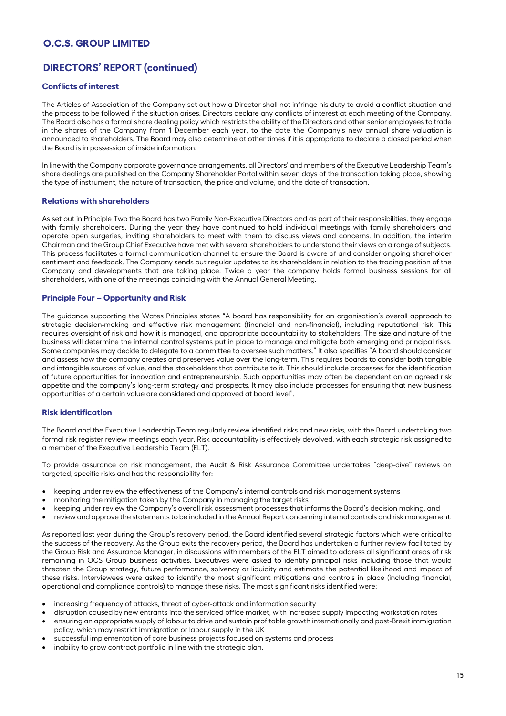# **DIRECTORS' REPORT (continued)**

### **Conflicts of interest**

The Articles of Association of the Company set out how a Director shall not infringe his duty to avoid a conflict situation and the process to be followed if the situation arises. Directors declare any conflicts of interest at each meeting of the Company. The Board also has a formal share dealing policy which restricts the ability of the Directors and other senior employees to trade in the shares of the Company from 1 December each year, to the date the Company's new annual share valuation is announced to shareholders. The Board may also determine at other times if it is appropriate to declare a closed period when the Board is in possession of inside information.

In line with the Company corporate governance arrangements, all Directors' and members of the Executive Leadership Team's share dealings are published on the Company Shareholder Portal within seven days of the transaction taking place, showing the type of instrument, the nature of transaction, the price and volume, and the date of transaction.

### **Relations with shareholders**

As set out in Principle Two the Board has two Family Non-Executive Directors and as part of their responsibilities, they engage with family shareholders. During the year they have continued to hold individual meetings with family shareholders and operate open surgeries, inviting shareholders to meet with them to discuss views and concerns. In addition, the interim Chairman and the Group Chief Executive have met with several shareholders to understand their views on a range of subjects. This process facilitates a formal communication channel to ensure the Board is aware of and consider ongoing shareholder sentiment and feedback. The Company sends out regular updates to its shareholders in relation to the trading position of the Company and developments that are taking place. Twice a year the company holds formal business sessions for all shareholders, with one of the meetings coinciding with the Annual General Meeting.

### **Principle Four – Opportunity and Risk**

The guidance supporting the Wates Principles states "A board has responsibility for an organisation's overall approach to strategic decision-making and effective risk management (financial and non-financial), including reputational risk. This requires oversight of risk and how it is managed, and appropriate accountability to stakeholders. The size and nature of the business will determine the internal control systems put in place to manage and mitigate both emerging and principal risks. Some companies may decide to delegate to a committee to oversee such matters." It also specifies "A board should consider and assess how the company creates and preserves value over the long-term. This requires boards to consider both tangible and intangible sources of value, and the stakeholders that contribute to it. This should include processes for the identification of future opportunities for innovation and entrepreneurship. Such opportunities may often be dependent on an agreed risk appetite and the company's long-term strategy and prospects. It may also include processes for ensuring that new business opportunities of a certain value are considered and approved at board level".

### **Risk identification**

The Board and the Executive Leadership Team regularly review identified risks and new risks, with the Board undertaking two formal risk register review meetings each year. Risk accountability is effectively devolved, with each strategic risk assigned to a member of the Executive Leadership Team (ELT).

To provide assurance on risk management, the Audit & Risk Assurance Committee undertakes "deep-dive" reviews on targeted, specific risks and has the responsibility for:

- keeping under review the effectiveness of the Company's internal controls and risk management systems
- monitoring the mitigation taken by the Company in managing the target risks
- keeping under review the Company's overall risk assessment processes that informs the Board's decision making, and
- review and approve the statements to be included in the Annual Report concerning internal controls and risk management.

As reported last year during the Group's recovery period, the Board identified several strategic factors which were critical to the success of the recovery. As the Group exits the recovery period, the Board has undertaken a further review facilitated by the Group Risk and Assurance Manager, in discussions with members of the ELT aimed to address all significant areas of risk remaining in OCS Group business activities. Executives were asked to identify principal risks including those that would threaten the Group strategy, future performance, solvency or liquidity and estimate the potential likelihood and impact of these risks. Interviewees were asked to identify the most significant mitigations and controls in place (including financial, operational and compliance controls) to manage these risks. The most significant risks identified were:

- increasing frequency of attacks, threat of cyber-attack and information security
- disruption caused by new entrants into the serviced office market, with increased supply impacting workstation rates
- ensuring an appropriate supply of labour to drive and sustain profitable growth internationally and post-Brexit immigration policy, which may restrict immigration or labour supply in the UK
- successful implementation of core business projects focused on systems and process
- inability to grow contract portfolio in line with the strategic plan.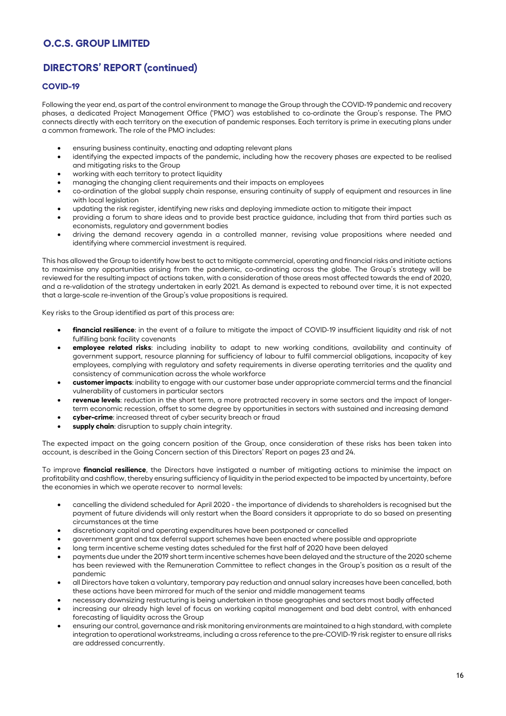# **DIRECTORS' REPORT (continued)**

## **COVID-19**

Following the year end, as part of the control environment to manage the Group through the COVID-19 pandemic and recovery phases, a dedicated Project Management Office ('PMO') was established to co-ordinate the Group's response. The PMO connects directly with each territory on the execution of pandemic responses. Each territory is prime in executing plans under a common framework. The role of the PMO includes:

- ensuring business continuity, enacting and adapting relevant plans
- identifying the expected impacts of the pandemic, including how the recovery phases are expected to be realised and mitigating risks to the Group
- working with each territory to protect liquidity
- managing the changing client requirements and their impacts on employees
- co-ordination of the global supply chain response, ensuring continuity of supply of equipment and resources in line with local legislation
- updating the risk register, identifying new risks and deploying immediate action to mitigate their impact
- providing a forum to share ideas and to provide best practice guidance, including that from third parties such as economists, regulatory and government bodies
- driving the demand recovery agenda in a controlled manner, revising value propositions where needed and identifying where commercial investment is required.

This has allowed the Group to identify how best to act to mitigate commercial, operating and financial risks and initiate actions to maximise any opportunities arising from the pandemic, co-ordinating across the globe. The Group's strategy will be reviewed for the resulting impact of actions taken, with a consideration of those areas most affected towards the end of 2020, and a re-validation of the strategy undertaken in early 2021. As demand is expected to rebound over time, it is not expected that a large-scale re-invention of the Group's value propositions is required.

Key risks to the Group identified as part of this process are:

- **financial resilience**: in the event of a failure to mitigate the impact of COVID-19 insufficient liquidity and risk of not fulfilling bank facility covenants
- **employee related risks**: including inability to adapt to new working conditions, availability and continuity of government support, resource planning for sufficiency of labour to fulfil commercial obligations, incapacity of key employees, complying with regulatory and safety requirements in diverse operating territories and the quality and consistency of communication across the whole workforce
- **customer impacts**: inability to engage with our customer base under appropriate commercial terms and the financial vulnerability of customers in particular sectors
- **revenue levels**: reduction in the short term, a more protracted recovery in some sectors and the impact of longerterm economic recession, offset to some degree by opportunities in sectors with sustained and increasing demand
- **cyber-crime**: increased threat of cyber security breach or fraud
- **supply chain**: disruption to supply chain integrity.

The expected impact on the going concern position of the Group, once consideration of these risks has been taken into account, is described in the Going Concern section of this Directors' Report on pages 23 and 24.

To improve **financial resilience**, the Directors have instigated a number of mitigating actions to minimise the impact on profitability and cashflow, thereby ensuring sufficiency of liquidity in the period expected to be impacted by uncertainty, before the economies in which we operate recover to normal levels:

- cancelling the dividend scheduled for April 2020 the importance of dividends to shareholders is recognised but the payment of future dividends will only restart when the Board considers it appropriate to do so based on presenting circumstances at the time
- discretionary capital and operating expenditures have been postponed or cancelled
- government grant and tax deferral support schemes have been enacted where possible and appropriate
- long term incentive scheme vesting dates scheduled for the first half of 2020 have been delayed
- payments due under the 2019 short term incentive schemes have been delayed and the structure of the 2020 scheme has been reviewed with the Remuneration Committee to reflect changes in the Group's position as a result of the pandemic
- all Directors have taken a voluntary, temporary pay reduction and annual salary increases have been cancelled, both these actions have been mirrored for much of the senior and middle management teams
- necessary downsizing restructuring is being undertaken in those geographies and sectors most badly affected
- increasing our already high level of focus on working capital management and bad debt control, with enhanced forecasting of liquidity across the Group
- ensuring our control, governance and risk monitoring environments are maintained to a high standard, with complete integration to operational workstreams, including a cross reference to the pre-COVID-19 risk register to ensure all risks are addressed concurrently.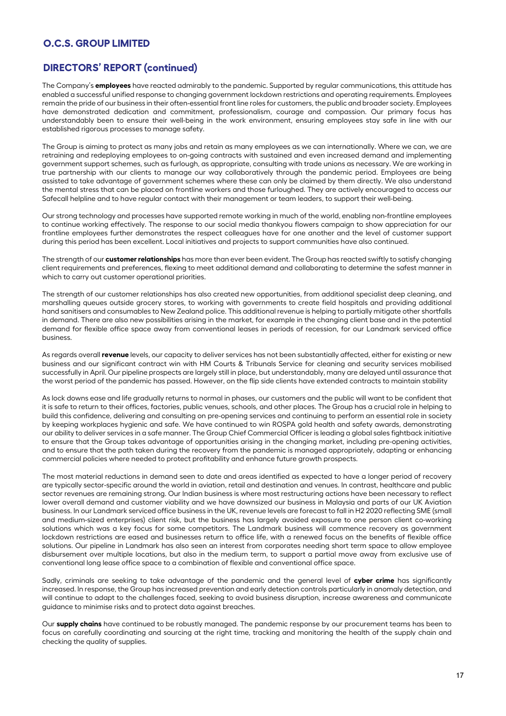# **DIRECTORS' REPORT (continued)**

The Company's **employees** have reacted admirably to the pandemic. Supported by regular communications, this attitude has enabled a successful unified response to changing government lockdown restrictions and operating requirements. Employees remain the pride of our business in their often-essential front line roles for customers, the public and broader society. Employees have demonstrated dedication and commitment, professionalism, courage and compassion. Our primary focus has understandably been to ensure their well-being in the work environment, ensuring employees stay safe in line with our established rigorous processes to manage safety.

The Group is aiming to protect as many jobs and retain as many employees as we can internationally. Where we can, we are retraining and redeploying employees to on-going contracts with sustained and even increased demand and implementing government support schemes, such as furlough, as appropriate, consulting with trade unions as necessary. We are working in true partnership with our clients to manage our way collaboratively through the pandemic period. Employees are being assisted to take advantage of government schemes where these can only be claimed by them directly. We also understand the mental stress that can be placed on frontline workers and those furloughed. They are actively encouraged to access our Safecall helpline and to have regular contact with their management or team leaders, to support their well-being.

Our strong technology and processes have supported remote working in much of the world, enabling non-frontline employees to continue working effectively. The response to our social media thankyou flowers campaign to show appreciation for our frontline employees further demonstrates the respect colleagues have for one another and the level of customer support during this period has been excellent. Local initiatives and projects to support communities have also continued.

The strength of our **customer relationships** has more than ever been evident. The Group has reacted swiftly to satisfy changing client requirements and preferences, flexing to meet additional demand and collaborating to determine the safest manner in which to carry out customer operational priorities.

The strength of our customer relationships has also created new opportunities, from additional specialist deep cleaning, and marshalling queues outside grocery stores, to working with governments to create field hospitals and providing additional hand sanitisers and consumables to New Zealand police. This additional revenue is helping to partially mitigate other shortfalls in demand. There are also new possibilities arising in the market, for example in the changing client base and in the potential demand for flexible office space away from conventional leases in periods of recession, for our Landmark serviced office business.

As regards overall **revenue** levels, our capacity to deliver services has not been substantially affected, either for existing or new business and our significant contract win with HM Courts & Tribunals Service for cleaning and security services mobilised successfully in April. Our pipeline prospects are largely still in place, but understandably, many are delayed until assurance that the worst period of the pandemic has passed. However, on the flip side clients have extended contracts to maintain stability

As lock downs ease and life gradually returns to normal in phases, our customers and the public will want to be confident that it is safe to return to their offices, factories, public venues, schools, and other places. The Group has a crucial role in helping to build this confidence, delivering and consulting on pre-opening services and continuing to perform an essential role in society by keeping workplaces hygienic and safe. We have continued to win ROSPA gold health and safety awards, demonstrating our ability to deliver services in a safe manner. The Group Chief Commercial Officer is leading a global sales fightback initiative to ensure that the Group takes advantage of opportunities arising in the changing market, including pre-opening activities, and to ensure that the path taken during the recovery from the pandemic is managed appropriately, adapting or enhancing commercial policies where needed to protect profitability and enhance future growth prospects.

The most material reductions in demand seen to date and areas identified as expected to have a longer period of recovery are typically sector-specific around the world in aviation, retail and destination and venues. In contrast, healthcare and public sector revenues are remaining strong. Our Indian business is where most restructuring actions have been necessary to reflect lower overall demand and customer viability and we have downsized our business in Malaysia and parts of our UK Aviation business. In our Landmark serviced office business in the UK, revenue levels are forecast to fall in H2 2020 reflecting SME (small and medium-sized enterprises) client risk, but the business has largely avoided exposure to one person client co-working solutions which was a key focus for some competitors. The Landmark business will commence recovery as government lockdown restrictions are eased and businesses return to office life, with a renewed focus on the benefits of flexible office solutions. Our pipeline in Landmark has also seen an interest from corporates needing short term space to allow employee disbursement over multiple locations, but also in the medium term, to support a partial move away from exclusive use of conventional long lease office space to a combination of flexible and conventional office space.

Sadly, criminals are seeking to take advantage of the pandemic and the general level of **cyber crime** has significantly increased. In response, the Group has increased prevention and early detection controls particularly in anomaly detection, and will continue to adapt to the challenges faced, seeking to avoid business disruption, increase awareness and communicate guidance to minimise risks and to protect data against breaches.

Our **supply chains** have continued to be robustly managed. The pandemic response by our procurement teams has been to focus on carefully coordinating and sourcing at the right time, tracking and monitoring the health of the supply chain and checking the quality of supplies.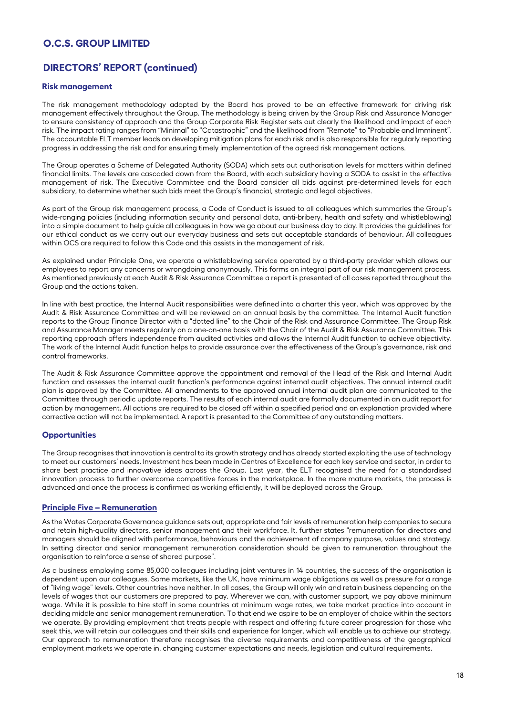# **DIRECTORS' REPORT (continued)**

#### **Risk management**

The risk management methodology adopted by the Board has proved to be an effective framework for driving risk management effectively throughout the Group. The methodology is being driven by the Group Risk and Assurance Manager to ensure consistency of approach and the Group Corporate Risk Register sets out clearly the likelihood and impact of each risk. The impact rating ranges from "Minimal" to "Catastrophic" and the likelihood from "Remote" to "Probable and Imminent". The accountable ELT member leads on developing mitigation plans for each risk and is also responsible for regularly reporting progress in addressing the risk and for ensuring timely implementation of the agreed risk management actions.

The Group operates a Scheme of Delegated Authority (SODA) which sets out authorisation levels for matters within defined financial limits. The levels are cascaded down from the Board, with each subsidiary having a SODA to assist in the effective management of risk. The Executive Committee and the Board consider all bids against pre-determined levels for each subsidiary, to determine whether such bids meet the Group's financial, strategic and legal objectives.

As part of the Group risk management process, a Code of Conduct is issued to all colleagues which summaries the Group's wide-ranging policies (including information security and personal data, anti-bribery, health and safety and whistleblowing) into a simple document to help guide all colleagues in how we go about our business day to day. It provides the guidelines for our ethical conduct as we carry out our everyday business and sets out acceptable standards of behaviour. All colleagues within OCS are required to follow this Code and this assists in the management of risk.

As explained under Principle One, we operate a whistleblowing service operated by a third-party provider which allows our employees to report any concerns or wrongdoing anonymously. This forms an integral part of our risk management process. As mentioned previously at each Audit & Risk Assurance Committee a report is presented of all cases reported throughout the Group and the actions taken.

In line with best practice, the Internal Audit responsibilities were defined into a charter this year, which was approved by the Audit & Risk Assurance Committee and will be reviewed on an annual basis by the committee. The Internal Audit function reports to the Group Finance Director with a "dotted line" to the Chair of the Risk and Assurance Committee. The Group Risk and Assurance Manager meets regularly on a one-on-one basis with the Chair of the Audit & Risk Assurance Committee. This reporting approach offers independence from audited activities and allows the Internal Audit function to achieve objectivity. The work of the Internal Audit function helps to provide assurance over the effectiveness of the Group's governance, risk and control frameworks.

The Audit & Risk Assurance Committee approve the appointment and removal of the Head of the Risk and Internal Audit function and assesses the internal audit function's performance against internal audit objectives. The annual internal audit plan is approved by the Committee. All amendments to the approved annual internal audit plan are communicated to the Committee through periodic update reports. The results of each internal audit are formally documented in an audit report for action by management. All actions are required to be closed off within a specified period and an explanation provided where corrective action will not be implemented. A report is presented to the Committee of any outstanding matters.

#### **Opportunities**

The Group recognises that innovation is central to its growth strategy and has already started exploiting the use of technology to meet our customers' needs. Investment has been made in Centres of Excellence for each key service and sector, in order to share best practice and innovative ideas across the Group. Last year, the ELT recognised the need for a standardised innovation process to further overcome competitive forces in the marketplace. In the more mature markets, the process is advanced and once the process is confirmed as working efficiently, it will be deployed across the Group.

#### **Principle Five – Remuneration**

As the Wates Corporate Governance guidance sets out, appropriate and fair levels of remuneration help companies to secure and retain high-quality directors, senior management and their workforce. It, further states "remuneration for directors and managers should be aligned with performance, behaviours and the achievement of company purpose, values and strategy. In setting director and senior management remuneration consideration should be given to remuneration throughout the organisation to reinforce a sense of shared purpose".

As a business employing some 85,000 colleagues including joint ventures in 14 countries, the success of the organisation is dependent upon our colleagues. Some markets, like the UK, have minimum wage obligations as well as pressure for a range of "living wage" levels. Other countries have neither. In all cases, the Group will only win and retain business depending on the levels of wages that our customers are prepared to pay. Wherever we can, with customer support, we pay above minimum wage. While it is possible to hire staff in some countries at minimum wage rates, we take market practice into account in deciding middle and senior management remuneration. To that end we aspire to be an employer of choice within the sectors we operate. By providing employment that treats people with respect and offering future career progression for those who seek this, we will retain our colleagues and their skills and experience for longer, which will enable us to achieve our strategy. Our approach to remuneration therefore recognises the diverse requirements and competitiveness of the geographical employment markets we operate in, changing customer expectations and needs, legislation and cultural requirements.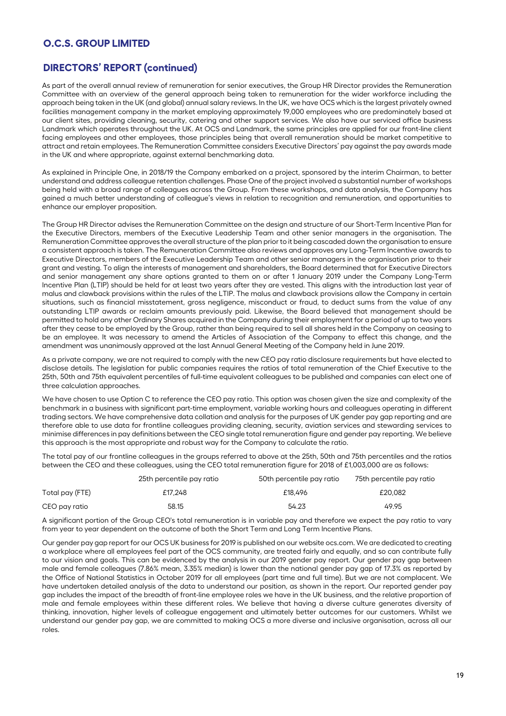# **DIRECTORS' REPORT (continued)**

As part of the overall annual review of remuneration for senior executives, the Group HR Director provides the Remuneration Committee with an overview of the general approach being taken to remuneration for the wider workforce including the approach being taken in the UK (and global) annual salary reviews. In the UK, we have OCS which is the largest privately owned facilities management company in the market employing approximately 19,000 employees who are predominately based at our client sites, providing cleaning, security, catering and other support services. We also have our serviced office business Landmark which operates throughout the UK. At OCS and Landmark, the same principles are applied for our front-line client facing employees and other employees, those principles being that overall remuneration should be market competitive to attract and retain employees. The Remuneration Committee considers Executive Directors' pay against the pay awards made in the UK and where appropriate, against external benchmarking data.

As explained in Principle One, in 2018/19 the Company embarked on a project, sponsored by the interim Chairman, to better understand and address colleague retention challenges. Phase One of the project involved a substantial number of workshops being held with a broad range of colleagues across the Group. From these workshops, and data analysis, the Company has gained a much better understanding of colleague's views in relation to recognition and remuneration, and opportunities to enhance our employer proposition.

The Group HR Director advises the Remuneration Committee on the design and structure of our Short-Term Incentive Plan for the Executive Directors, members of the Executive Leadership Team and other senior managers in the organisation. The Remuneration Committee approves the overall structure of the plan prior to it being cascaded down the organisation to ensure a consistent approach is taken. The Remuneration Committee also reviews and approves any Long-Term Incentive awards to Executive Directors, members of the Executive Leadership Team and other senior managers in the organisation prior to their grant and vesting. To align the interests of management and shareholders, the Board determined that for Executive Directors and senior management any share options granted to them on or after 1 January 2019 under the Company Long-Term Incentive Plan (LTIP) should be held for at least two years after they are vested. This aligns with the introduction last year of malus and clawback provisions within the rules of the LTIP. The malus and clawback provisions allow the Company in certain situations, such as financial misstatement, gross negligence, misconduct or fraud, to deduct sums from the value of any outstanding LTIP awards or reclaim amounts previously paid. Likewise, the Board believed that management should be permitted to hold any other Ordinary Shares acquired in the Company during their employment for a period of up to two years after they cease to be employed by the Group, rather than being required to sell all shares held in the Company on ceasing to be an employee. It was necessary to amend the Articles of Association of the Company to effect this change, and the amendment was unanimously approved at the last Annual General Meeting of the Company held in June 2019.

As a private company, we are not required to comply with the new CEO pay ratio disclosure requirements but have elected to disclose details. The legislation for public companies requires the ratios of total remuneration of the Chief Executive to the 25th, 50th and 75th equivalent percentiles of full-time equivalent colleagues to be published and companies can elect one of three calculation approaches.

We have chosen to use Option C to reference the CEO pay ratio. This option was chosen given the size and complexity of the benchmark in a business with significant part-time employment, variable working hours and colleagues operating in different trading sectors. We have comprehensive data collation and analysis for the purposes of UK gender pay gap reporting and are therefore able to use data for frontline colleagues providing cleaning, security, aviation services and stewarding services to minimise differences in pay definitions between the CEO single total remuneration figure and gender pay reporting. We believe this approach is the most appropriate and robust way for the Company to calculate the ratio.

The total pay of our frontline colleagues in the groups referred to above at the 25th, 50th and 75th percentiles and the ratios between the CEO and these colleagues, using the CEO total remuneration figure for 2018 of £1,003,000 are as follows:

|                 | 25th percentile pay ratio | 50th percentile pay ratio | 75th percentile pay ratio |
|-----------------|---------------------------|---------------------------|---------------------------|
| Total pay (FTE) | £17,248                   | £18,496                   | £20.082                   |
| CEO pay ratio   | 58.15                     | 54.23                     | 49.95                     |

A significant portion of the Group CEO's total remuneration is in variable pay and therefore we expect the pay ratio to vary from year to year dependent on the outcome of both the Short Term and Long Term Incentive Plans.

Our gender pay gap report for our OCS UK business for 2019 is published on our website ocs.com. We are dedicated to creating a workplace where all employees feel part of the OCS community, are treated fairly and equally, and so can contribute fully to our vision and goals. This can be evidenced by the analysis in our 2019 gender pay report. Our gender pay gap between male and female colleagues (7.86% mean, 3.35% median) is lower than the national gender pay gap of 17.3% as reported by the Office of National Statistics in October 2019 for all employees (part time and full time). But we are not complacent. We have undertaken detailed analysis of the data to understand our position, as shown in the report. Our reported gender pay gap includes the impact of the breadth of front-line employee roles we have in the UK business, and the relative proportion of male and female employees within these different roles. We believe that having a diverse culture generates diversity of thinking, innovation, higher levels of colleague engagement and ultimately better outcomes for our customers. Whilst we understand our gender pay gap, we are committed to making OCS a more diverse and inclusive organisation, across all our roles.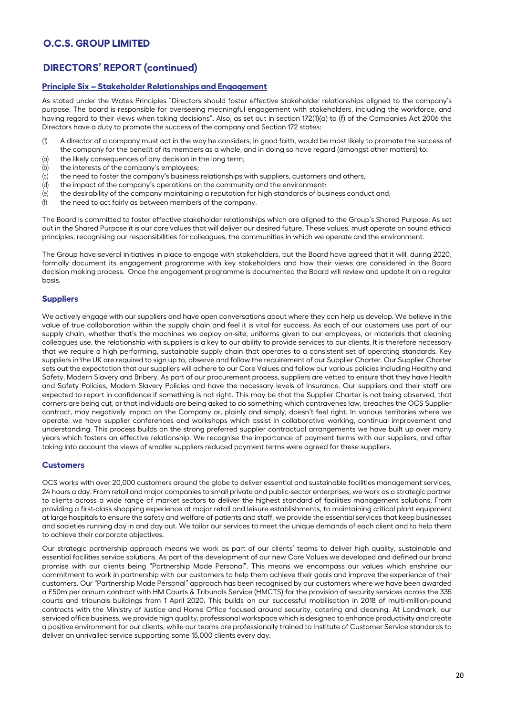# **DIRECTORS' REPORT (continued)**

### **Principle Six – Stakeholder Relationships and Engagement**

As stated under the Wates Principles "Directors should foster effective stakeholder relationships aligned to the company's purpose. The board is responsible for overseeing meaningful engagement with stakeholders, including the workforce, and having regard to their views when taking decisions". Also, as set out in section 172(1)(a) to (f) of the Companies Act 2006 the Directors have a duty to promote the success of the company and Section 172 states:

- (1) A director of a company must act in the way he considers, in good faith, would be most likely to promote the success of the company for the benefit of its members as a whole, and in doing so have regard (amongst other matters) to:
- (a) the likely consequences of any decision in the long term;
- (b) the interests of the company's employees;
- (c) the need to foster the company's business relationships with suppliers, customers and others;
- (d) the impact of the company's operations on the community and the environment;
- (e) the desirability of the company maintaining a reputation for high standards of business conduct and;
- $(f)$  the need to act fairly as between members of the company.

The Board is committed to foster effective stakeholder relationships which are aligned to the Group's Shared Purpose. As set out in the Shared Purpose it is our core values that will deliver our desired future. These values, must operate on sound ethical principles, recognising our responsibilities for colleagues, the communities in which we operate and the environment.

The Group have several initiatives in place to engage with stakeholders, but the Board have agreed that it will, during 2020, formally document its engagement programme with key stakeholders and how their views are considered in the Board decision making process. Once the engagement programme is documented the Board will review and update it on a regular basis.

### **Suppliers**

We actively engage with our suppliers and have open conversations about where they can help us develop. We believe in the value of true collaboration within the supply chain and feel it is vital for success. As each of our customers use part of our supply chain, whether that's the machines we deploy on-site, uniforms given to our employees, or materials that cleaning colleagues use, the relationship with suppliers is a key to our ability to provide services to our clients. It is therefore necessary that we require a high performing, sustainable supply chain that operates to a consistent set of operating standards. Key suppliers in the UK are required to sign up to, observe and follow the requirement of our Supplier Charter. Our Supplier Charter sets out the expectation that our suppliers will adhere to our Core Values and follow our various policies including Healthy and Safety, Modern Slavery and Bribery. As part of our procurement process, suppliers are vetted to ensure that they have Health and Safety Policies, Modern Slavery Policies and have the necessary levels of insurance. Our suppliers and their staff are expected to report in confidence if something is not right. This may be that the Supplier Charter is not being observed, that corners are being cut, or that individuals are being asked to do something which contravenes law, breaches the OCS Supplier contract, may negatively impact on the Company or, plainly and simply, doesn't feel right. In various territories where we operate, we have supplier conferences and workshops which assist in collaborative working, continual improvement and understanding. This process builds on the strong preferred supplier contractual arrangements we have built up over many years which fosters an effective relationship. We recognise the importance of payment terms with our suppliers, and after taking into account the views of smaller suppliers reduced payment terms were agreed for these suppliers.

### **Customers**

OCS works with over 20,000 customers around the globe to deliver essential and sustainable facilities management services, 24 hours a day. From retail and major companies to small private and public-sector enterprises, we work as a strategic partner to clients across a wide range of market sectors to deliver the highest standard of facilities management solutions. From providing a first-class shopping experience at major retail and leisure establishments, to maintaining critical plant equipment at large hospitals to ensure the safety and welfare of patients and staff, we provide the essential services that keep businesses and societies running day in and day out. We tailor our services to meet the unique demands of each client and to help them to achieve their corporate objectives.

Our strategic partnership approach means we work as part of our clients' teams to deliver high quality, sustainable and essential facilities service solutions. As part of the development of our new Core Values we developed and defined our brand promise with our clients being "Partnership Made Personal". This means we encompass our values which enshrine our commitment to work in partnership with our customers to help them achieve their goals and improve the experience of their customers. Our "Partnership Made Personal" approach has been recognised by our customers where we have been awarded a £50m per annum contract with HM Courts & Tribunals Service (HMCTS) for the provision of security services across the 335 courts and tribunals buildings from 1 April 2020. This builds on our successful mobilisation in 2018 of multi-million-pound contracts with the Ministry of Justice and Home Office focused around security, catering and cleaning. At Landmark, our serviced office business, we provide high quality, professional workspace which is designed to enhance productivity and create a positive environment for our clients, while our teams are professionally trained to Institute of Customer Service standards to deliver an unrivalled service supporting some 15,000 clients every day.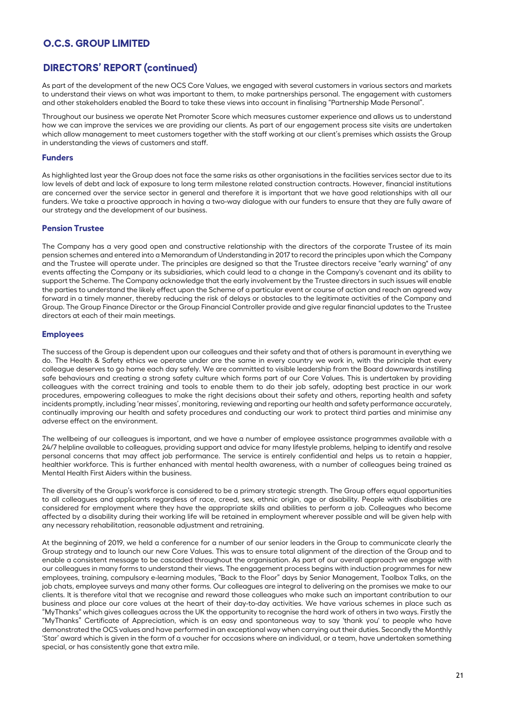# **DIRECTORS' REPORT (continued)**

As part of the development of the new OCS Core Values, we engaged with several customers in various sectors and markets to understand their views on what was important to them, to make partnerships personal. The engagement with customers and other stakeholders enabled the Board to take these views into account in finalising "Partnership Made Personal".

Throughout our business we operate Net Promoter Score which measures customer experience and allows us to understand how we can improve the services we are providing our clients. As part of our engagement process site visits are undertaken which allow management to meet customers together with the staff working at our client's premises which assists the Group in understanding the views of customers and staff.

### **Funders**

As highlighted last year the Group does not face the same risks as other organisations in the facilities services sector due to its low levels of debt and lack of exposure to long term milestone related construction contracts. However, financial institutions are concerned over the service sector in general and therefore it is important that we have good relationships with all our funders. We take a proactive approach in having a two-way dialogue with our funders to ensure that they are fully aware of our strategy and the development of our business.

### **Pension Trustee**

The Company has a very good open and constructive relationship with the directors of the corporate Trustee of its main pension schemes and entered into a Memorandum of Understanding in 2017 to record the principles upon which the Company and the Trustee will operate under. The principles are designed so that the Trustee directors receive "early warning" of any events affecting the Company or its subsidiaries, which could lead to a change in the Company's covenant and its ability to support the Scheme. The Company acknowledge that the early involvement by the Trustee directors in such issues will enable the parties to understand the likely effect upon the Scheme of a particular event or course of action and reach an agreed way forward in a timely manner, thereby reducing the risk of delays or obstacles to the legitimate activities of the Company and Group. The Group Finance Director or the Group Financial Controller provide and give regular financial updates to the Trustee directors at each of their main meetings.

### **Employees**

The success of the Group is dependent upon our colleagues and their safety and that of others is paramount in everything we do. The Health & Safety ethics we operate under are the same in every country we work in, with the principle that every colleague deserves to go home each day safely. We are committed to visible leadership from the Board downwards instilling safe behaviours and creating a strong safety culture which forms part of our Core Values. This is undertaken by providing colleagues with the correct training and tools to enable them to do their job safely, adopting best practice in our work procedures, empowering colleagues to make the right decisions about their safety and others, reporting health and safety incidents promptly, including 'near misses', monitoring, reviewing and reporting our health and safety performance accurately, continually improving our health and safety procedures and conducting our work to protect third parties and minimise any adverse effect on the environment.

The wellbeing of our colleagues is important, and we have a number of employee assistance programmes available with a 24/7 helpline available to colleagues, providing support and advice for many lifestyle problems, helping to identify and resolve personal concerns that may affect job performance. The service is entirely confidential and helps us to retain a happier, healthier workforce. This is further enhanced with mental health awareness, with a number of colleagues being trained as Mental Health First Aiders within the business.

The diversity of the Group's workforce is considered to be a primary strategic strength. The Group offers equal opportunities to all colleagues and applicants regardless of race, creed, sex, ethnic origin, age or disability. People with disabilities are considered for employment where they have the appropriate skills and abilities to perform a job. Colleagues who become affected by a disability during their working life will be retained in employment wherever possible and will be given help with any necessary rehabilitation, reasonable adjustment and retraining.

At the beginning of 2019, we held a conference for a number of our senior leaders in the Group to communicate clearly the Group strategy and to launch our new Core Values. This was to ensure total alignment of the direction of the Group and to enable a consistent message to be cascaded throughout the organisation. As part of our overall approach we engage with our colleagues in many forms to understand their views. The engagement process begins with induction programmes for new employees, training, compulsory e-learning modules, "Back to the Floor" days by Senior Management, Toolbox Talks, on the job chats, employee surveys and many other forms. Our colleagues are integral to delivering on the promises we make to our clients. It is therefore vital that we recognise and reward those colleagues who make such an important contribution to our business and place our core values at the heart of their day-to-day activities. We have various schemes in place such as "MyThanks" which gives colleagues across the UK the opportunity to recognise the hard work of others in two ways. Firstly the "MyThanks" Certificate of Appreciation, which is an easy and spontaneous way to say 'thank you' to people who have demonstrated the OCS values and have performed in an exceptional way when carrying out their duties. Secondly the Monthly 'Star' award which is given in the form of a voucher for occasions where an individual, or a team, have undertaken something special, or has consistently gone that extra mile.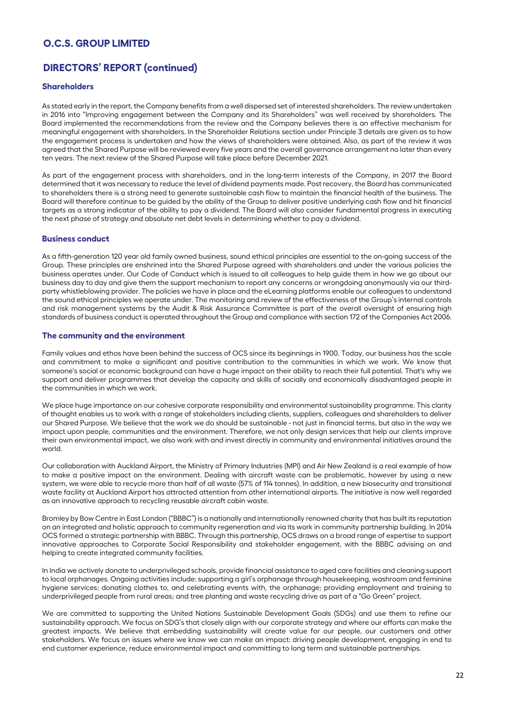# **DIRECTORS' REPORT (continued)**

### **Shareholders**

As stated early in the report, the Company benefits from a well dispersed set of interested shareholders. The review undertaken in 2016 into "Improving engagement between the Company and its Shareholders" was well received by shareholders. The Board implemented the recommendations from the review and the Company believes there is an effective mechanism for meaningful engagement with shareholders. In the Shareholder Relations section under Principle 3 details are given as to how the engagement process is undertaken and how the views of shareholders were obtained. Also, as part of the review it was agreed that the Shared Purpose will be reviewed every five years and the overall governance arrangement no later than every ten years. The next review of the Shared Purpose will take place before December 2021.

As part of the engagement process with shareholders, and in the long-term interests of the Company, in 2017 the Board determined that it was necessary to reduce the level of dividend payments made. Post recovery, the Board has communicated to shareholders there is a strong need to generate sustainable cash flow to maintain the financial health of the business. The Board will therefore continue to be guided by the ability of the Group to deliver positive underlying cash flow and hit financial targets as a strong indicator of the ability to pay a dividend. The Board will also consider fundamental progress in executing the next phase of strategy and absolute net debt levels in determining whether to pay a dividend.

#### **Business conduct**

As a fifth-generation 120 year old family owned business, sound ethical principles are essential to the on-going success of the Group. These principles are enshrined into the Shared Purpose agreed with shareholders and under the various policies the business operates under. Our Code of Conduct which is issued to all colleagues to help guide them in how we go about our business day to day and give them the support mechanism to report any concerns or wrongdoing anonymously via our thirdparty whistleblowing provider. The policies we have in place and the eLearning platforms enable our colleagues to understand the sound ethical principles we operate under. The monitoring and review of the effectiveness of the Group's internal controls and risk management systems by the Audit & Risk Assurance Committee is part of the overall oversight of ensuring high standards of business conduct is operated throughout the Group and compliance with section 172 of the Companies Act 2006.

#### **The community and the environment**

Family values and ethos have been behind the success of OCS since its beginnings in 1900. Today, our business has the scale and commitment to make a significant and positive contribution to the communities in which we work. We know that someone's social or economic background can have a huge impact on their ability to reach their full potential. That's why we support and deliver programmes that develop the capacity and skills of socially and economically disadvantaged people in the communities in which we work.

We place huge importance on our cohesive corporate responsibility and environmental sustainability programme. This clarity of thought enables us to work with a range of stakeholders including clients, suppliers, colleagues and shareholders to deliver our Shared Purpose. We believe that the work we do should be sustainable - not just in financial terms, but also in the way we impact upon people, communities and the environment. Therefore, we not only design services that help our clients improve their own environmental impact, we also work with and invest directly in community and environmental initiatives around the world.

Our collaboration with Auckland Airport, the Ministry of Primary Industries (MPI) and Air New Zealand is a real example of how to make a positive impact on the environment. Dealing with aircraft waste can be problematic, however by using a new system, we were able to recycle more than half of all waste (57% of 114 tonnes). In addition, a new biosecurity and transitional waste facility at Auckland Airport has attracted attention from other international airports. The initiative is now well regarded as an innovative approach to recycling reusable aircraft cabin waste.

Bromley by Bow Centre in East London ("BBBC") is a nationally and internationally renowned charity that has built its reputation on an integrated and holistic approach to community regeneration and via its work in community partnership building. In 2014 OCS formed a strategic partnership with BBBC. Through this partnership, OCS draws on a broad range of expertise to support innovative approaches to Corporate Social Responsibility and stakeholder engagement, with the BBBC advising on and helping to create integrated community facilities.

In India we actively donate to underprivileged schools, provide financial assistance to aged care facilities and cleaning support to local orphanages. Ongoing activities include: supporting a girl's orphanage through housekeeping, washroom and feminine hygiene services; donating clothes to, and celebrating events with, the orphanage; providing employment and training to underprivileged people from rural areas; and tree planting and waste recycling drive as part of a "Go Green" project.

We are committed to supporting the United Nations Sustainable Development Goals (SDGs) and use them to refine our sustainability approach. We focus on SDG's that closely align with our corporate strategy and where our efforts can make the greatest impacts. We believe that embedding sustainability will create value for our people, our customers and other stakeholders. We focus on issues where we know we can make an impact: driving people development, engaging in end to end customer experience, reduce environmental impact and committing to long term and sustainable partnerships.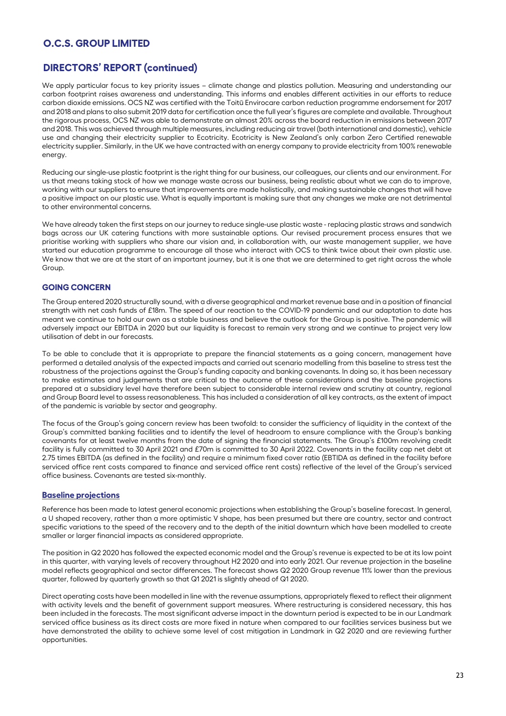# **DIRECTORS' REPORT (continued)**

We apply particular focus to key priority issues – climate change and plastics pollution. Measuring and understanding our carbon footprint raises awareness and understanding. This informs and enables different activities in our efforts to reduce carbon dioxide emissions. OCS NZ was certified with the Toitū Envirocare carbon reduction programme endorsement for 2017 and 2018 and plans to also submit 2019 data for certification once the full year's figures are complete and available. Throughout the rigorous process, OCS NZ was able to demonstrate an almost 20% across the board reduction in emissions between 2017 and 2018. This was achieved through multiple measures, including reducing air travel (both international and domestic), vehicle use and changing their electricity supplier to Ecotricity. Ecotricity is New Zealand's only carbon Zero Certified renewable electricity supplier. Similarly, in the UK we have contracted with an energy company to provide electricity from 100% renewable energy.

Reducing our single-use plastic footprint is the right thing for our business, our colleagues, our clients and our environment. For us that means taking stock of how we manage waste across our business, being realistic about what we can do to improve, working with our suppliers to ensure that improvements are made holistically, and making sustainable changes that will have a positive impact on our plastic use. What is equally important is making sure that any changes we make are not detrimental to other environmental concerns.

We have already taken the first steps on our journey to reduce single-use plastic waste - replacing plastic straws and sandwich bags across our UK catering functions with more sustainable options. Our revised procurement process ensures that we prioritise working with suppliers who share our vision and, in collaboration with, our waste management supplier, we have started our education programme to encourage all those who interact with OCS to think twice about their own plastic use. We know that we are at the start of an important journey, but it is one that we are determined to get right across the whole Group.

### **GOING CONCERN**

The Group entered 2020 structurally sound, with a diverse geographical and market revenue base and in a position of financial strength with net cash funds of £18m. The speed of our reaction to the COVID-19 pandemic and our adaptation to date has meant we continue to hold our own as a stable business and believe the outlook for the Group is positive. The pandemic will adversely impact our EBITDA in 2020 but our liquidity is forecast to remain very strong and we continue to project very low utilisation of debt in our forecasts.

To be able to conclude that it is appropriate to prepare the financial statements as a going concern, management have performed a detailed analysis of the expected impacts and carried out scenario modelling from this baseline to stress test the robustness of the projections against the Group's funding capacity and banking covenants. In doing so, it has been necessary to make estimates and judgements that are critical to the outcome of these considerations and the baseline projections prepared at a subsidiary level have therefore been subject to considerable internal review and scrutiny at country, regional and Group Board level to assess reasonableness. This has included a consideration of all key contracts, as the extent of impact of the pandemic is variable by sector and geography.

The focus of the Group's going concern review has been twofold: to consider the sufficiency of liquidity in the context of the Group's committed banking facilities and to identify the level of headroom to ensure compliance with the Group's banking covenants for at least twelve months from the date of signing the financial statements. The Group's £100m revolving credit facility is fully committed to 30 April 2021 and £70m is committed to 30 April 2022. Covenants in the facility cap net debt at 2.75 times EBITDA (as defined in the facility) and require a minimum fixed cover ratio (EBTIDA as defined in the facility before serviced office rent costs compared to finance and serviced office rent costs) reflective of the level of the Group's serviced office business. Covenants are tested six-monthly.

#### **Baseline projections**

Reference has been made to latest general economic projections when establishing the Group's baseline forecast. In general, a U shaped recovery, rather than a more optimistic V shape, has been presumed but there are country, sector and contract specific variations to the speed of the recovery and to the depth of the initial downturn which have been modelled to create smaller or larger financial impacts as considered appropriate.

The position in Q2 2020 has followed the expected economic model and the Group's revenue is expected to be at its low point in this quarter, with varying levels of recovery throughout H2 2020 and into early 2021. Our revenue projection in the baseline model reflects geographical and sector differences. The forecast shows Q2 2020 Group revenue 11% lower than the previous quarter, followed by quarterly growth so that Q1 2021 is slightly ahead of Q1 2020.

Direct operating costs have been modelled in line with the revenue assumptions, appropriately flexed to reflect their alignment with activity levels and the benefit of government support measures. Where restructuring is considered necessary, this has been included in the forecasts. The most significant adverse impact in the downturn period is expected to be in our Landmark serviced office business as its direct costs are more fixed in nature when compared to our facilities services business but we have demonstrated the ability to achieve some level of cost mitigation in Landmark in Q2 2020 and are reviewing further opportunities.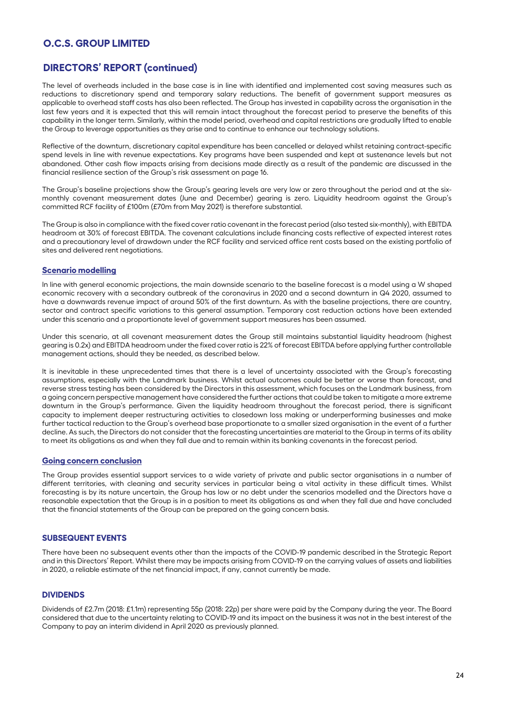# **DIRECTORS' REPORT (continued)**

The level of overheads included in the base case is in line with identified and implemented cost saving measures such as reductions to discretionary spend and temporary salary reductions. The benefit of government support measures as applicable to overhead staff costs has also been reflected. The Group has invested in capability across the organisation in the last few years and it is expected that this will remain intact throughout the forecast period to preserve the benefits of this capability in the longer term. Similarly, within the model period, overhead and capital restrictions are gradually lifted to enable the Group to leverage opportunities as they arise and to continue to enhance our technology solutions.

Reflective of the downturn, discretionary capital expenditure has been cancelled or delayed whilst retaining contract-specific spend levels in line with revenue expectations. Key programs have been suspended and kept at sustenance levels but not abandoned. Other cash flow impacts arising from decisions made directly as a result of the pandemic are discussed in the financial resilience section of the Group's risk assessment on page 16.

The Group's baseline projections show the Group's gearing levels are very low or zero throughout the period and at the sixmonthly covenant measurement dates (June and December) gearing is zero. Liquidity headroom against the Group's committed RCF facility of £100m (£70m from May 2021) is therefore substantial.

The Group is also in compliance with the fixed cover ratio covenant in the forecast period (also tested six-monthly), with EBITDA headroom at 30% of forecast EBITDA. The covenant calculations include financing costs reflective of expected interest rates and a precautionary level of drawdown under the RCF facility and serviced office rent costs based on the existing portfolio of sites and delivered rent negotiations.

#### **Scenario modelling**

In line with general economic projections, the main downside scenario to the baseline forecast is a model using a W shaped economic recovery with a secondary outbreak of the coronavirus in 2020 and a second downturn in Q4 2020, assumed to have a downwards revenue impact of around 50% of the first downturn. As with the baseline projections, there are country, sector and contract specific variations to this general assumption. Temporary cost reduction actions have been extended under this scenario and a proportionate level of government support measures has been assumed.

Under this scenario, at all covenant measurement dates the Group still maintains substantial liquidity headroom (highest gearing is 0.2x) and EBITDA headroom under the fixed cover ratio is 22% of forecast EBITDA before applying further controllable management actions, should they be needed, as described below.

It is inevitable in these unprecedented times that there is a level of uncertainty associated with the Group's forecasting assumptions, especially with the Landmark business. Whilst actual outcomes could be better or worse than forecast, and reverse stress testing has been considered by the Directors in this assessment, which focuses on the Landmark business, from a going concern perspective management have considered the further actions that could be taken to mitigate a more extreme downturn in the Group's performance. Given the liquidity headroom throughout the forecast period, there is significant capacity to implement deeper restructuring activities to closedown loss making or underperforming businesses and make further tactical reduction to the Group's overhead base proportionate to a smaller sized organisation in the event of a further decline. As such, the Directors do not consider that the forecasting uncertainties are material to the Group in terms of its ability to meet its obligations as and when they fall due and to remain within its banking covenants in the forecast period.

### **Going concern conclusion**

The Group provides essential support services to a wide variety of private and public sector organisations in a number of different territories, with cleaning and security services in particular being a vital activity in these difficult times. Whilst forecasting is by its nature uncertain, the Group has low or no debt under the scenarios modelled and the Directors have a reasonable expectation that the Group is in a position to meet its obligations as and when they fall due and have concluded that the financial statements of the Group can be prepared on the going concern basis.

### **SUBSEQUENT EVENTS**

There have been no subsequent events other than the impacts of the COVID-19 pandemic described in the Strategic Report and in this Directors' Report. Whilst there may be impacts arising from COVID-19 on the carrying values of assets and liabilities in 2020, a reliable estimate of the net financial impact, if any, cannot currently be made.

### **DIVIDENDS**

Dividends of £2.7m (2018: £1.1m) representing 55p (2018: 22p) per share were paid by the Company during the year. The Board considered that due to the uncertainty relating to COVID-19 and its impact on the business it was not in the best interest of the Company to pay an interim dividend in April 2020 as previously planned.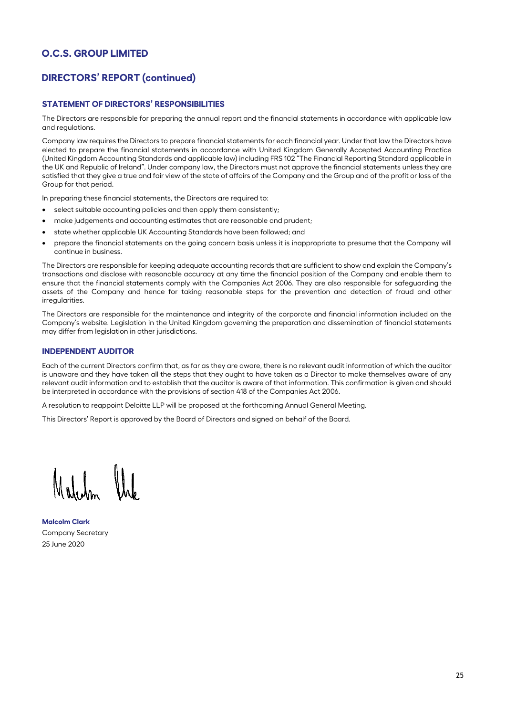# **DIRECTORS' REPORT (continued)**

### **STATEMENT OF DIRECTORS' RESPONSIBILITIES**

The Directors are responsible for preparing the annual report and the financial statements in accordance with applicable law and regulations.

Company law requires the Directors to prepare financial statements for each financial year. Under that law the Directors have elected to prepare the financial statements in accordance with United Kingdom Generally Accepted Accounting Practice (United Kingdom Accounting Standards and applicable law) including FRS 102 "The Financial Reporting Standard applicable in the UK and Republic of Ireland". Under company law, the Directors must not approve the financial statements unless they are satisfied that they give a true and fair view of the state of affairs of the Company and the Group and of the profit or loss of the Group for that period.

In preparing these financial statements, the Directors are required to:

- select suitable accounting policies and then apply them consistently;
- make judgements and accounting estimates that are reasonable and prudent;
- state whether applicable UK Accounting Standards have been followed; and
- prepare the financial statements on the going concern basis unless it is inappropriate to presume that the Company will continue in business.

The Directors are responsible for keeping adequate accounting records that are sufficient to show and explain the Company's transactions and disclose with reasonable accuracy at any time the financial position of the Company and enable them to ensure that the financial statements comply with the Companies Act 2006. They are also responsible for safeguarding the assets of the Company and hence for taking reasonable steps for the prevention and detection of fraud and other irregularities.

The Directors are responsible for the maintenance and integrity of the corporate and financial information included on the Company's website. Legislation in the United Kingdom governing the preparation and dissemination of financial statements may differ from legislation in other jurisdictions.

### **INDEPENDENT AUDITOR**

Each of the current Directors confirm that, as far as they are aware, there is no relevant audit information of which the auditor is unaware and they have taken all the steps that they ought to have taken as a Director to make themselves aware of any relevant audit information and to establish that the auditor is aware of that information. This confirmation is given and should be interpreted in accordance with the provisions of section 418 of the Companies Act 2006.

A resolution to reappoint Deloitte LLP will be proposed at the forthcoming Annual General Meeting.

This Directors' Report is approved by the Board of Directors and signed on behalf of the Board.

**Malcolm Clark**  Company Secretary 25 June 2020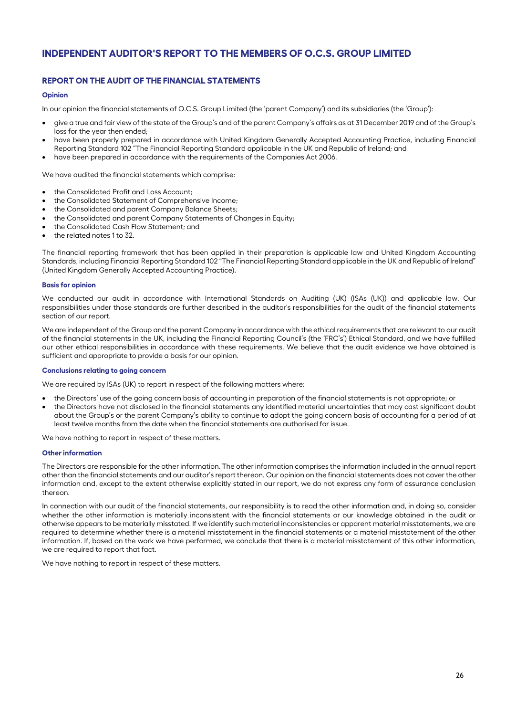# **INDEPENDENT AUDITOR'S REPORT TO THE MEMBERS OF O.C.S. GROUP LIMITED**

## **REPORT ON THE AUDIT OF THE FINANCIAL STATEMENTS**

#### **Opinion**

In our opinion the financial statements of O.C.S. Group Limited (the 'parent Company') and its subsidiaries (the 'Group'):

- give a true and fair view of the state of the Group's and of the parent Company's affairs as at 31 December 2019 and of the Group's loss for the year then ended;
- have been properly prepared in accordance with United Kingdom Generally Accepted Accounting Practice, including Financial Reporting Standard 102 "The Financial Reporting Standard applicable in the UK and Republic of Ireland; and
- have been prepared in accordance with the requirements of the Companies Act 2006.

We have audited the financial statements which comprise:

- the Consolidated Profit and Loss Account;
- the Consolidated Statement of Comprehensive Income;
- the Consolidated and parent Company Balance Sheets;
- the Consolidated and parent Company Statements of Changes in Equity;
- the Consolidated Cash Flow Statement; and
- the related notes 1 to 32.

The financial reporting framework that has been applied in their preparation is applicable law and United Kingdom Accounting Standards, including Financial Reporting Standard 102 "The Financial Reporting Standard applicable in the UK and Republic of Ireland" (United Kingdom Generally Accepted Accounting Practice).

#### **Basis for opinion**

We conducted our audit in accordance with International Standards on Auditing (UK) (ISAs (UK)) and applicable law. Our responsibilities under those standards are further described in the auditor's responsibilities for the audit of the financial statements section of our report.

We are independent of the Group and the parent Company in accordance with the ethical requirements that are relevant to our audit of the financial statements in the UK, including the Financial Reporting Council's (the 'FRC's') Ethical Standard, and we have fulfilled our other ethical responsibilities in accordance with these requirements. We believe that the audit evidence we have obtained is sufficient and appropriate to provide a basis for our opinion.

#### **Conclusions relating to going concern**

We are required by ISAs (UK) to report in respect of the following matters where:

- the Directors' use of the going concern basis of accounting in preparation of the financial statements is not appropriate; or
- the Directors have not disclosed in the financial statements any identified material uncertainties that may cast significant doubt about the Group's or the parent Company's ability to continue to adopt the going concern basis of accounting for a period of at least twelve months from the date when the financial statements are authorised for issue.

We have nothing to report in respect of these matters.

#### **Other information**

The Directors are responsible for the other information. The other information comprises the information included in the annual report other than the financial statements and our auditor's report thereon. Our opinion on the financial statements does not cover the other information and, except to the extent otherwise explicitly stated in our report, we do not express any form of assurance conclusion thereon.

In connection with our audit of the financial statements, our responsibility is to read the other information and, in doing so, consider whether the other information is materially inconsistent with the financial statements or our knowledge obtained in the audit or otherwise appears to be materially misstated. If we identify such material inconsistencies or apparent material misstatements, we are required to determine whether there is a material misstatement in the financial statements or a material misstatement of the other information. If, based on the work we have performed, we conclude that there is a material misstatement of this other information, we are required to report that fact.

We have nothing to report in respect of these matters.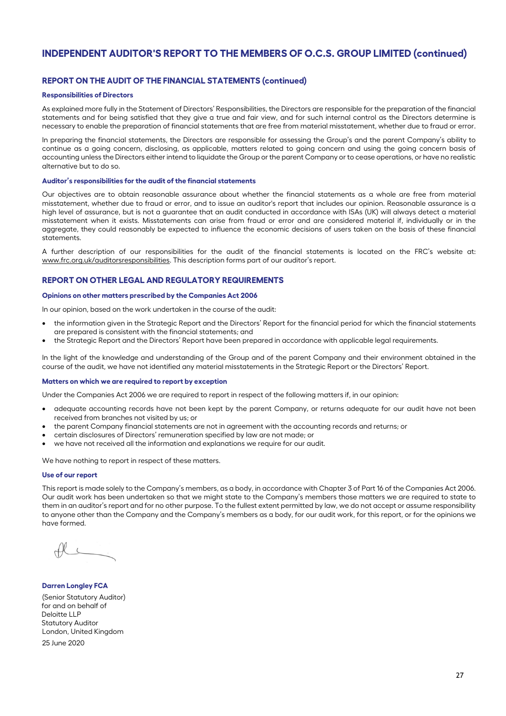# **INDEPENDENT AUDITOR'S REPORT TO THE MEMBERS OF O.C.S. GROUP LIMITED (continued)**

### **REPORT ON THE AUDIT OF THE FINANCIAL STATEMENTS (continued)**

#### **Responsibilities of Directors**

As explained more fully in the Statement of Directors' Responsibilities, the Directors are responsible for the preparation of the financial statements and for being satisfied that they give a true and fair view, and for such internal control as the Directors determine is necessary to enable the preparation of financial statements that are free from material misstatement, whether due to fraud or error.

In preparing the financial statements, the Directors are responsible for assessing the Group's and the parent Company's ability to continue as a going concern, disclosing, as applicable, matters related to going concern and using the going concern basis of accounting unless the Directors either intend to liquidate the Group or the parent Company or to cease operations, or have no realistic alternative but to do so.

#### **Auditor's responsibilities for the audit of the financial statements**

Our objectives are to obtain reasonable assurance about whether the financial statements as a whole are free from material misstatement, whether due to fraud or error, and to issue an auditor's report that includes our opinion. Reasonable assurance is a high level of assurance, but is not a guarantee that an audit conducted in accordance with ISAs (UK) will always detect a material misstatement when it exists. Misstatements can arise from fraud or error and are considered material if, individually or in the aggregate, they could reasonably be expected to influence the economic decisions of users taken on the basis of these financial statements.

A further description of our responsibilities for the audit of the financial statements is located on the FRC's website at: www.frc.org.uk/auditorsresponsibilities. This description forms part of our auditor's report.

#### **REPORT ON OTHER LEGAL AND REGULATORY REQUIREMENTS**

#### **Opinions on other matters prescribed by the Companies Act 2006**

In our opinion, based on the work undertaken in the course of the audit:

- the information given in the Strategic Report and the Directors' Report for the financial period for which the financial statements are prepared is consistent with the financial statements; and
- the Strategic Report and the Directors' Report have been prepared in accordance with applicable legal requirements.

In the light of the knowledge and understanding of the Group and of the parent Company and their environment obtained in the course of the audit, we have not identified any material misstatements in the Strategic Report or the Directors' Report.

#### **Matters on which we are required to report by exception**

Under the Companies Act 2006 we are required to report in respect of the following matters if, in our opinion:

- adequate accounting records have not been kept by the parent Company, or returns adequate for our audit have not been received from branches not visited by us; or
- the parent Company financial statements are not in agreement with the accounting records and returns; or
- certain disclosures of Directors' remuneration specified by law are not made; or
- we have not received all the information and explanations we require for our audit.

We have nothing to report in respect of these matters.

#### **Use of our report**

This report is made solely to the Company's members, as a body, in accordance with Chapter 3 of Part 16 of the Companies Act 2006. Our audit work has been undertaken so that we might state to the Company's members those matters we are required to state to them in an auditor's report and for no other purpose. To the fullest extent permitted by law, we do not accept or assume responsibility to anyone other than the Company and the Company's members as a body, for our audit work, for this report, or for the opinions we have formed.

**Darren Longley FCA**  (Senior Statutory Auditor) for and on behalf of Deloitte LLP Statutory Auditor London, United Kingdom 25 June 2020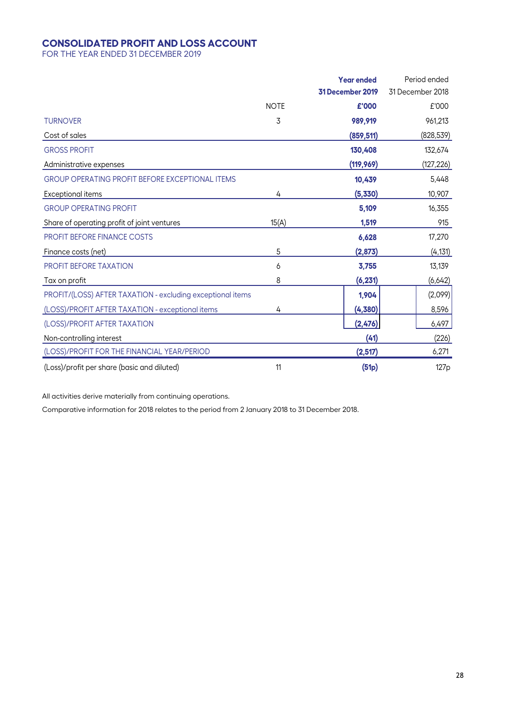# **CONSOLIDATED PROFIT AND LOSS ACCOUNT**

FOR THE YEAR ENDED 31 DECEMBER 2019

|                                                            |             | <b>Year ended</b> | Period ended     |
|------------------------------------------------------------|-------------|-------------------|------------------|
|                                                            |             | 31 December 2019  | 31 December 2018 |
|                                                            | <b>NOTE</b> | £'000             | £'000            |
| <b>TURNOVER</b>                                            | 3           | 989,919           | 961,213          |
| Cost of sales                                              |             | (859, 511)        | (828, 539)       |
| <b>GROSS PROFIT</b>                                        |             | 130,408           | 132,674          |
| Administrative expenses                                    |             | (119, 969)        | <u>(127,226)</u> |
| <b>GROUP OPERATING PROFIT BEFORE EXCEPTIONAL ITEMS</b>     |             | 10,439            | 5,448            |
| Exceptional items                                          | 4           | (5,330)           | 10,907           |
| <b>GROUP OPERATING PROFIT</b>                              |             | 5,109             | 16,355           |
| Share of operating profit of joint ventures                | 15(A)       | 1,519             | 915              |
| <b>PROFIT BEFORE FINANCE COSTS</b>                         |             | 6,628             | 17,270           |
| Finance costs (net)                                        | 5           | (2,873)           | (4, 131)         |
| <b>PROFIT BEFORE TAXATION</b>                              | 6           | 3,755             | 13,139           |
| Tax on profit                                              | 8           | (6, 231)          | (6,642)          |
| PROFIT/(LOSS) AFTER TAXATION - excluding exceptional items |             | 1,904             | (2,099)          |
| (LOSS)/PROFIT AFTER TAXATION - exceptional items           | 4           | (4,380)           | 8,596            |
| (LOSS)/PROFIT AFTER TAXATION                               |             | (2,476)           | 6,497            |
| Non-controlling interest                                   |             | (41)              | (226)            |
| (LOSS)/PROFIT FOR THE FINANCIAL YEAR/PERIOD                |             | (2,517)           | 6,271            |
| (Loss)/profit per share (basic and diluted)                | 11          | (51p)             | 127 <sub>p</sub> |

All activities derive materially from continuing operations.

Comparative information for 2018 relates to the period from 2 January 2018 to 31 December 2018.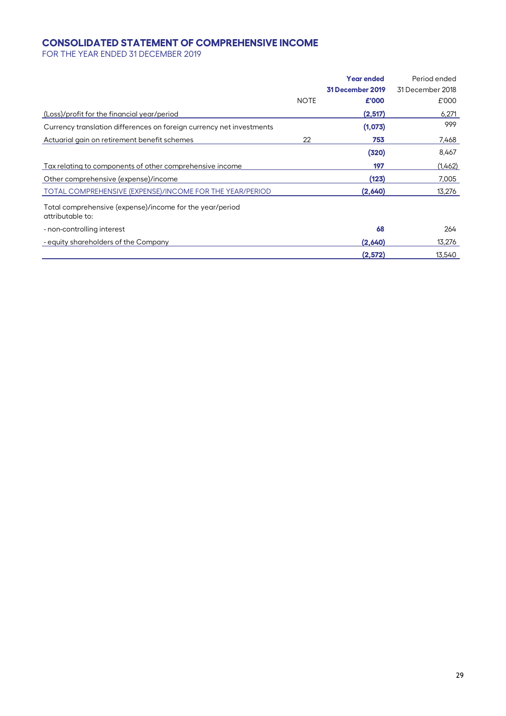# **CONSOLIDATED STATEMENT OF COMPREHENSIVE INCOME**

FOR THE YEAR ENDED 31 DECEMBER 2019

|                                                                              |             | <b>Year ended</b> | Period ended     |
|------------------------------------------------------------------------------|-------------|-------------------|------------------|
|                                                                              |             | 31 December 2019  | 31 December 2018 |
|                                                                              | <b>NOTE</b> | £'000             | £'000            |
| (Loss)/profit for the financial year/period                                  |             | (2,517)           | 6,271            |
| Currency translation differences on foreign currency net investments         |             | (1,073)           | 999              |
| Actuarial gain on retirement benefit schemes                                 | 22          | 753               | 7,468            |
|                                                                              |             | (320)             | 8,467            |
| Tax relating to components of other comprehensive income                     |             | 197               | (1,462)          |
| Other comprehensive (expense)/income                                         |             | (123)             | 7,005            |
| TOTAL COMPREHENSIVE (EXPENSE)/INCOME FOR THE YEAR/PERIOD                     |             | (2,640)           | 13,276           |
| Total comprehensive (expense)/income for the year/period<br>attributable to: |             |                   |                  |
| - non-controlling interest                                                   |             | 68                | 264              |
| - equity shareholders of the Company                                         |             | (2,640)           | 13,276           |
|                                                                              |             | (2,572)           | 13,540           |
|                                                                              |             |                   |                  |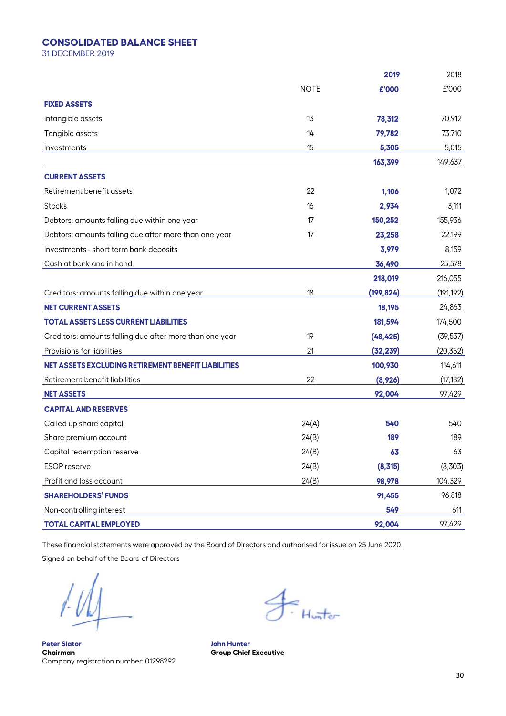## **CONSOLIDATED BALANCE SHEET**

31 DECEMBER 2019

|                                                         |             | 2019       | 2018       |
|---------------------------------------------------------|-------------|------------|------------|
|                                                         | <b>NOTE</b> | £'000      | £'000      |
| <b>FIXED ASSETS</b>                                     |             |            |            |
| Intangible assets                                       | 13          | 78,312     | 70,912     |
| Tangible assets                                         | 14          | 79,782     | 73,710     |
| Investments                                             | 15          | 5,305      | 5,015      |
|                                                         |             | 163,399    | 149,637    |
| <b>CURRENT ASSETS</b>                                   |             |            |            |
| Retirement benefit assets                               | 22          | 1,106      | 1,072      |
| <b>Stocks</b>                                           | 16          | 2,934      | 3,111      |
| Debtors: amounts falling due within one year            | 17          | 150,252    | 155,936    |
| Debtors: amounts falling due after more than one year   | 17          | 23,258     | 22,199     |
| Investments - short term bank deposits                  |             | 3,979      | 8,159      |
| Cash at bank and in hand                                |             | 36,490     | 25,578     |
|                                                         |             | 218,019    | 216,055    |
| Creditors: amounts falling due within one year          | 18          | (199, 824) | (191, 192) |
| <b>NET CURRENT ASSETS</b>                               |             | 18,195     | 24,863     |
| <b>TOTAL ASSETS LESS CURRENT LIABILITIES</b>            |             | 181,594    | 174,500    |
| Creditors: amounts falling due after more than one year | 19          | (48, 425)  | (39, 537)  |
| Provisions for liabilities                              | 21          | (32, 239)  | (20, 352)  |
| NET ASSETS EXCLUDING RETIREMENT BENEFIT LIABILITIES     |             | 100,930    | 114,611    |
| Retirement benefit liabilities                          | 22          | (8,926)    | (17, 182)  |
| <b>NET ASSETS</b>                                       |             | 92,004     | 97,429     |
| <b>CAPITAL AND RESERVES</b>                             |             |            |            |
| Called up share capital                                 | 24(A)       | 540        | 540        |
| Share premium account                                   | 24(B)       | 189        | 189        |
| Capital redemption reserve                              | 24(B)       | 63         | 63         |
| <b>ESOP</b> reserve                                     | 24(B)       | (8,315)    | (8,303)    |
| Profit and loss account                                 | 24(B)       | 98,978     | 104,329    |
| <b>SHAREHOLDERS' FUNDS</b>                              |             | 91,455     | 96,818     |
| Non-controlling interest                                |             | 549        | 611        |
| <b>TOTAL CAPITAL EMPLOYED</b>                           |             | 92,004     | 97,429     |

These financial statements were approved by the Board of Directors and authorised for issue on 25 June 2020.

Signed on behalf of the Board of Directors

**Peter Slator John Hunter**  Company registration number: 01298292

 $\overline{f}$ : Hunter

**Group Chief Executive**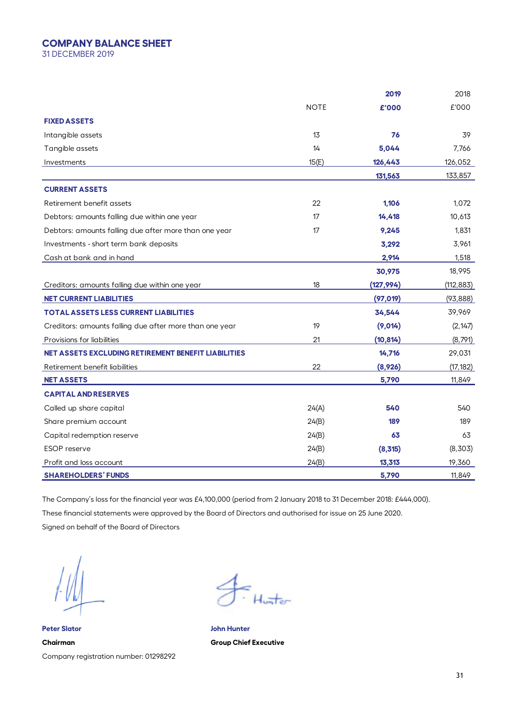## **COMPANY BALANCE SHEET**

31 DECEMBER 2019

|                                                            |             | 2019       | 2018       |
|------------------------------------------------------------|-------------|------------|------------|
|                                                            | <b>NOTE</b> | £'000      | £'000      |
| <b>FIXED ASSETS</b>                                        |             |            |            |
| Intangible assets                                          | 13          | 76         | 39         |
| Tangible assets                                            | 14          | 5,044      | 7,766      |
| Investments                                                | 15(E)       | 126,443    | 126,052    |
|                                                            |             | 131,563    | 133,857    |
| <b>CURRENT ASSETS</b>                                      |             |            |            |
| Retirement benefit assets                                  | 22          | 1,106      | 1,072      |
| Debtors: amounts falling due within one year               | 17          | 14,418     | 10,613     |
| Debtors: amounts falling due after more than one year      | 17          | 9,245      | 1,831      |
| Investments - short term bank deposits                     |             | 3,292      | 3,961      |
| Cash at bank and in hand                                   |             | 2,914      | 1,518      |
|                                                            |             | 30,975     | 18,995     |
| Creditors: amounts falling due within one year             | 18          | (127, 994) | (112, 883) |
| <b>NET CURRENT LIABILITIES</b>                             |             | (97, 019)  | (93, 888)  |
| <b>TOTAL ASSETS LESS CURRENT LIABILITIES</b>               |             | 34,544     | 39,969     |
| Creditors: amounts falling due after more than one year    | 19          | (9,014)    | (2, 147)   |
| Provisions for liabilities                                 | 21          | (10, 814)  | (8,791)    |
| <b>NET ASSETS EXCLUDING RETIREMENT BENEFIT LIABILITIES</b> |             | 14,716     | 29,031     |
| Retirement benefit liabilities                             | 22          | (8,926)    | (17, 182)  |
| <b>NET ASSETS</b>                                          |             | 5,790      | 11,849     |
| <b>CAPITAL AND RESERVES</b>                                |             |            |            |
| Called up share capital                                    | 24(A)       | 540        | 540        |
| Share premium account                                      | 24(B)       | 189        | 189        |
| Capital redemption reserve                                 | 24(B)       | 63         | 63         |
| <b>ESOP</b> reserve                                        | 24(B)       | (8,315)    | (8,303)    |
| Profit and loss account                                    | 24(B)       | 13,313     | 19,360     |
| <b>SHAREHOLDERS' FUNDS</b>                                 |             | 5,790      | 11,849     |

The Company's loss for the financial year was £4,100,000 (period from 2 January 2018 to 31 December 2018: £444,000). These financial statements were approved by the Board of Directors and authorised for issue on 25 June 2020. Signed on behalf of the Board of Directors

**Peter Slator John Hunter Chairman Group Chief Executive**  Company registration number: 01298292

≃<br>∙Huπter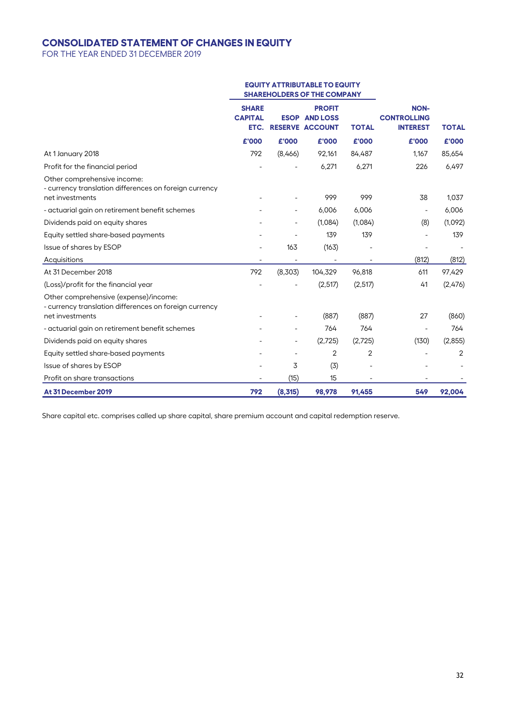# **CONSOLIDATED STATEMENT OF CHANGES IN EQUITY**

FOR THE YEAR ENDED 31 DECEMBER 2019

|                                                                                                                    | <b>EQUITY ATTRIBUTABLE TO EQUITY</b><br><b>SHAREHOLDERS OF THE COMPANY</b> |         |                                                                 |              |                                                      |              |
|--------------------------------------------------------------------------------------------------------------------|----------------------------------------------------------------------------|---------|-----------------------------------------------------------------|--------------|------------------------------------------------------|--------------|
|                                                                                                                    | <b>SHARE</b><br><b>CAPITAL</b><br>ETC.                                     |         | <b>PROFIT</b><br><b>ESOP AND LOSS</b><br><b>RESERVE ACCOUNT</b> | <b>TOTAL</b> | <b>NON-</b><br><b>CONTROLLING</b><br><b>INTEREST</b> | <b>TOTAL</b> |
|                                                                                                                    | £'000                                                                      | £'000   | £'000                                                           | £'000        | £'000                                                | £'000        |
| At 1 January 2018                                                                                                  | 792                                                                        | (8,466) | 92,161                                                          | 84,487       | 1,167                                                | 85,654       |
| Profit for the financial period                                                                                    |                                                                            |         | 6,271                                                           | 6,271        | 226                                                  | 6,497        |
| Other comprehensive income:<br>- currency translation differences on foreign currency<br>net investments           |                                                                            |         | 999                                                             | 999          | 38                                                   | 1,037        |
| - actuarial gain on retirement benefit schemes                                                                     |                                                                            |         | 6,006                                                           | 6,006        | $\overline{\phantom{a}}$                             | 6,006        |
| Dividends paid on equity shares                                                                                    |                                                                            |         | (1,084)                                                         | (1,084)      | (8)                                                  | (1,092)      |
| Equity settled share-based payments                                                                                |                                                                            |         | 139                                                             | 139          |                                                      | 139          |
| Issue of shares by ESOP                                                                                            |                                                                            | 163     | (163)                                                           |              |                                                      |              |
| Acquisitions                                                                                                       |                                                                            |         |                                                                 |              | (812)                                                | (812)        |
| At 31 December 2018                                                                                                | 792                                                                        | (8,303) | 104,329                                                         | 96,818       | 611                                                  | 97,429       |
| (Loss)/profit for the financial year                                                                               |                                                                            |         | (2,517)                                                         | (2,517)      | 41                                                   | (2,476)      |
| Other comprehensive (expense)/income:<br>- currency translation differences on foreign currency<br>net investments |                                                                            |         | (887)                                                           | (887)        | 27                                                   | (860)        |
| - actuarial gain on retirement benefit schemes                                                                     |                                                                            |         | 764                                                             | 764          |                                                      | 764          |
| Dividends paid on equity shares                                                                                    |                                                                            |         | (2,725)                                                         | (2,725)      | (130)                                                | (2,855)      |
| Equity settled share-based payments                                                                                |                                                                            |         | $\overline{2}$                                                  | 2            |                                                      | 2            |
| Issue of shares by ESOP                                                                                            |                                                                            | 3       | (3)                                                             |              |                                                      |              |
| Profit on share transactions                                                                                       |                                                                            | (15)    | 15                                                              |              |                                                      |              |
| At 31 December 2019                                                                                                | 792                                                                        | (8,315) | 98.978                                                          | 91.455       | 549                                                  | 92,004       |

Share capital etc. comprises called up share capital, share premium account and capital redemption reserve.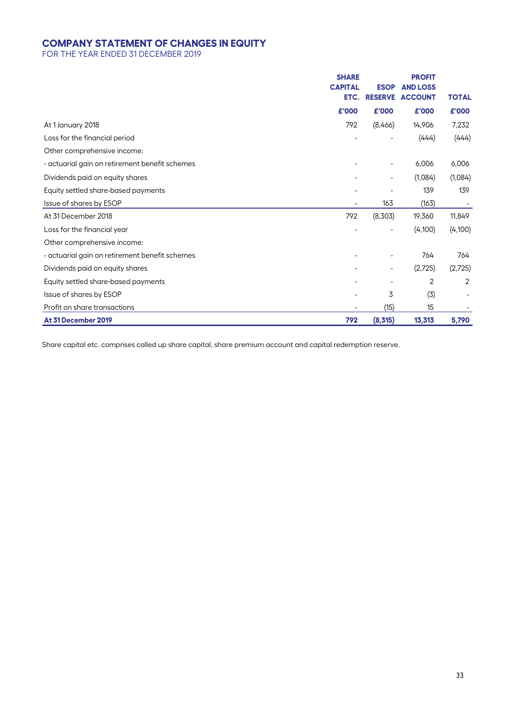# **COMPANY STATEMENT OF CHANGES IN EQUITY**

FOR THE YEAR ENDED 31 DECEMBER 2019

|                                                | <b>SHARE</b>   |                | <b>PROFIT</b>                                  |              |
|------------------------------------------------|----------------|----------------|------------------------------------------------|--------------|
|                                                | <b>CAPITAL</b> | <b>ESOP</b>    | <b>AND LOSS</b><br><b>ETC. RESERVE ACCOUNT</b> | <b>TOTAL</b> |
|                                                | £'000          | £'000          | £'000                                          | £'000        |
| At 1 January 2018                              | 792            | (8,466)        | 14,906                                         | 7,232        |
| Loss for the financial period                  |                |                | (444)                                          | (444)        |
| Other comprehensive income:                    |                |                |                                                |              |
| - actuarial gain on retirement benefit schemes |                | $\overline{a}$ | 6,006                                          | 6,006        |
| Dividends paid on equity shares                |                | $\overline{a}$ | (1,084)                                        | (1,084)      |
| Equity settled share-based payments            |                |                | 139                                            | 139          |
| Issue of shares by ESOP                        |                | 163            | (163)                                          |              |
| At 31 December 2018                            | 792            | (8,303)        | 19,360                                         | 11,849       |
| Loss for the financial year                    |                |                | (4,100)                                        | (4,100)      |
| Other comprehensive income:                    |                |                |                                                |              |
| - actuarial gain on retirement benefit schemes |                |                | 764                                            | 764          |
| Dividends paid on equity shares                |                | $\overline{a}$ | (2,725)                                        | (2,725)      |
| Equity settled share-based payments            |                |                | 2                                              | 2            |
| Issue of shares by ESOP                        |                | 3              | (3)                                            |              |
| Profit on share transactions                   |                | (15)           | 15                                             |              |
| At 31 December 2019                            | 792            | (8,315)        | 13,313                                         | 5,790        |

Share capital etc. comprises called up share capital, share premium account and capital redemption reserve.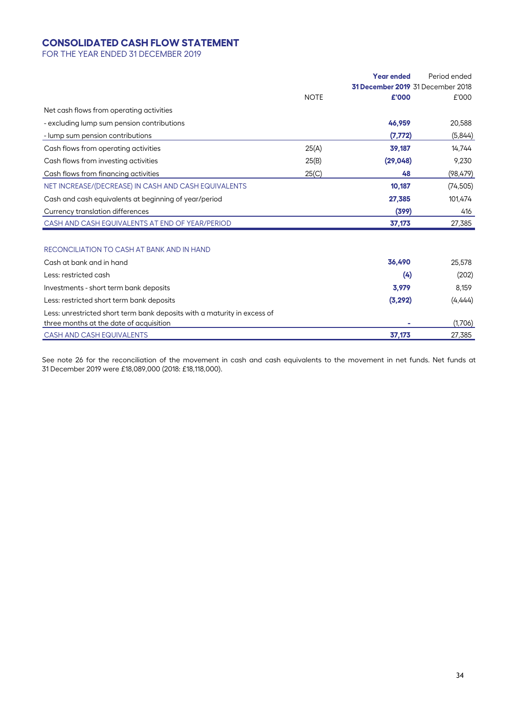# **CONSOLIDATED CASH FLOW STATEMENT**

FOR THE YEAR ENDED 31 DECEMBER 2019

|                                                                          |             | <b>Year ended</b>                 | Period ended |
|--------------------------------------------------------------------------|-------------|-----------------------------------|--------------|
|                                                                          |             | 31 December 2019 31 December 2018 |              |
|                                                                          | <b>NOTE</b> | £'000                             | £'000        |
| Net cash flows from operating activities                                 |             |                                   |              |
| - excluding lump sum pension contributions                               |             | 46,959                            | 20,588       |
| - lump sum pension contributions                                         |             | (7, 772)                          | (5,844)      |
| Cash flows from operating activities                                     | 25(A)       | 39,187                            | 14,744       |
| Cash flows from investing activities                                     | 25(B)       | (29, 048)                         | 9,230        |
| Cash flows from financing activities                                     | 25(C)       | 48                                | (98, 479)    |
| NET INCREASE/(DECREASE) IN CASH AND CASH EQUIVALENTS                     |             | 10,187                            | (74, 505)    |
| Cash and cash equivalents at beginning of year/period                    |             | 27,385                            | 101,474      |
| Currency translation differences                                         |             | (399)                             | 416          |
| CASH AND CASH EQUIVALENTS AT END OF YEAR/PERIOD                          |             | 37,173                            | 27,385       |
| RECONCILIATION TO CASH AT BANK AND IN HAND                               |             |                                   |              |
| Cash at bank and in hand                                                 |             | 36,490                            | 25,578       |
| Less: restricted cash                                                    |             | (4)                               | (202)        |
| Investments - short term bank deposits                                   |             | 3,979                             | 8,159        |
| Less: restricted short term bank deposits                                |             | (3, 292)                          | (4,444)      |
| Less: unrestricted short term bank deposits with a maturity in excess of |             |                                   |              |
| three months at the date of acquisition                                  |             |                                   | (1,706)      |
| <b>CASH AND CASH EQUIVALENTS</b>                                         |             | 37,173                            | 27,385       |

See note 26 for the reconciliation of the movement in cash and cash equivalents to the movement in net funds. Net funds at 31 December 2019 were £18,089,000 (2018: £18,118,000).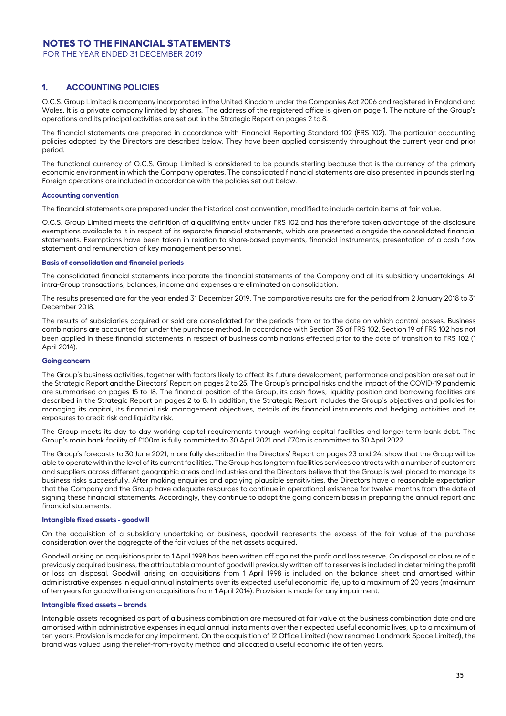FOR THE YEAR ENDED 31 DECEMBER 2019

### **1. ACCOUNTING POLICIES**

O.C.S. Group Limited is a company incorporated in the United Kingdom under the Companies Act 2006 and registered in England and Wales. It is a private company limited by shares. The address of the registered office is given on page 1. The nature of the Group's operations and its principal activities are set out in the Strategic Report on pages 2 to 8.

The financial statements are prepared in accordance with Financial Reporting Standard 102 (FRS 102). The particular accounting policies adopted by the Directors are described below. They have been applied consistently throughout the current year and prior period.

The functional currency of O.C.S. Group Limited is considered to be pounds sterling because that is the currency of the primary economic environment in which the Company operates. The consolidated financial statements are also presented in pounds sterling. Foreign operations are included in accordance with the policies set out below.

#### **Accounting convention**

The financial statements are prepared under the historical cost convention, modified to include certain items at fair value.

O.C.S. Group Limited meets the definition of a qualifying entity under FRS 102 and has therefore taken advantage of the disclosure exemptions available to it in respect of its separate financial statements, which are presented alongside the consolidated financial statements. Exemptions have been taken in relation to share-based payments, financial instruments, presentation of a cash flow statement and remuneration of key management personnel.

#### **Basis of consolidation and financial periods**

The consolidated financial statements incorporate the financial statements of the Company and all its subsidiary undertakings. All intra-Group transactions, balances, income and expenses are eliminated on consolidation.

The results presented are for the year ended 31 December 2019. The comparative results are for the period from 2 January 2018 to 31 December 2018.

The results of subsidiaries acquired or sold are consolidated for the periods from or to the date on which control passes. Business combinations are accounted for under the purchase method. In accordance with Section 35 of FRS 102, Section 19 of FRS 102 has not been applied in these financial statements in respect of business combinations effected prior to the date of transition to FRS 102 (1 April 2014).

#### **Going concern**

The Group's business activities, together with factors likely to affect its future development, performance and position are set out in the Strategic Report and the Directors' Report on pages 2 to 25. The Group's principal risks and the impact of the COVID-19 pandemic are summarised on pages 15 to 18. The financial position of the Group, its cash flows, liquidity position and borrowing facilities are described in the Strategic Report on pages 2 to 8. In addition, the Strategic Report includes the Group's objectives and policies for managing its capital, its financial risk management objectives, details of its financial instruments and hedging activities and its exposures to credit risk and liquidity risk.

The Group meets its day to day working capital requirements through working capital facilities and longer-term bank debt. The Group's main bank facility of £100m is fully committed to 30 April 2021 and £70m is committed to 30 April 2022.

The Group's forecasts to 30 June 2021, more fully described in the Directors' Report on pages 23 and 24, show that the Group will be able to operate within the level of its current facilities. The Group has long term facilities services contracts with a number of customers and suppliers across different geographic areas and industries and the Directors believe that the Group is well placed to manage its business risks successfully. After making enquiries and applying plausible sensitivities, the Directors have a reasonable expectation that the Company and the Group have adequate resources to continue in operational existence for twelve months from the date of signing these financial statements. Accordingly, they continue to adopt the going concern basis in preparing the annual report and financial statements.

#### **Intangible fixed assets - goodwill**

On the acquisition of a subsidiary undertaking or business, goodwill represents the excess of the fair value of the purchase consideration over the aggregate of the fair values of the net assets acquired.

Goodwill arising on acquisitions prior to 1 April 1998 has been written off against the profit and loss reserve. On disposal or closure of a previously acquired business, the attributable amount of goodwill previously written off to reserves is included in determining the profit or loss on disposal. Goodwill arising on acquisitions from 1 April 1998 is included on the balance sheet and amortised within administrative expenses in equal annual instalments over its expected useful economic life, up to a maximum of 20 years (maximum of ten years for goodwill arising on acquisitions from 1 April 2014). Provision is made for any impairment.

#### **Intangible fixed assets – brands**

Intangible assets recognised as part of a business combination are measured at fair value at the business combination date and are amortised within administrative expenses in equal annual instalments over their expected useful economic lives, up to a maximum of ten years. Provision is made for any impairment. On the acquisition of i2 Office Limited (now renamed Landmark Space Limited), the brand was valued using the relief-from-royalty method and allocated a useful economic life of ten years.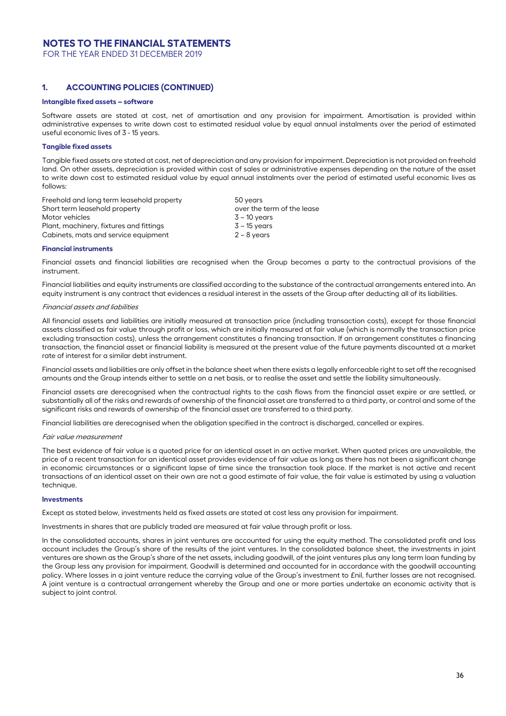FOR THE YEAR ENDED 31 DECEMBER 2019

### **1. ACCOUNTING POLICIES (CONTINUED)**

#### **Intangible fixed assets – software**

Software assets are stated at cost, net of amortisation and any provision for impairment. Amortisation is provided within administrative expenses to write down cost to estimated residual value by equal annual instalments over the period of estimated useful economic lives of 3 - 15 years.

#### **Tangible fixed assets**

Tangible fixed assets are stated at cost, net of depreciation and any provision for impairment. Depreciation is not provided on freehold land. On other assets, depreciation is provided within cost of sales or administrative expenses depending on the nature of the asset to write down cost to estimated residual value by equal annual instalments over the period of estimated useful economic lives as follows:

| Freehold and long term leasehold property | 50 years                   |
|-------------------------------------------|----------------------------|
| Short term leasehold property             | over the term of the lease |
| Motor vehicles                            | 3 – 10 years               |
| Plant, machinery, fixtures and fittings   | $3 - 15$ years             |
| Cabinets, mats and service equipment      | $2 - 8$ years              |
|                                           |                            |

#### **Financial instruments**

Financial assets and financial liabilities are recognised when the Group becomes a party to the contractual provisions of the instrument.

Financial liabilities and equity instruments are classified according to the substance of the contractual arrangements entered into. An equity instrument is any contract that evidences a residual interest in the assets of the Group after deducting all of its liabilities.

#### Financial assets and liabilities

All financial assets and liabilities are initially measured at transaction price (including transaction costs), except for those financial assets classified as fair value through profit or loss, which are initially measured at fair value (which is normally the transaction price excluding transaction costs), unless the arrangement constitutes a financing transaction. If an arrangement constitutes a financing transaction, the financial asset or financial liability is measured at the present value of the future payments discounted at a market rate of interest for a similar debt instrument.

Financial assets and liabilities are only offset in the balance sheet when there exists a legally enforceable right to set off the recognised amounts and the Group intends either to settle on a net basis, or to realise the asset and settle the liability simultaneously.

Financial assets are derecognised when the contractual rights to the cash flows from the financial asset expire or are settled, or substantially all of the risks and rewards of ownership of the financial asset are transferred to a third party, or control and some of the significant risks and rewards of ownership of the financial asset are transferred to a third party.

Financial liabilities are derecognised when the obligation specified in the contract is discharged, cancelled or expires.

#### Fair value measurement

The best evidence of fair value is a quoted price for an identical asset in an active market. When quoted prices are unavailable, the price of a recent transaction for an identical asset provides evidence of fair value as long as there has not been a significant change in economic circumstances or a significant lapse of time since the transaction took place. If the market is not active and recent transactions of an identical asset on their own are not a good estimate of fair value, the fair value is estimated by using a valuation technique.

#### **Investments**

Except as stated below, investments held as fixed assets are stated at cost less any provision for impairment.

Investments in shares that are publicly traded are measured at fair value through profit or loss.

In the consolidated accounts, shares in joint ventures are accounted for using the equity method. The consolidated profit and loss account includes the Group's share of the results of the joint ventures. In the consolidated balance sheet, the investments in joint ventures are shown as the Group's share of the net assets, including goodwill, of the joint ventures plus any long term loan funding by the Group less any provision for impairment. Goodwill is determined and accounted for in accordance with the goodwill accounting policy. Where losses in a joint venture reduce the carrying value of the Group's investment to £nil, further losses are not recognised. A joint venture is a contractual arrangement whereby the Group and one or more parties undertake an economic activity that is subject to joint control.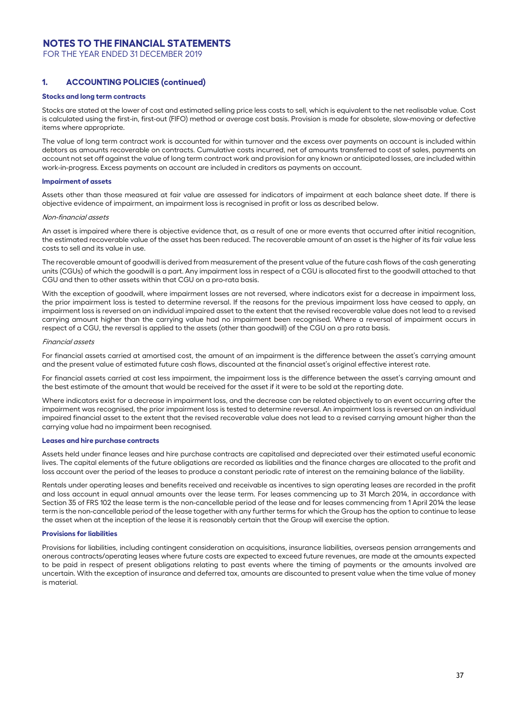FOR THE YEAR ENDED 31 DECEMBER 2019

### **1. ACCOUNTING POLICIES (continued)**

#### **Stocks and long term contracts**

Stocks are stated at the lower of cost and estimated selling price less costs to sell, which is equivalent to the net realisable value. Cost is calculated using the first-in, first-out (FIFO) method or average cost basis. Provision is made for obsolete, slow-moving or defective items where appropriate.

The value of long term contract work is accounted for within turnover and the excess over payments on account is included within debtors as amounts recoverable on contracts. Cumulative costs incurred, net of amounts transferred to cost of sales, payments on account not set off against the value of long term contract work and provision for any known or anticipated losses, are included within work-in-progress. Excess payments on account are included in creditors as payments on account.

#### **Impairment of assets**

Assets other than those measured at fair value are assessed for indicators of impairment at each balance sheet date. If there is objective evidence of impairment, an impairment loss is recognised in profit or loss as described below.

#### Non-financial assets

An asset is impaired where there is objective evidence that, as a result of one or more events that occurred after initial recognition, the estimated recoverable value of the asset has been reduced. The recoverable amount of an asset is the higher of its fair value less costs to sell and its value in use.

The recoverable amount of goodwill is derived from measurement of the present value of the future cash flows of the cash generating units (CGUs) of which the goodwill is a part. Any impairment loss in respect of a CGU is allocated first to the goodwill attached to that CGU and then to other assets within that CGU on a pro-rata basis.

With the exception of goodwill, where impairment losses are not reversed, where indicators exist for a decrease in impairment loss, the prior impairment loss is tested to determine reversal. If the reasons for the previous impairment loss have ceased to apply, an impairment loss is reversed on an individual impaired asset to the extent that the revised recoverable value does not lead to a revised carrying amount higher than the carrying value had no impairment been recognised. Where a reversal of impairment occurs in respect of a CGU, the reversal is applied to the assets (other than goodwill) of the CGU on a pro rata basis.

#### Financial assets

For financial assets carried at amortised cost, the amount of an impairment is the difference between the asset's carrying amount and the present value of estimated future cash flows, discounted at the financial asset's original effective interest rate.

For financial assets carried at cost less impairment, the impairment loss is the difference between the asset's carrying amount and the best estimate of the amount that would be received for the asset if it were to be sold at the reporting date.

Where indicators exist for a decrease in impairment loss, and the decrease can be related objectively to an event occurring after the impairment was recognised, the prior impairment loss is tested to determine reversal. An impairment loss is reversed on an individual impaired financial asset to the extent that the revised recoverable value does not lead to a revised carrying amount higher than the carrying value had no impairment been recognised.

#### **Leases and hire purchase contracts**

Assets held under finance leases and hire purchase contracts are capitalised and depreciated over their estimated useful economic lives. The capital elements of the future obligations are recorded as liabilities and the finance charges are allocated to the profit and loss account over the period of the leases to produce a constant periodic rate of interest on the remaining balance of the liability.

Rentals under operating leases and benefits received and receivable as incentives to sign operating leases are recorded in the profit and loss account in equal annual amounts over the lease term. For leases commencing up to 31 March 2014, in accordance with Section 35 of FRS 102 the lease term is the non-cancellable period of the lease and for leases commencing from 1 April 2014 the lease term is the non-cancellable period of the lease together with any further terms for which the Group has the option to continue to lease the asset when at the inception of the lease it is reasonably certain that the Group will exercise the option.

#### **Provisions for liabilities**

Provisions for liabilities, including contingent consideration on acquisitions, insurance liabilities, overseas pension arrangements and onerous contracts/operating leases where future costs are expected to exceed future revenues, are made at the amounts expected to be paid in respect of present obligations relating to past events where the timing of payments or the amounts involved are uncertain. With the exception of insurance and deferred tax, amounts are discounted to present value when the time value of money is material.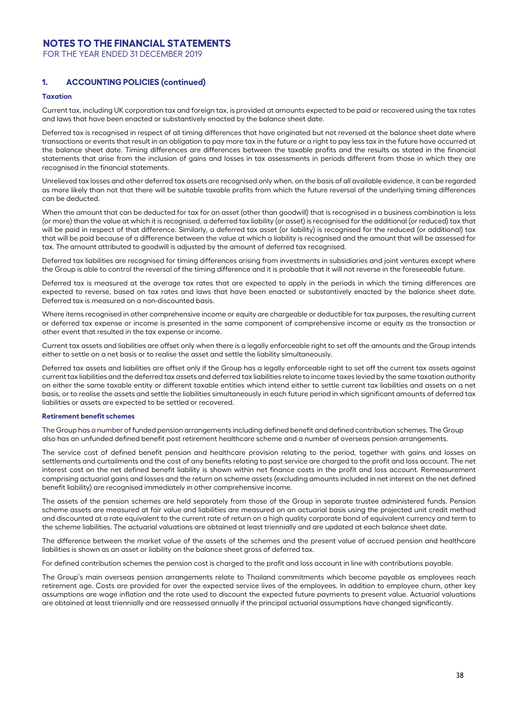FOR THE YEAR ENDED 31 DECEMBER 2019

### **1. ACCOUNTING POLICIES (continued)**

#### **Taxation**

Current tax, including UK corporation tax and foreign tax, is provided at amounts expected to be paid or recovered using the tax rates and laws that have been enacted or substantively enacted by the balance sheet date.

Deferred tax is recognised in respect of all timing differences that have originated but not reversed at the balance sheet date where transactions or events that result in an obligation to pay more tax in the future or a right to pay less tax in the future have occurred at the balance sheet date. Timing differences are differences between the taxable profits and the results as stated in the financial statements that arise from the inclusion of gains and losses in tax assessments in periods different from those in which they are recognised in the financial statements.

Unrelieved tax losses and other deferred tax assets are recognised only when, on the basis of all available evidence, it can be regarded as more likely than not that there will be suitable taxable profits from which the future reversal of the underlying timing differences can be deducted.

When the amount that can be deducted for tax for an asset (other than goodwill) that is recognised in a business combination is less (or more) than the value at which it is recognised, a deferred tax liability (or asset) is recognised for the additional (or reduced) tax that will be paid in respect of that difference. Similarly, a deferred tax asset (or liability) is recognised for the reduced (or additional) tax that will be paid because of a difference between the value at which a liability is recognised and the amount that will be assessed for tax. The amount attributed to goodwill is adjusted by the amount of deferred tax recognised.

Deferred tax liabilities are recognised for timing differences arising from investments in subsidiaries and joint ventures except where the Group is able to control the reversal of the timing difference and it is probable that it will not reverse in the foreseeable future.

Deferred tax is measured at the average tax rates that are expected to apply in the periods in which the timing differences are expected to reverse, based on tax rates and laws that have been enacted or substantively enacted by the balance sheet date. Deferred tax is measured on a non-discounted basis.

Where items recognised in other comprehensive income or equity are chargeable or deductible for tax purposes, the resulting current or deferred tax expense or income is presented in the same component of comprehensive income or equity as the transaction or other event that resulted in the tax expense or income.

Current tax assets and liabilities are offset only when there is a legally enforceable right to set off the amounts and the Group intends either to settle on a net basis or to realise the asset and settle the liability simultaneously.

Deferred tax assets and liabilities are offset only if the Group has a legally enforceable right to set off the current tax assets against current tax liabilities and the deferred tax assets and deferred tax liabilities relate to income taxes levied by the same taxation authority on either the same taxable entity or different taxable entities which intend either to settle current tax liabilities and assets on a net basis, or to realise the assets and settle the liabilities simultaneously in each future period in which significant amounts of deferred tax liabilities or assets are expected to be settled or recovered.

#### **Retirement benefit schemes**

The Group has a number of funded pension arrangements including defined benefit and defined contribution schemes. The Group also has an unfunded defined benefit post retirement healthcare scheme and a number of overseas pension arrangements.

The service cost of defined benefit pension and healthcare provision relating to the period, together with gains and losses on settlements and curtailments and the cost of any benefits relating to past service are charged to the profit and loss account. The net interest cost on the net defined benefit liability is shown within net finance costs in the profit and loss account. Remeasurement comprising actuarial gains and losses and the return on scheme assets (excluding amounts included in net interest on the net defined benefit liability) are recognised immediately in other comprehensive income.

The assets of the pension schemes are held separately from those of the Group in separate trustee administered funds. Pension scheme assets are measured at fair value and liabilities are measured on an actuarial basis using the projected unit credit method and discounted at a rate equivalent to the current rate of return on a high quality corporate bond of equivalent currency and term to the scheme liabilities. The actuarial valuations are obtained at least triennially and are updated at each balance sheet date.

The difference between the market value of the assets of the schemes and the present value of accrued pension and healthcare liabilities is shown as an asset or liability on the balance sheet gross of deferred tax.

For defined contribution schemes the pension cost is charged to the profit and loss account in line with contributions payable.

The Group's main overseas pension arrangements relate to Thailand commitments which become payable as employees reach retirement age. Costs are provided for over the expected service lives of the employees. In addition to employee churn, other key assumptions are wage inflation and the rate used to discount the expected future payments to present value. Actuarial valuations are obtained at least triennially and are reassessed annually if the principal actuarial assumptions have changed significantly.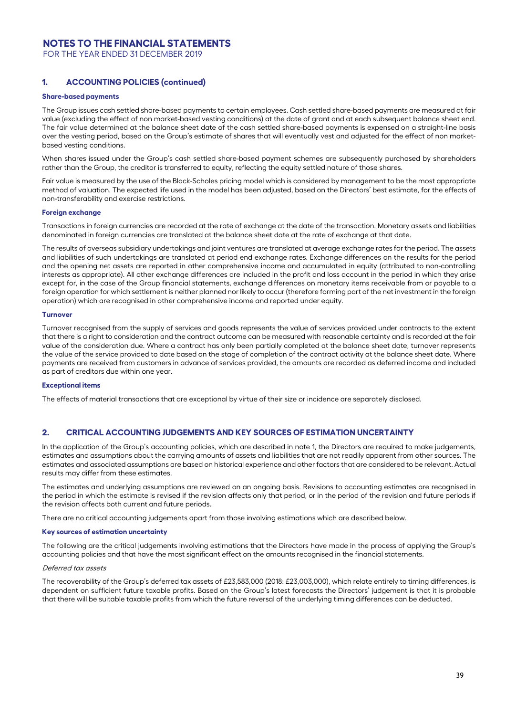FOR THE YEAR ENDED 31 DECEMBER 2019

## **1. ACCOUNTING POLICIES (continued)**

#### **Share-based payments**

The Group issues cash settled share-based payments to certain employees. Cash settled share-based payments are measured at fair value (excluding the effect of non market-based vesting conditions) at the date of grant and at each subsequent balance sheet end. The fair value determined at the balance sheet date of the cash settled share-based payments is expensed on a straight-line basis over the vesting period, based on the Group's estimate of shares that will eventually vest and adjusted for the effect of non marketbased vesting conditions.

When shares issued under the Group's cash settled share-based payment schemes are subsequently purchased by shareholders rather than the Group, the creditor is transferred to equity, reflecting the equity settled nature of those shares.

Fair value is measured by the use of the Black-Scholes pricing model which is considered by management to be the most appropriate method of valuation. The expected life used in the model has been adjusted, based on the Directors' best estimate, for the effects of non-transferability and exercise restrictions.

#### **Foreign exchange**

Transactions in foreign currencies are recorded at the rate of exchange at the date of the transaction. Monetary assets and liabilities denominated in foreign currencies are translated at the balance sheet date at the rate of exchange at that date.

The results of overseas subsidiary undertakings and joint ventures are translated at average exchange rates for the period. The assets and liabilities of such undertakings are translated at period end exchange rates. Exchange differences on the results for the period and the opening net assets are reported in other comprehensive income and accumulated in equity (attributed to non-controlling interests as appropriate). All other exchange differences are included in the profit and loss account in the period in which they arise except for, in the case of the Group financial statements, exchange differences on monetary items receivable from or payable to a foreign operation for which settlement is neither planned nor likely to occur (therefore forming part of the net investment in the foreign operation) which are recognised in other comprehensive income and reported under equity.

#### **Turnover**

Turnover recognised from the supply of services and goods represents the value of services provided under contracts to the extent that there is a right to consideration and the contract outcome can be measured with reasonable certainty and is recorded at the fair value of the consideration due. Where a contract has only been partially completed at the balance sheet date, turnover represents the value of the service provided to date based on the stage of completion of the contract activity at the balance sheet date. Where payments are received from customers in advance of services provided, the amounts are recorded as deferred income and included as part of creditors due within one year.

#### **Exceptional items**

The effects of material transactions that are exceptional by virtue of their size or incidence are separately disclosed.

### **2. CRITICAL ACCOUNTING JUDGEMENTS AND KEY SOURCES OF ESTIMATION UNCERTAINTY**

In the application of the Group's accounting policies, which are described in note 1, the Directors are required to make judgements, estimates and assumptions about the carrying amounts of assets and liabilities that are not readily apparent from other sources. The estimates and associated assumptions are based on historical experience and other factors that are considered to be relevant. Actual results may differ from these estimates.

The estimates and underlying assumptions are reviewed on an ongoing basis. Revisions to accounting estimates are recognised in the period in which the estimate is revised if the revision affects only that period, or in the period of the revision and future periods if the revision affects both current and future periods.

There are no critical accounting judgements apart from those involving estimations which are described below.

#### **Key sources of estimation uncertainty**

The following are the critical judgements involving estimations that the Directors have made in the process of applying the Group's accounting policies and that have the most significant effect on the amounts recognised in the financial statements.

#### Deferred tax assets

The recoverability of the Group's deferred tax assets of £23,583,000 (2018: £23,003,000), which relate entirely to timing differences, is dependent on sufficient future taxable profits. Based on the Group's latest forecasts the Directors' judgement is that it is probable that there will be suitable taxable profits from which the future reversal of the underlying timing differences can be deducted.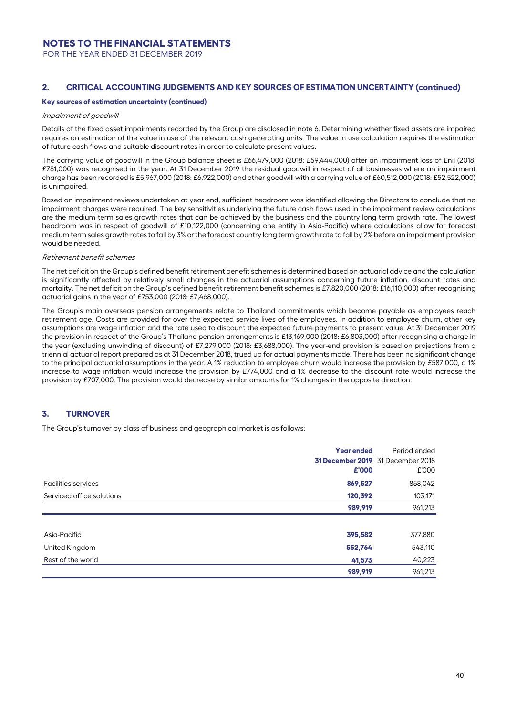FOR THE YEAR ENDED 31 DECEMBER 2019

### **2. CRITICAL ACCOUNTING JUDGEMENTS AND KEY SOURCES OF ESTIMATION UNCERTAINTY (continued)**

#### **Key sources of estimation uncertainty (continued)**

#### Impairment of goodwill

Details of the fixed asset impairments recorded by the Group are disclosed in note 6. Determining whether fixed assets are impaired requires an estimation of the value in use of the relevant cash generating units. The value in use calculation requires the estimation of future cash flows and suitable discount rates in order to calculate present values.

The carrying value of goodwill in the Group balance sheet is £66,479,000 (2018: £59,444,000) after an impairment loss of £nil (2018: £781,000) was recognised in the year. At 31 December 2019 the residual goodwill in respect of all businesses where an impairment charge has been recorded is £5,967,000 (2018: £6,922,000) and other goodwill with a carrying value of £60,512,000 (2018: £52,522,000) is unimpaired.

Based on impairment reviews undertaken at year end, sufficient headroom was identified allowing the Directors to conclude that no impairment charges were required. The key sensitivities underlying the future cash flows used in the impairment review calculations are the medium term sales growth rates that can be achieved by the business and the country long term growth rate. The lowest headroom was in respect of goodwill of £10,122,000 (concerning one entity in Asia-Pacific) where calculations allow for forecast medium term sales growth rates to fall by 3% or the forecast country long term growth rate to fall by 2% before an impairment provision would be needed.

### Retirement benefit schemes

The net deficit on the Group's defined benefit retirement benefit schemes is determined based on actuarial advice and the calculation is significantly affected by relatively small changes in the actuarial assumptions concerning future inflation, discount rates and mortality. The net deficit on the Group's defined benefit retirement benefit schemes is £7,820,000 (2018: £16,110,000) after recognising actuarial gains in the year of £753,000 (2018: £7,468,000).

The Group's main overseas pension arrangements relate to Thailand commitments which become payable as employees reach retirement age. Costs are provided for over the expected service lives of the employees. In addition to employee churn, other key assumptions are wage inflation and the rate used to discount the expected future payments to present value. At 31 December 2019 the provision in respect of the Group's Thailand pension arrangements is £13,169,000 (2018: £6,803,000) after recognising a charge in the year (excluding unwinding of discount) of £7,279,000 (2018: £3,688,000). The year-end provision is based on projections from a triennial actuarial report prepared as at 31 December 2018, trued up for actual payments made. There has been no significant change to the principal actuarial assumptions in the year. A 1% reduction to employee churn would increase the provision by £587,000, a 1% increase to wage inflation would increase the provision by £774,000 and a 1% decrease to the discount rate would increase the provision by £707,000. The provision would decrease by similar amounts for 1% changes in the opposite direction.

### **3. TURNOVER**

The Group's turnover by class of business and geographical market is as follows:

|                            | <b>Year ended</b><br>£'000 | Period ended<br>31 December 2019 31 December 2018<br>£'000 |
|----------------------------|----------------------------|------------------------------------------------------------|
| <b>Facilities services</b> | 869,527                    | 858,042                                                    |
| Serviced office solutions  | 120,392                    | 103,171                                                    |
|                            | 989,919                    | 961,213                                                    |
|                            |                            |                                                            |
| Asia-Pacific               | 395,582                    | 377,880                                                    |
| United Kingdom             | 552,764                    | 543,110                                                    |
| Rest of the world          | 41,573                     | 40,223                                                     |
|                            | 989,919                    | 961,213                                                    |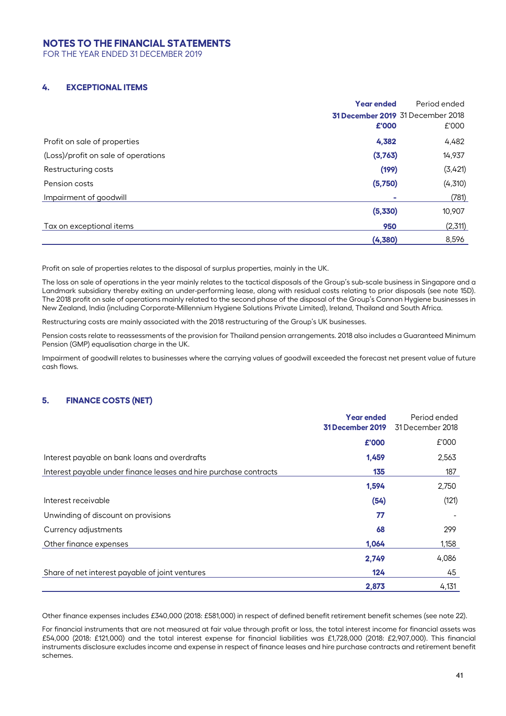FOR THE YEAR ENDED 31 DECEMBER 2019

## **4. EXCEPTIONAL ITEMS**

|                                     | <b>Year ended</b> | Period ended                             |
|-------------------------------------|-------------------|------------------------------------------|
|                                     |                   | <b>31 December 2019</b> 31 December 2018 |
|                                     | £'000             | £'000                                    |
| Profit on sale of properties        | 4,382             | 4,482                                    |
| (Loss)/profit on sale of operations | (3,763)           | 14,937                                   |
| Restructuring costs                 | (199)             | (3,421)                                  |
| Pension costs                       | (5,750)           | (4,310)                                  |
| Impairment of goodwill              |                   | (781)                                    |
|                                     | (5,330)           | 10,907                                   |
| Tax on exceptional items            | 950               | (2,311)                                  |
|                                     | (4,380)           | 8,596                                    |
|                                     |                   |                                          |

Profit on sale of properties relates to the disposal of surplus properties, mainly in the UK.

The loss on sale of operations in the year mainly relates to the tactical disposals of the Group's sub-scale business in Singapore and a Landmark subsidiary thereby exiting an under-performing lease, along with residual costs relating to prior disposals (see note 15D). The 2018 profit on sale of operations mainly related to the second phase of the disposal of the Group's Cannon Hygiene businesses in New Zealand, India (including Corporate-Millennium Hygiene Solutions Private Limited), Ireland, Thailand and South Africa.

Restructuring costs are mainly associated with the 2018 restructuring of the Group's UK businesses.

Pension costs relate to reassessments of the provision for Thailand pension arrangements. 2018 also includes a Guaranteed Minimum Pension (GMP) equalisation charge in the UK.

Impairment of goodwill relates to businesses where the carrying values of goodwill exceeded the forecast net present value of future cash flows.

## **5. FINANCE COSTS (NET)**

|                                                                   | <b>Year ended</b><br>31 December 2019 | Period ended<br>31 December 2018 |
|-------------------------------------------------------------------|---------------------------------------|----------------------------------|
|                                                                   | £'000                                 | £'000                            |
| Interest payable on bank loans and overdrafts                     | 1,459                                 | 2,563                            |
| Interest payable under finance leases and hire purchase contracts | 135                                   | 187                              |
|                                                                   | 1,594                                 | 2,750                            |
| Interest receivable                                               | (54)                                  | (121)                            |
| Unwinding of discount on provisions                               | 77                                    |                                  |
| Currency adjustments                                              | 68                                    | 299                              |
| Other finance expenses                                            | 1,064                                 | 1,158                            |
|                                                                   | 2,749                                 | 4,086                            |
| Share of net interest payable of joint ventures                   | 124                                   | 45                               |
|                                                                   | 2,873                                 | 4,131                            |

Other finance expenses includes £340,000 (2018: £581,000) in respect of defined benefit retirement benefit schemes (see note 22).

For financial instruments that are not measured at fair value through profit or loss, the total interest income for financial assets was £54,000 (2018: £121,000) and the total interest expense for financial liabilities was £1,728,000 (2018: £2,907,000). This financial instruments disclosure excludes income and expense in respect of finance leases and hire purchase contracts and retirement benefit schemes.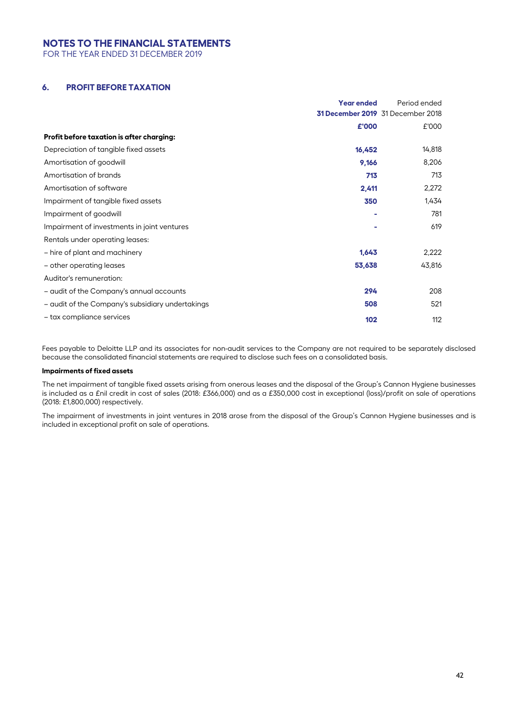FOR THE YEAR ENDED 31 DECEMBER 2019

### **6. PROFIT BEFORE TAXATION**

|                                                  | <b>Year ended</b> | Period ended                      |
|--------------------------------------------------|-------------------|-----------------------------------|
|                                                  |                   | 31 December 2019 31 December 2018 |
|                                                  | £'000             | £'000                             |
| Profit before taxation is after charging:        |                   |                                   |
| Depreciation of tangible fixed assets            | 16,452            | 14,818                            |
| Amortisation of goodwill                         | 9,166             | 8,206                             |
| Amortisation of brands                           | 713               | 713                               |
| Amortisation of software                         | 2,411             | 2,272                             |
| Impairment of tangible fixed assets              | 350               | 1,434                             |
| Impairment of goodwill                           |                   | 781                               |
| Impairment of investments in joint ventures      |                   | 619                               |
| Rentals under operating leases:                  |                   |                                   |
| - hire of plant and machinery                    | 1,643             | 2,222                             |
| - other operating leases                         | 53,638            | 43,816                            |
| Auditor's remuneration:                          |                   |                                   |
| - audit of the Company's annual accounts         | 294               | 208                               |
| - audit of the Company's subsidiary undertakings | 508               | 521                               |
| - tax compliance services                        | 102               | 112                               |

Fees payable to Deloitte LLP and its associates for non-audit services to the Company are not required to be separately disclosed because the consolidated financial statements are required to disclose such fees on a consolidated basis.

### **Impairments of fixed assets**

The net impairment of tangible fixed assets arising from onerous leases and the disposal of the Group's Cannon Hygiene businesses is included as a £nil credit in cost of sales (2018: £366,000) and as a £350,000 cost in exceptional (loss)/profit on sale of operations (2018: £1,800,000) respectively.

The impairment of investments in joint ventures in 2018 arose from the disposal of the Group's Cannon Hygiene businesses and is included in exceptional profit on sale of operations.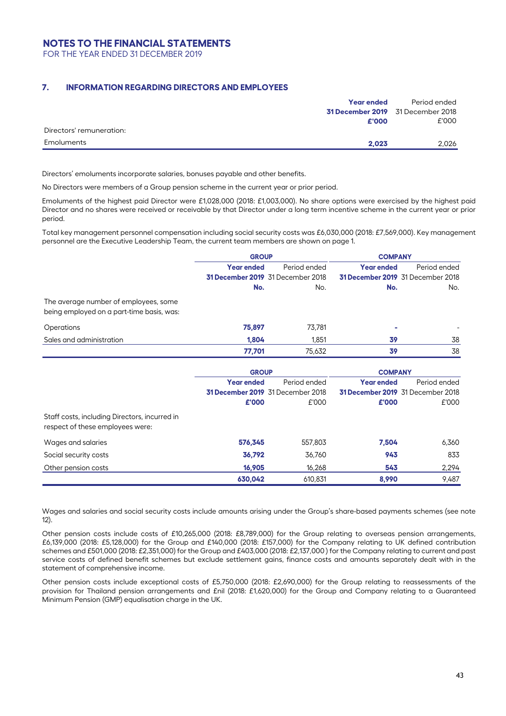FOR THE YEAR ENDED 31 DECEMBER 2019

### **7. INFORMATION REGARDING DIRECTORS AND EMPLOYEES**

|                          | <b>Year ended</b>                 | Period ended |
|--------------------------|-----------------------------------|--------------|
|                          | 31 December 2019 31 December 2018 |              |
|                          | £'000                             | £'000        |
| Directors' remuneration: |                                   |              |
| Emoluments               | 2.023                             | 2.026        |

Directors' emoluments incorporate salaries, bonuses payable and other benefits.

No Directors were members of a Group pension scheme in the current year or prior period.

Emoluments of the highest paid Director were £1,028,000 (2018: £1,003,000). No share options were exercised by the highest paid Director and no shares were received or receivable by that Director under a long term incentive scheme in the current year or prior period.

Total key management personnel compensation including social security costs was £6,030,000 (2018: £7,569,000). Key management personnel are the Executive Leadership Team, the current team members are shown on page 1.

|                                                                                    | <b>GROUP</b>      |                                          | <b>COMPANY</b>    |                                          |
|------------------------------------------------------------------------------------|-------------------|------------------------------------------|-------------------|------------------------------------------|
|                                                                                    | <b>Year ended</b> | Period ended                             | <b>Year ended</b> | Period ended                             |
|                                                                                    |                   | <b>31 December 2019</b> 31 December 2018 |                   | <b>31 December 2019</b> 31 December 2018 |
|                                                                                    | No.               | No.                                      | No.               | No.                                      |
| The average number of employees, some<br>being employed on a part-time basis, was: |                   |                                          |                   |                                          |
| Operations                                                                         | 75,897            | 73.781                                   |                   |                                          |
| Sales and administration                                                           | 1,804             | 1.851                                    | 39                | 38                                       |
|                                                                                    | 77,701            | 75.632                                   | 39                | 38                                       |

|                                                                                   | <b>GROUP</b>      |                                          | <b>COMPANY</b> |                                          |
|-----------------------------------------------------------------------------------|-------------------|------------------------------------------|----------------|------------------------------------------|
|                                                                                   | <b>Year ended</b> | Period ended<br><b>Year ended</b>        |                | Period ended                             |
|                                                                                   |                   | <b>31 December 2019</b> 31 December 2018 |                | <b>31 December 2019</b> 31 December 2018 |
|                                                                                   | £'000             | £'000                                    | £'000          | £'000                                    |
| Staff costs, including Directors, incurred in<br>respect of these employees were: |                   |                                          |                |                                          |
| Wages and salaries                                                                | 576,345           | 557,803                                  | 7.504          | 6,360                                    |
| Social security costs                                                             | 36,792            | 36.760                                   | 943            | 833                                      |
| Other pension costs                                                               | 16,905            | 16,268                                   | 543            | 2,294                                    |
|                                                                                   | 630.042           | 610.831                                  | 8.990          | 9,487                                    |

Wages and salaries and social security costs include amounts arising under the Group's share-based payments schemes (see note 12).

Other pension costs include costs of £10,265,000 (2018: £8,789,000) for the Group relating to overseas pension arrangements, £6,139,000 (2018: £5,128,000) for the Group and £140,000 (2018: £157,000) for the Company relating to UK defined contribution schemes and £501,000 (2018: £2,351,000) for the Group and £403,000 (2018: £2,137,000 ) for the Company relating to current and past service costs of defined benefit schemes but exclude settlement gains, finance costs and amounts separately dealt with in the statement of comprehensive income.

Other pension costs include exceptional costs of £5,750,000 (2018: £2,690,000) for the Group relating to reassessments of the provision for Thailand pension arrangements and £nil (2018: £1,620,000) for the Group and Company relating to a Guaranteed Minimum Pension (GMP) equalisation charge in the UK.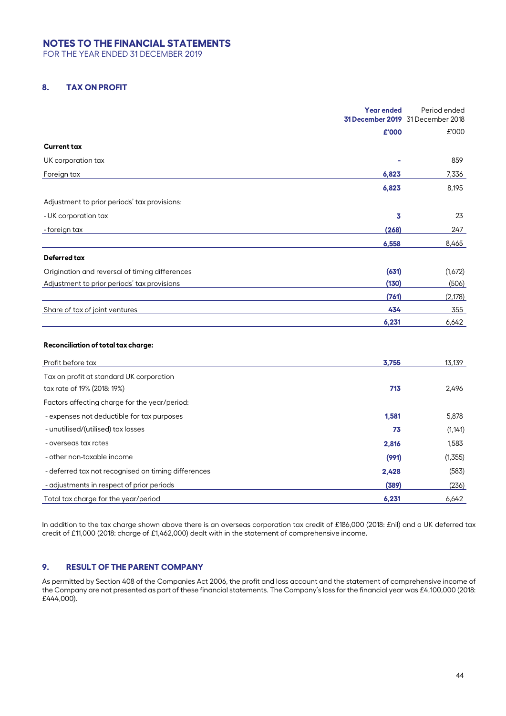FOR THE YEAR ENDED 31 DECEMBER 2019

## **8. TAX ON PROFIT**

|                                                | <b>Year ended</b> | Period ended<br>31 December 2019 31 December 2018 |
|------------------------------------------------|-------------------|---------------------------------------------------|
|                                                | £'000             | £'000                                             |
| <b>Current tax</b>                             |                   |                                                   |
| UK corporation tax                             |                   | 859                                               |
| Foreign tax                                    | 6,823             | 7,336                                             |
|                                                | 6,823             | 8,195                                             |
| Adjustment to prior periods' tax provisions:   |                   |                                                   |
| - UK corporation tax                           | 3                 | 23                                                |
| - foreign tax                                  | (268)             | 247                                               |
|                                                | 6,558             | 8,465                                             |
| <b>Deferred tax</b>                            |                   |                                                   |
| Origination and reversal of timing differences | (631)             | (1,672)                                           |
| Adjustment to prior periods' tax provisions    | (130)             | (506)                                             |
|                                                | (761)             | (2, 178)                                          |
| Share of tax of joint ventures                 | 434               | 355                                               |
|                                                | 6,231             | 6,642                                             |
| Reconciliation of total tax charge:            |                   |                                                   |
| Profit before tax                              | 3,755             | 13,139                                            |
| Tax on profit at standard UK corporation       |                   |                                                   |
| tax rate of 19% (2018: 19%)                    | 713               | 2,496                                             |

| Factors affecting charge for the year/period:       |       |          |
|-----------------------------------------------------|-------|----------|
| - expenses not deductible for tax purposes          | 1,581 | 5,878    |
| - unutilised/(utilised) tax losses                  | 73    | (1, 141) |
| - overseas tax rates                                | 2,816 | 1,583    |
| - other non-taxable income                          | (991) | (1,355)  |
| - deferred tax not recognised on timing differences | 2,428 | (583)    |
| - adjustments in respect of prior periods           | (389) | (236)    |
| Total tax charge for the year/period                | 6,231 | 6,642    |

In addition to the tax charge shown above there is an overseas corporation tax credit of £186,000 (2018: £nil) and a UK deferred tax credit of £11,000 (2018: charge of £1,462,000) dealt with in the statement of comprehensive income.

## **9. RESULT OF THE PARENT COMPANY**

As permitted by Section 408 of the Companies Act 2006, the profit and loss account and the statement of comprehensive income of the Company are not presented as part of these financial statements. The Company's loss for the financial year was £4,100,000 (2018: £444,000).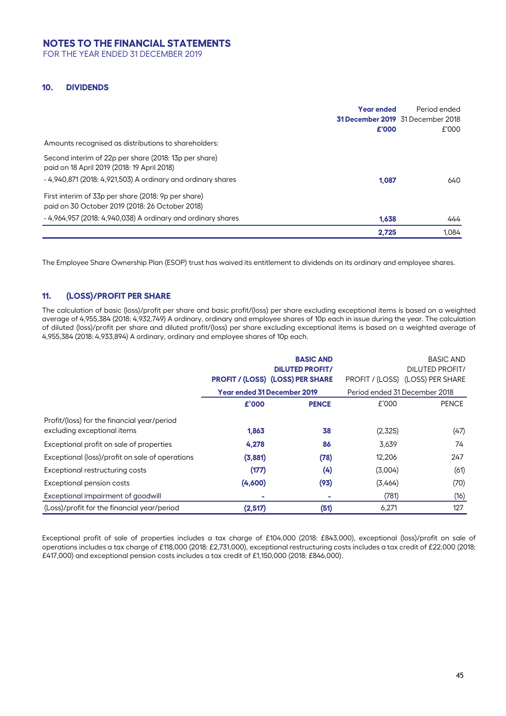FOR THE YEAR ENDED 31 DECEMBER 2019

### **10. DIVIDENDS**

|                                                                                                      | <b>Year ended</b><br>£'000 | Period ended<br><b>31 December 2019</b> 31 December 2018<br>£'000 |
|------------------------------------------------------------------------------------------------------|----------------------------|-------------------------------------------------------------------|
| Amounts recognised as distributions to shareholders:                                                 |                            |                                                                   |
|                                                                                                      |                            |                                                                   |
| Second interim of 22p per share (2018: 13p per share)<br>paid on 18 April 2019 (2018: 19 April 2018) |                            |                                                                   |
| - 4,940,871 (2018: 4,921,503) A ordinary and ordinary shares                                         | 1.087                      | 640                                                               |
| First interim of 33p per share (2018: 9p per share)                                                  |                            |                                                                   |
| paid on 30 October 2019 (2018: 26 October 2018)                                                      |                            |                                                                   |
| - 4,964,957 (2018: 4,940,038) A ordinary and ordinary shares                                         | 1.638                      | 444                                                               |
|                                                                                                      | 2.725                      | 1.084                                                             |

The Employee Share Ownership Plan (ESOP) trust has waived its entitlement to dividends on its ordinary and employee shares.

## **11. (LOSS)/PROFIT PER SHARE**

The calculation of basic (loss)/profit per share and basic profit/(loss) per share excluding exceptional items is based on a weighted average of 4,955,384 (2018: 4,932,749) A ordinary, ordinary and employee shares of 10p each in issue during the year. The calculation of diluted (loss)/profit per share and diluted profit/(loss) per share excluding exceptional items is based on a weighted average of 4,955,384 (2018: 4,933,894) A ordinary, ordinary and employee shares of 10p each.

|                                                                            |                                    | <b>BASIC AND</b><br><b>DILUTED PROFIT/</b><br><b>PROFIT / (LOSS) (LOSS) PER SHARE</b> |                               | <b>BASIC AND</b><br><b>DILUTED PROFIT/</b><br>PROFIT / (LOSS) (LOSS) PER SHARE |
|----------------------------------------------------------------------------|------------------------------------|---------------------------------------------------------------------------------------|-------------------------------|--------------------------------------------------------------------------------|
|                                                                            | <b>Year ended 31 December 2019</b> |                                                                                       | Period ended 31 December 2018 |                                                                                |
|                                                                            | £'000                              | <b>PENCE</b>                                                                          | £'000                         | <b>PENCE</b>                                                                   |
| Profit/(loss) for the financial year/period<br>excluding exceptional items | 1,863                              | 38                                                                                    | (2,325)                       | (47)                                                                           |
| Exceptional profit on sale of properties                                   | 4,278                              | 86                                                                                    | 3,639                         | 74                                                                             |
| Exceptional (loss)/profit on sale of operations                            | (3,881)                            | (78)                                                                                  | 12,206                        | 247                                                                            |
| Exceptional restructuring costs                                            | (177)                              | (4)                                                                                   | (3,004)                       | (61)                                                                           |
| Exceptional pension costs                                                  | (4,600)                            | (93)                                                                                  | (3,464)                       | (70)                                                                           |
| Exceptional impairment of goodwill                                         |                                    |                                                                                       | (781)                         | (16)                                                                           |
| (Loss)/profit for the financial year/period                                | (2,517)                            | (51)                                                                                  | 6,271                         | 127                                                                            |

Exceptional profit of sale of properties includes a tax charge of £104,000 (2018: £843,000), exceptional (loss)/profit on sale of operations includes a tax charge of £118,000 (2018: £2,731,000), exceptional restructuring costs includes a tax credit of £22,000 (2018: £417,000) and exceptional pension costs includes a tax credit of £1,150,000 (2018: £846,000).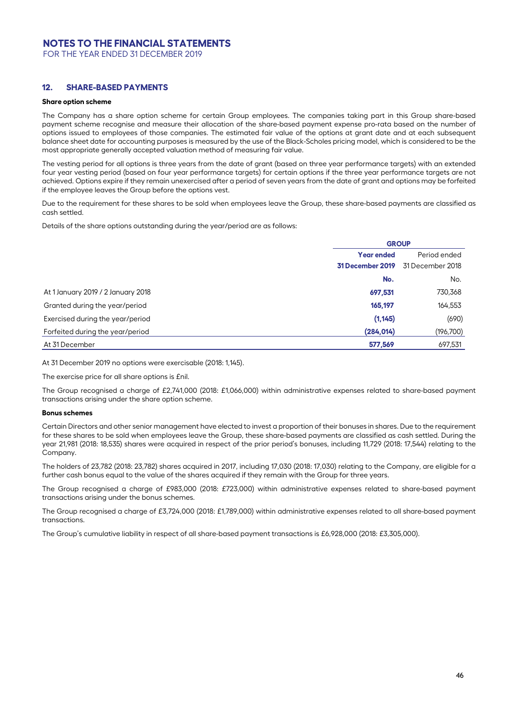FOR THE YEAR ENDED 31 DECEMBER 2019

### **12. SHARE-BASED PAYMENTS**

#### **Share option scheme**

The Company has a share option scheme for certain Group employees. The companies taking part in this Group share-based payment scheme recognise and measure their allocation of the share-based payment expense pro-rata based on the number of options issued to employees of those companies. The estimated fair value of the options at grant date and at each subsequent balance sheet date for accounting purposes is measured by the use of the Black-Scholes pricing model, which is considered to be the most appropriate generally accepted valuation method of measuring fair value.

The vesting period for all options is three years from the date of grant (based on three year performance targets) with an extended four year vesting period (based on four year performance targets) for certain options if the three year performance targets are not achieved. Options expire if they remain unexercised after a period of seven years from the date of grant and options may be forfeited if the employee leaves the Group before the options vest.

Due to the requirement for these shares to be sold when employees leave the Group, these share-based payments are classified as cash settled.

Details of the share options outstanding during the year/period are as follows:

|                                    | <b>GROUP</b>                         |              |  |
|------------------------------------|--------------------------------------|--------------|--|
|                                    | <b>Year ended</b>                    | Period ended |  |
|                                    | 31 December 2018<br>31 December 2019 |              |  |
|                                    | No.                                  | No.          |  |
| At 1 January 2019 / 2 January 2018 | 697,531                              | 730,368      |  |
| Granted during the year/period     | 165,197                              | 164,553      |  |
| Exercised during the year/period   | (1, 145)                             | (690)        |  |
| Forfeited during the year/period   | (284, 014)                           | (196, 700)   |  |
| At 31 December                     | 577,569                              | 697,531      |  |

At 31 December 2019 no options were exercisable (2018: 1,145).

The exercise price for all share options is £nil.

The Group recognised a charge of £2,741,000 (2018: £1,066,000) within administrative expenses related to share-based payment transactions arising under the share option scheme.

#### **Bonus schemes**

Certain Directors and other senior management have elected to invest a proportion of their bonuses in shares. Due to the requirement for these shares to be sold when employees leave the Group, these share-based payments are classified as cash settled. During the year 21,981 (2018: 18,535) shares were acquired in respect of the prior period's bonuses, including 11,729 (2018: 17,544) relating to the Company.

The holders of 23,782 (2018: 23,782) shares acquired in 2017, including 17,030 (2018: 17,030) relating to the Company, are eligible for a further cash bonus equal to the value of the shares acquired if they remain with the Group for three years.

The Group recognised a charge of £983,000 (2018: £723,000) within administrative expenses related to share-based payment transactions arising under the bonus schemes.

The Group recognised a charge of £3,724,000 (2018: £1,789,000) within administrative expenses related to all share-based payment transactions.

The Group's cumulative liability in respect of all share-based payment transactions is £6,928,000 (2018: £3,305,000).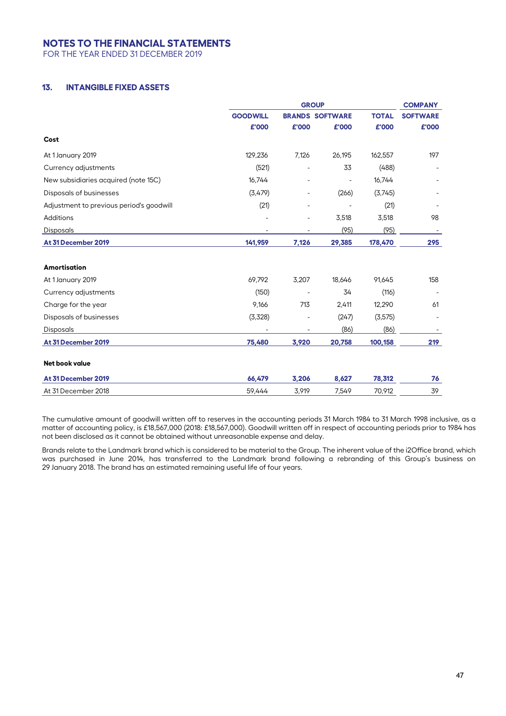FOR THE YEAR ENDED 31 DECEMBER 2019

## **13. INTANGIBLE FIXED ASSETS**

|                                          | <b>GROUP</b>    |       |                        |              | <b>COMPANY</b>  |  |
|------------------------------------------|-----------------|-------|------------------------|--------------|-----------------|--|
|                                          | <b>GOODWILL</b> |       | <b>BRANDS SOFTWARE</b> | <b>TOTAL</b> | <b>SOFTWARE</b> |  |
|                                          | £'000           | £'000 | £'000                  | £'000        | £'000           |  |
| Cost                                     |                 |       |                        |              |                 |  |
| At 1 January 2019                        | 129,236         | 7,126 | 26,195                 | 162,557      | 197             |  |
| Currency adjustments                     | (521)           |       | 33                     | (488)        |                 |  |
| New subsidiaries acquired (note 15C)     | 16,744          |       |                        | 16,744       |                 |  |
| Disposals of businesses                  | (3,479)         |       | (266)                  | (3,745)      |                 |  |
| Adjustment to previous period's goodwill | (21)            |       |                        | (21)         |                 |  |
| Additions                                |                 |       | 3,518                  | 3,518        | 98              |  |
| <b>Disposals</b>                         |                 |       | (95)                   | (95)         |                 |  |
| At 31 December 2019                      | 141,959         | 7,126 | 29,385                 | 178,470      | 295             |  |
| Amortisation                             |                 |       |                        |              |                 |  |
| At 1 January 2019                        | 69,792          | 3,207 | 18,646                 | 91,645       | 158             |  |
| Currency adjustments                     | (150)           |       | 34                     | (116)        |                 |  |
| Charge for the year                      | 9,166           | 713   | 2,411                  | 12,290       | 61              |  |
| Disposals of businesses                  | (3,328)         |       | (247)                  | (3, 575)     |                 |  |
| <b>Disposals</b>                         |                 |       | (86)                   | (86)         |                 |  |
| At 31 December 2019                      | 75,480          | 3,920 | 20,758                 | 100,158      | 219             |  |
| Net book value                           |                 |       |                        |              |                 |  |
| At 31 December 2019                      | 66,479          | 3,206 | 8,627                  | 78,312       | 76              |  |
| At 31 December 2018                      | 59,444          | 3,919 | 7,549                  | 70,912       | 39              |  |

The cumulative amount of goodwill written off to reserves in the accounting periods 31 March 1984 to 31 March 1998 inclusive, as a matter of accounting policy, is £18,567,000 (2018: £18,567,000). Goodwill written off in respect of accounting periods prior to 1984 has not been disclosed as it cannot be obtained without unreasonable expense and delay.

Brands relate to the Landmark brand which is considered to be material to the Group. The inherent value of the i2Office brand, which was purchased in June 2014, has transferred to the Landmark brand following a rebranding of this Group's business on 29 January 2018. The brand has an estimated remaining useful life of four years.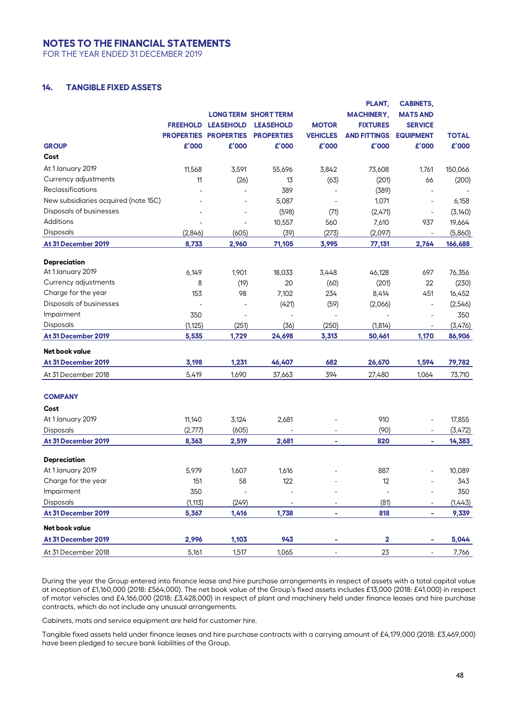FOR THE YEAR ENDED 31 DECEMBER 2019

## **14. TANGIBLE FIXED ASSETS**

|                                      | <b>FREEHOLD</b> | <b>LEASEHOLD</b>         | <b>LONG TERM SHORT TERM</b><br><b>LEASEHOLD</b> | <b>MOTOR</b>             | PLANT,<br><b>MACHINERY,</b><br><b>FIXTURES</b> | <b>CABINETS,</b><br><b>MATS AND</b><br><b>SERVICE</b> |              |
|--------------------------------------|-----------------|--------------------------|-------------------------------------------------|--------------------------|------------------------------------------------|-------------------------------------------------------|--------------|
|                                      |                 | PROPERTIES PROPERTIES    | <b>PROPERTIES</b>                               | <b>VEHICLES</b>          | <b>AND FITTINGS</b>                            | <b>EQUIPMENT</b>                                      | <b>TOTAL</b> |
| <b>GROUP</b>                         | £'000           | £'000                    | £'000                                           | £'000                    | £'000                                          | £'000                                                 | £'000        |
| Cost                                 |                 |                          |                                                 |                          |                                                |                                                       |              |
| At 1 January 2019                    | 11,568          | 3,591                    | 55,696                                          | 3,842                    | 73,608                                         | 1,761                                                 | 150,066      |
| Currency adjustments                 | 11              | (26)                     | 13                                              | (63)                     | (201)                                          | 66                                                    | (200)        |
| Reclassifications                    |                 |                          | 389                                             |                          | (389)                                          |                                                       |              |
| New subsidiaries acquired (note 15C) |                 | $\overline{a}$           | 5,087                                           | $\blacksquare$           | 1,071                                          | $\overline{\phantom{a}}$                              | 6,158        |
| Disposals of businesses              |                 | $\overline{\phantom{a}}$ | (598)                                           | (71)                     | (2,471)                                        | $\overline{a}$                                        | (3, 140)     |
| <b>Additions</b>                     |                 | $\overline{\phantom{a}}$ | 10,557                                          | 560                      | 7,610                                          | 937                                                   | 19,664       |
| Disposals                            | (2,846)         | (605)                    | (39)                                            | (273)                    | (2,097)                                        |                                                       | (5,860)      |
| At 31 December 2019                  | 8,733           | 2,960                    | 71,105                                          | 3,995                    | 77,131                                         | 2,764                                                 | 166,688      |
| <b>Depreciation</b>                  |                 |                          |                                                 |                          |                                                |                                                       |              |
| At 1 January 2019                    | 6,149           | 1,901                    | 18,033                                          | 3,448                    | 46,128                                         | 697                                                   | 76,356       |
| Currency adjustments                 | 8               | (19)                     | 20                                              | (60)                     | (201)                                          | 22                                                    | (230)        |
| Charge for the year                  | 153             | 98                       | 7,102                                           | 234                      | 8,414                                          | 451                                                   | 16,452       |
| Disposals of businesses              |                 | $\overline{a}$           | (421)                                           | (59)                     | (2,066)                                        | $\overline{a}$                                        | (2,546)      |
| Impairment                           | 350             |                          | $\overline{\phantom{a}}$                        |                          |                                                |                                                       | 350          |
| Disposals                            | (1, 125)        | (251)                    | (36)                                            | (250)                    | (1,814)                                        |                                                       | (3,476)      |
| At 31 December 2019                  | 5,535           | 1,729                    | 24,698                                          | 3,313                    | 50,461                                         | 1,170                                                 | 86,906       |
| Net book value                       |                 |                          |                                                 |                          |                                                |                                                       |              |
| At 31 December 2019                  | 3,198           | 1,231                    | 46,407                                          | 682                      | 26,670                                         | 1,594                                                 | 79,782       |
| At 31 December 2018                  | 5,419           | 1,690                    | 37,663                                          | 394                      | 27,480                                         | 1,064                                                 | 73,710       |
| <b>COMPANY</b>                       |                 |                          |                                                 |                          |                                                |                                                       |              |
| Cost                                 |                 |                          |                                                 |                          |                                                |                                                       |              |
| At 1 January 2019                    | 11,140          | 3,124                    | 2,681                                           |                          | 910                                            | $\overline{a}$                                        | 17,855       |
| Disposals                            | (2,777)         | (605)                    |                                                 | $\overline{\phantom{a}}$ | (90)                                           | $\blacksquare$                                        | (3, 472)     |
| At 31 December 2019                  | 8,363           | 2,519                    | 2,681                                           | $\sim$                   | 820                                            | ٠                                                     | 14,383       |
| <b>Depreciation</b>                  |                 |                          |                                                 |                          |                                                |                                                       |              |
| At 1 January 2019                    | 5,979           | 1,607                    | 1,616                                           |                          | 887                                            |                                                       | 10,089       |
| Charge for the year                  | 151             | 58                       | 122                                             |                          | 12                                             |                                                       | 343          |
| Impairment                           | 350             | $\overline{\phantom{a}}$ |                                                 |                          |                                                |                                                       | 350          |
| Disposals                            | (1, 113)        | (249)                    |                                                 |                          | (81)                                           |                                                       | (1,443)      |
| At 31 December 2019                  | 5,367           | 1,416                    | 1,738                                           | ä,                       | 818                                            | ۰                                                     | 9,339        |
| Net book value                       |                 |                          |                                                 |                          |                                                |                                                       |              |
| At 31 December 2019                  | 2,996           | 1,103                    | 943                                             |                          | $\overline{\mathbf{2}}$                        | ٠                                                     | 5,044        |
| At 31 December 2018                  | 5,161           | 1,517                    | 1,065                                           |                          | 23                                             | -                                                     | 7,766        |

During the year the Group entered into finance lease and hire purchase arrangements in respect of assets with a total capital value at inception of £1,160,000 (2018: £564,000). The net book value of the Group's fixed assets includes £13,000 (2018: £41,000) in respect of motor vehicles and £4,166,000 (2018: £3,428,000) in respect of plant and machinery held under finance leases and hire purchase contracts, which do not include any unusual arrangements.

Cabinets, mats and service equipment are held for customer hire.

Tangible fixed assets held under finance leases and hire purchase contracts with a carrying amount of £4,179,000 (2018: £3,469,000) have been pledged to secure bank liabilities of the Group.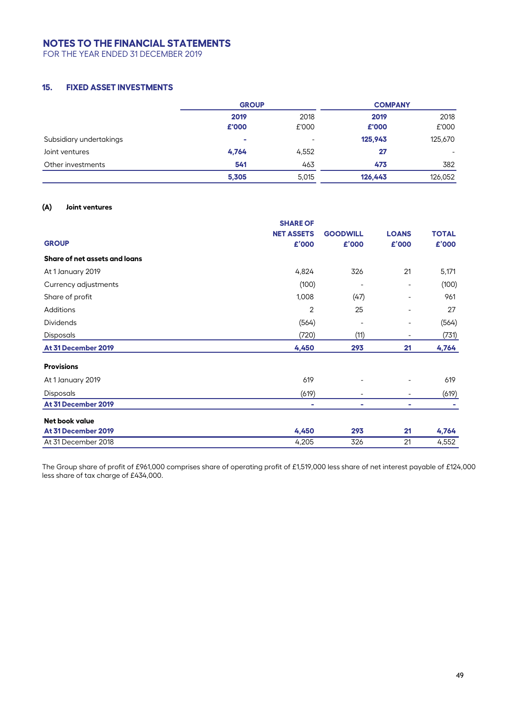FOR THE YEAR ENDED 31 DECEMBER 2019

## **15. FIXED ASSET INVESTMENTS**

|                         | <b>GROUP</b> |                          | <b>COMPANY</b> |         |
|-------------------------|--------------|--------------------------|----------------|---------|
|                         | 2019         | 2018                     | 2019           | 2018    |
|                         | £'000        | £'000                    | £'000          | £'000   |
| Subsidiary undertakings | ÷            | $\overline{\phantom{0}}$ | 125,943        | 125,670 |
| Joint ventures          | 4,764        | 4,552                    | 27             | -       |
| Other investments       | 541          | 463                      | 473            | 382     |
|                         | 5,305        | 5,015                    | 126,443        | 126,052 |

#### **(A) Joint ventures**

|                               | <b>SHARE OF</b>   |                 |                          |              |
|-------------------------------|-------------------|-----------------|--------------------------|--------------|
|                               | <b>NET ASSETS</b> | <b>GOODWILL</b> | <b>LOANS</b>             | <b>TOTAL</b> |
| <b>GROUP</b>                  | £'000             | £'000           | £'000                    | £'000        |
| Share of net assets and loans |                   |                 |                          |              |
| At 1 January 2019             | 4,824             | 326             | 21                       | 5,171        |
| Currency adjustments          | (100)             |                 |                          | (100)        |
| Share of profit               | 1,008             | (47)            | $\overline{\phantom{a}}$ | 961          |
| Additions                     | $\overline{2}$    | 25              | -                        | 27           |
| <b>Dividends</b>              | (564)             |                 |                          | (564)        |
| Disposals                     | (720)             | (11)            |                          | (731)        |
| At 31 December 2019           | 4,450             | 293             | 21                       | 4,764        |
| <b>Provisions</b>             |                   |                 |                          |              |
| At 1 January 2019             | 619               |                 |                          | 619          |
| <b>Disposals</b>              | (619)             |                 |                          | (619)        |
| At 31 December 2019           | ۰                 | ٠               | ۰                        |              |
| Net book value                |                   |                 |                          |              |
| At 31 December 2019           | 4,450             | 293             | 21                       | 4,764        |
| At 31 December 2018           | 4,205             | 326             | 21                       | 4,552        |

The Group share of profit of £961,000 comprises share of operating profit of £1,519,000 less share of net interest payable of £124,000 less share of tax charge of £434,000.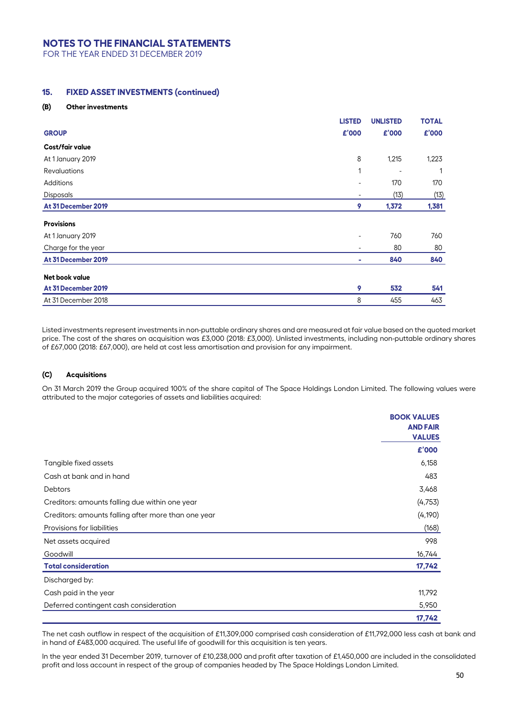FOR THE YEAR ENDED 31 DECEMBER 2019

## **15. FIXED ASSET INVESTMENTS (continued)**

#### **(B) Other investments**

|                     | <b>LISTED</b> | <b>UNLISTED</b> | <b>TOTAL</b> |
|---------------------|---------------|-----------------|--------------|
| <b>GROUP</b>        | £'000         | £'000           | £'000        |
| Cost/fair value     |               |                 |              |
| At 1 January 2019   | 8             | 1,215           | 1,223        |
| <b>Revaluations</b> | 1             |                 |              |
| Additions           |               | 170             | 170          |
| Disposals           |               | (13)            | (13)         |
| At 31 December 2019 | 9             | 1,372           | 1,381        |
| <b>Provisions</b>   |               |                 |              |
| At 1 January 2019   |               | 760             | 760          |
| Charge for the year |               | 80              | 80           |
| At 31 December 2019 | ٠             | 840             | 840          |
| Net book value      |               |                 |              |
| At 31 December 2019 | 9             | 532             | 541          |
| At 31 December 2018 | 8             | 455             | 463          |

Listed investments represent investments in non-puttable ordinary shares and are measured at fair value based on the quoted market price. The cost of the shares on acquisition was £3,000 (2018: £3,000). Unlisted investments, including non-puttable ordinary shares of £67,000 (2018: £67,000), are held at cost less amortisation and provision for any impairment.

#### **(C) Acquisitions**

On 31 March 2019 the Group acquired 100% of the share capital of The Space Holdings London Limited. The following values were attributed to the major categories of assets and liabilities acquired:

|                                                     | <b>BOOK VALUES</b><br><b>AND FAIR</b> |
|-----------------------------------------------------|---------------------------------------|
|                                                     | <b>VALUES</b>                         |
|                                                     | £'000                                 |
| Tangible fixed assets                               | 6,158                                 |
| Cash at bank and in hand                            | 483                                   |
| <b>Debtors</b>                                      | 3,468                                 |
| Creditors: amounts falling due within one year      | (4, 753)                              |
| Creditors: amounts falling after more than one year | (4, 190)                              |
| Provisions for liabilities                          | (168)                                 |
| Net assets acquired                                 | 998                                   |
| Goodwill                                            | 16,744                                |
| <b>Total consideration</b>                          | 17,742                                |
| Discharged by:                                      |                                       |
| Cash paid in the year                               | 11,792                                |
| Deferred contingent cash consideration              | 5,950                                 |
|                                                     | 17,742                                |

The net cash outflow in respect of the acquisition of £11,309,000 comprised cash consideration of £11,792,000 less cash at bank and in hand of £483,000 acquired. The useful life of goodwill for this acquisition is ten years.

In the year ended 31 December 2019, turnover of £10,238,000 and profit after taxation of £1,450,000 are included in the consolidated profit and loss account in respect of the group of companies headed by The Space Holdings London Limited.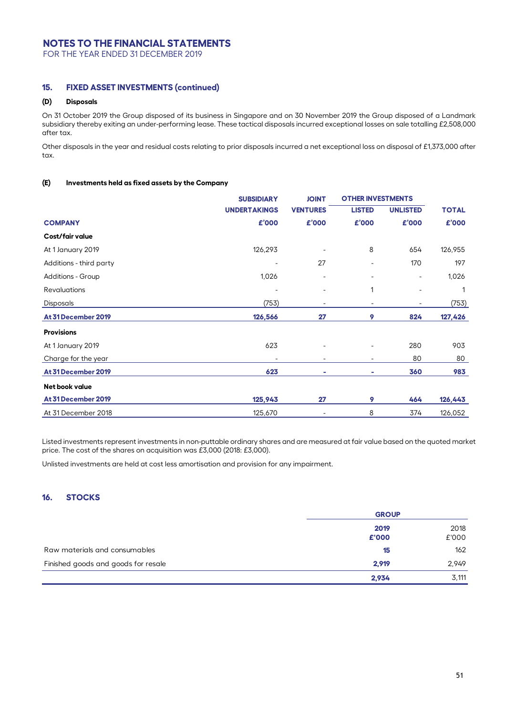FOR THE YEAR ENDED 31 DECEMBER 2019

### **15. FIXED ASSET INVESTMENTS (continued)**

### **(D) Disposals**

On 31 October 2019 the Group disposed of its business in Singapore and on 30 November 2019 the Group disposed of a Landmark subsidiary thereby exiting an under-performing lease. These tactical disposals incurred exceptional losses on sale totalling £2,508,000 after tax.

Other disposals in the year and residual costs relating to prior disposals incurred a net exceptional loss on disposal of £1,373,000 after tax.

### **(E) Investments held as fixed assets by the Company**

|                          | <b>SUBSIDIARY</b>   |                          | <b>OTHER INVESTMENTS</b> |                          |              |
|--------------------------|---------------------|--------------------------|--------------------------|--------------------------|--------------|
|                          | <b>UNDERTAKINGS</b> | <b>VENTURES</b>          | <b>LISTED</b>            | <b>UNLISTED</b>          | <b>TOTAL</b> |
| <b>COMPANY</b>           | £'000               | £'000                    | £'000                    | £'000                    | £'000        |
| Cost/fair value          |                     |                          |                          |                          |              |
| At 1 January 2019        | 126,293             | $\overline{\phantom{0}}$ | 8                        | 654                      | 126,955      |
| Additions - third party  |                     | 27                       |                          | 170                      | 197          |
| <b>Additions - Group</b> | 1,026               | $\overline{a}$           |                          | $\overline{\phantom{a}}$ | 1,026        |
| <b>Revaluations</b>      |                     | -                        | 1                        |                          | 1            |
| <b>Disposals</b>         | (753)               | $\overline{\phantom{0}}$ |                          |                          | (753)        |
| At 31 December 2019      | 126,566             | 27                       | 9                        | 824                      | 127,426      |
| <b>Provisions</b>        |                     |                          |                          |                          |              |
| At 1 January 2019        | 623                 |                          |                          | 280                      | 903          |
| Charge for the year      |                     | ۰                        |                          | 80                       | 80           |
| At 31 December 2019      | 623                 | -                        | ٠                        | 360                      | 983          |
| Net book value           |                     |                          |                          |                          |              |
| At 31 December 2019      | 125,943             | 27                       | 9                        | 464                      | 126,443      |
| At 31 December 2018      | 125,670             |                          | 8                        | 374                      | 126,052      |

Listed investments represent investments in non-puttable ordinary shares and are measured at fair value based on the quoted market price. The cost of the shares on acquisition was £3,000 (2018: £3,000).

Unlisted investments are held at cost less amortisation and provision for any impairment.

## **16. STOCKS**

|                                     | <b>GROUP</b> |       |  |
|-------------------------------------|--------------|-------|--|
|                                     | 2019         | 2018  |  |
|                                     | £'000        | £'000 |  |
| Raw materials and consumables       | 15           | 162   |  |
| Finished goods and goods for resale | 2.919        | 2,949 |  |
|                                     | 2,934        | 3,111 |  |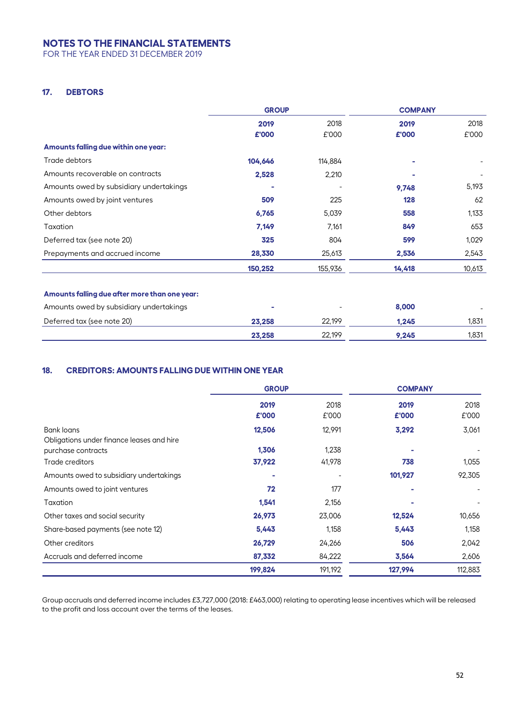FOR THE YEAR ENDED 31 DECEMBER 2019

## **17. DEBTORS**

|                                               | <b>GROUP</b> |         | <b>COMPANY</b> |        |
|-----------------------------------------------|--------------|---------|----------------|--------|
|                                               | 2019         | 2018    | 2019           | 2018   |
|                                               | £'000        | £'000   | £'000          | £'000  |
| Amounts falling due within one year:          |              |         |                |        |
| Trade debtors                                 | 104,646      | 114,884 |                |        |
| Amounts recoverable on contracts              | 2,528        | 2,210   |                |        |
| Amounts owed by subsidiary undertakings       |              |         | 9,748          | 5,193  |
| Amounts owed by joint ventures                | 509          | 225     | 128            | 62     |
| Other debtors                                 | 6,765        | 5,039   | 558            | 1,133  |
| Taxation                                      | 7,149        | 7,161   | 849            | 653    |
| Deferred tax (see note 20)                    | 325          | 804     | 599            | 1,029  |
| Prepayments and accrued income                | 28,330       | 25,613  | 2,536          | 2,543  |
|                                               | 150,252      | 155,936 | 14,418         | 10,613 |
| Amounts falling due after more than one year: |              |         |                |        |
| Amounts owed by subsidiary undertakings       |              |         | 8,000          |        |
| Deferred tax (see note 20)                    | 23,258       | 22,199  | 1,245          | 1,831  |
|                                               | 23,258       | 22,199  | 9,245          | 1,831  |

## **18. CREDITORS: AMOUNTS FALLING DUE WITHIN ONE YEAR**

|                                                         | <b>GROUP</b>  |               | <b>COMPANY</b> |               |  |
|---------------------------------------------------------|---------------|---------------|----------------|---------------|--|
|                                                         | 2019<br>£'000 | 2018<br>£'000 | 2019<br>£'000  | 2018<br>£'000 |  |
| Bank loans<br>Obligations under finance leases and hire | 12,506        | 12,991        | 3,292          | 3,061         |  |
| purchase contracts                                      | 1,306         | 1,238         |                |               |  |
| Trade creditors                                         | 37,922        | 41,978        | 738            | 1,055         |  |
| Amounts owed to subsidiary undertakings                 | ۰             |               | 101,927        | 92,305        |  |
| Amounts owed to joint ventures                          | 72            | 177           |                |               |  |
| Taxation                                                | 1,541         | 2,156         |                |               |  |
| Other taxes and social security                         | 26,973        | 23,006        | 12,524         | 10,656        |  |
| Share-based payments (see note 12)                      | 5,443         | 1,158         | 5,443          | 1,158         |  |
| Other creditors                                         | 26,729        | 24,266        | 506            | 2,042         |  |
| Accruals and deferred income                            | 87,332        | 84,222        | 3,564          | 2,606         |  |
|                                                         | 199,824       | 191,192       | 127,994        | 112,883       |  |

Group accruals and deferred income includes £3,727,000 (2018: £463,000) relating to operating lease incentives which will be released to the profit and loss account over the terms of the leases.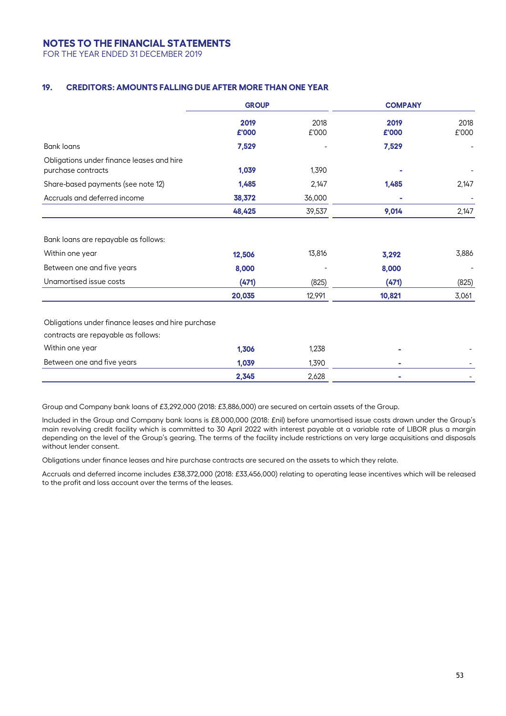FOR THE YEAR ENDED 31 DECEMBER 2019

## **19. CREDITORS: AMOUNTS FALLING DUE AFTER MORE THAN ONE YEAR**

|                                                                                                                  | <b>GROUP</b>             |                 |                         | <b>COMPANY</b> |  |
|------------------------------------------------------------------------------------------------------------------|--------------------------|-----------------|-------------------------|----------------|--|
|                                                                                                                  | 2019<br>£'000            | 2018<br>£'000   | 2019<br>£'000           | 2018<br>£'000  |  |
| <b>Bank loans</b>                                                                                                | 7,529                    |                 | 7,529                   |                |  |
| Obligations under finance leases and hire<br>purchase contracts                                                  | 1,039                    | 1,390           |                         |                |  |
| Share-based payments (see note 12)                                                                               | 1,485                    | 2,147           | 1,485                   | 2,147          |  |
| Accruals and deferred income                                                                                     | 38,372                   | 36,000          |                         |                |  |
|                                                                                                                  | 48,425                   | 39,537          | 9,014                   | 2,147          |  |
| Bank loans are repayable as follows:<br>Within one year<br>Between one and five years<br>Unamortised issue costs | 12,506<br>8,000<br>(471) | 13,816<br>(825) | 3,292<br>8,000<br>(471) | 3,886<br>(825) |  |
|                                                                                                                  | 20,035                   | 12,991          | 10,821                  | 3,061          |  |
| Obligations under finance leases and hire purchase<br>contracts are repayable as follows:                        |                          |                 |                         |                |  |
| Within one year                                                                                                  | 1,306                    | 1,238           |                         |                |  |
| Between one and five years                                                                                       | 1,039                    | 1,390           |                         |                |  |
|                                                                                                                  | 2,345                    | 2,628           |                         |                |  |

Group and Company bank loans of £3,292,000 (2018: £3,886,000) are secured on certain assets of the Group.

Included in the Group and Company bank loans is £8,000,000 (2018: £nil) before unamortised issue costs drawn under the Group's main revolving credit facility which is committed to 30 April 2022 with interest payable at a variable rate of LIBOR plus a margin depending on the level of the Group's gearing. The terms of the facility include restrictions on very large acquisitions and disposals without lender consent.

Obligations under finance leases and hire purchase contracts are secured on the assets to which they relate.

Accruals and deferred income includes £38,372,000 (2018: £33,456,000) relating to operating lease incentives which will be released to the profit and loss account over the terms of the leases.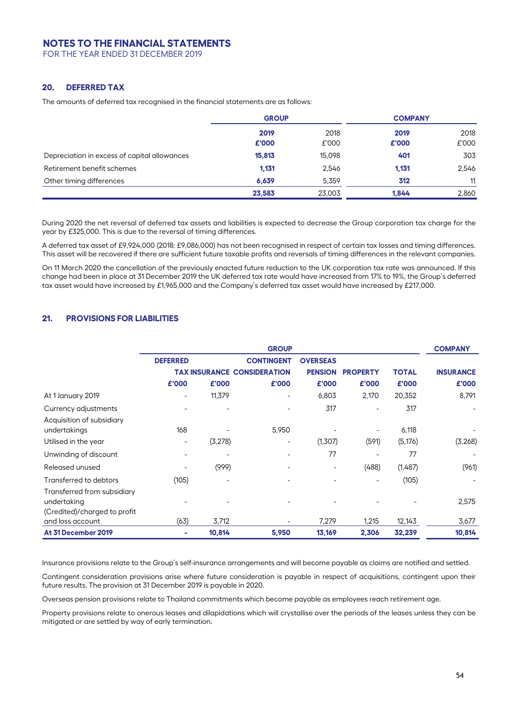FOR THE YEAR ENDED 31 DECEMBER 2019

### **20. DEFERRED TAX**

The amounts of deferred tax recognised in the financial statements are as follows:

|                                              | <b>GROUP</b> |        | <b>COMPANY</b> |       |  |
|----------------------------------------------|--------------|--------|----------------|-------|--|
|                                              | 2019         | 2018   | 2019           | 2018  |  |
|                                              | £'000        | £'000  | £'000          | £'000 |  |
| Depreciation in excess of capital allowances | 15,813       | 15,098 | 401            | 303   |  |
| Retirement benefit schemes                   | 1.131        | 2,546  | 1.131          | 2,546 |  |
| Other timing differences                     | 6.639        | 5.359  | 312            | 11    |  |
|                                              | 23,583       | 23,003 | 1.844          | 2,860 |  |

During 2020 the net reversal of deferred tax assets and liabilities is expected to decrease the Group corporation tax charge for the year by £325,000. This is due to the reversal of timing differences.

A deferred tax asset of £9,924,000 (2018: £9,086,000) has not been recognised in respect of certain tax losses and timing differences. This asset will be recovered if there are sufficient future taxable profits and reversals of timing differences in the relevant companies.

On 11 March 2020 the cancellation of the previously enacted future reduction to the UK corporation tax rate was announced. If this change had been in place at 31 December 2019 the UK deferred tax rate would have increased from 17% to 19%, the Group's deferred tax asset would have increased by £1,965,000 and the Company's deferred tax asset would have increased by £217,000.

### **21. PROVISIONS FOR LIABILITIES**

|                                                       |                          |         | <b>GROUP</b>                       |                          |                 |              | <b>COMPANY</b>           |
|-------------------------------------------------------|--------------------------|---------|------------------------------------|--------------------------|-----------------|--------------|--------------------------|
|                                                       | <b>DEFERRED</b>          |         | <b>CONTINGENT</b>                  | <b>OVERSEAS</b>          |                 |              |                          |
|                                                       |                          |         | <b>TAX INSURANCE CONSIDERATION</b> | <b>PENSION</b>           | <b>PROPERTY</b> | <b>TOTAL</b> | <b>INSURANCE</b>         |
|                                                       | £'000                    | £'000   | £'000                              | £'000                    | £'000           | £'000        | £'000                    |
| At 1 January 2019                                     | $\overline{\phantom{a}}$ | 11,379  | $\overline{\phantom{a}}$           | 6,803                    | 2,170           | 20,352       | 8,791                    |
| Currency adjustments                                  |                          |         |                                    | 317                      |                 | 317          | $\overline{\phantom{a}}$ |
| Acquisition of subsidiary<br>undertakings             | 168                      |         | 5,950                              |                          |                 | 6,118        |                          |
| Utilised in the year                                  | ۰                        | (3,278) |                                    | (1,307)                  | (591)           | (5, 176)     | (3,268)                  |
| Unwinding of discount                                 | ۰                        |         | $\qquad \qquad \blacksquare$       | 77                       |                 | 77           |                          |
| Released unused                                       | ۰                        | (999)   | ۰                                  | $\overline{\phantom{a}}$ | (488)           | (1,487)      | (961)                    |
| Transferred to debtors<br>Transferred from subsidiary | (105)                    |         |                                    |                          | ۰               | (105)        |                          |
| undertaking<br>(Credited)/charged to profit           |                          |         |                                    |                          |                 |              | 2,575                    |
| and loss account                                      | (63)                     | 3,712   |                                    | 7,279                    | 1,215           | 12,143       | 3,677                    |
| At 31 December 2019                                   | ۰                        | 10,814  | 5,950                              | 13,169                   | 2,306           | 32,239       | 10,814                   |

Insurance provisions relate to the Group's self-insurance arrangements and will become payable as claims are notified and settled.

Contingent consideration provisions arise where future consideration is payable in respect of acquisitions, contingent upon their future results. The provision at 31 December 2019 is payable in 2020.

Overseas pension provisions relate to Thailand commitments which become payable as employees reach retirement age.

Property provisions relate to onerous leases and dilapidations which will crystallise over the periods of the leases unless they can be mitigated or are settled by way of early termination.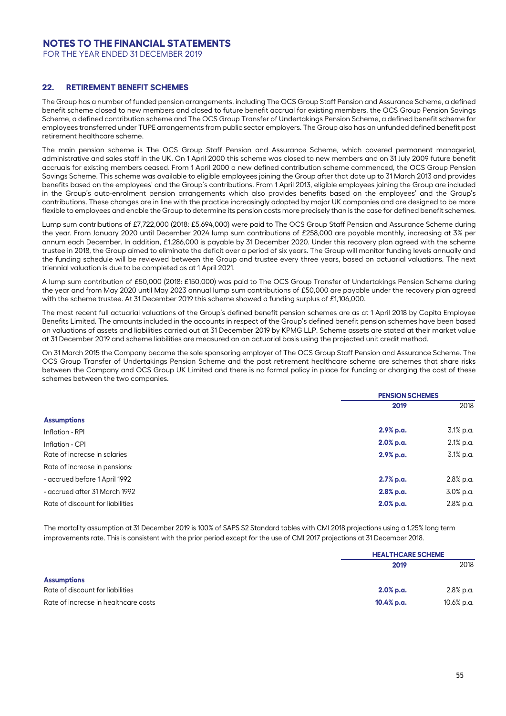FOR THE YEAR ENDED 31 DECEMBER 2019

### **22. RETIREMENT BENEFIT SCHEMES**

The Group has a number of funded pension arrangements, including The OCS Group Staff Pension and Assurance Scheme, a defined benefit scheme closed to new members and closed to future benefit accrual for existing members, the OCS Group Pension Savings Scheme, a defined contribution scheme and The OCS Group Transfer of Undertakings Pension Scheme, a defined benefit scheme for employees transferred under TUPE arrangements from public sector employers. The Group also has an unfunded defined benefit post retirement healthcare scheme.

The main pension scheme is The OCS Group Staff Pension and Assurance Scheme, which covered permanent managerial, administrative and sales staff in the UK. On 1 April 2000 this scheme was closed to new members and on 31 July 2009 future benefit accruals for existing members ceased. From 1 April 2000 a new defined contribution scheme commenced, the OCS Group Pension Savings Scheme. This scheme was available to eligible employees joining the Group after that date up to 31 March 2013 and provides benefits based on the employees' and the Group's contributions. From 1 April 2013, eligible employees joining the Group are included in the Group's auto-enrolment pension arrangements which also provides benefits based on the employees' and the Group's contributions. These changes are in line with the practice increasingly adopted by major UK companies and are designed to be more flexible to employees and enable the Group to determine its pension costs more precisely than is the case for defined benefit schemes.

Lump sum contributions of £7,722,000 (2018: £5,694,000) were paid to The OCS Group Staff Pension and Assurance Scheme during the year. From January 2020 until December 2024 lump sum contributions of £258,000 are payable monthly, increasing at 3% per annum each December. In addition, £1,286,000 is payable by 31 December 2020. Under this recovery plan agreed with the scheme trustee in 2018, the Group aimed to eliminate the deficit over a period of six years. The Group will monitor funding levels annually and the funding schedule will be reviewed between the Group and trustee every three years, based on actuarial valuations. The next triennial valuation is due to be completed as at 1 April 2021.

A lump sum contribution of £50,000 (2018: £150,000) was paid to The OCS Group Transfer of Undertakings Pension Scheme during the year and from May 2020 until May 2023 annual lump sum contributions of £50,000 are payable under the recovery plan agreed with the scheme trustee. At 31 December 2019 this scheme showed a funding surplus of £1,106,000.

The most recent full actuarial valuations of the Group's defined benefit pension schemes are as at 1 April 2018 by Capita Employee Benefits Limited. The amounts included in the accounts in respect of the Group's defined benefit pension schemes have been based on valuations of assets and liabilities carried out at 31 December 2019 by KPMG LLP. Scheme assets are stated at their market value at 31 December 2019 and scheme liabilities are measured on an actuarial basis using the projected unit credit method.

On 31 March 2015 the Company became the sole sponsoring employer of The OCS Group Staff Pension and Assurance Scheme. The OCS Group Transfer of Undertakings Pension Scheme and the post retirement healthcare scheme are schemes that share risks between the Company and OCS Group UK Limited and there is no formal policy in place for funding or charging the cost of these schemes between the two companies.

|                                  | <b>PENSION SCHEMES</b> |           |
|----------------------------------|------------------------|-----------|
|                                  | 2019                   | 2018      |
| <b>Assumptions</b>               |                        |           |
| Inflation - RPI                  | 2.9% p.a.              | 3.1% p.a. |
| Inflation - CPI                  | $2.0%$ p.a.            | 2.1% p.a. |
| Rate of increase in salaries     | 2.9% p.a.              | 3.1% p.a. |
| Rate of increase in pensions:    |                        |           |
| - accrued before 1 April 1992    | 2.7% p.a.              | 2.8% p.a. |
| - accrued after 31 March 1992    | 2.8% p.a.              | 3.0% p.a. |
| Rate of discount for liabilities | $2.0%$ p.a.            | 2.8% p.a. |

The mortality assumption at 31 December 2019 is 100% of SAPS S2 Standard tables with CMI 2018 projections using a 1.25% long term improvements rate. This is consistent with the prior period except for the use of CMI 2017 projections at 31 December 2018.

|                                      |               | <b>HEALTHCARE SCHEME</b> |  |
|--------------------------------------|---------------|--------------------------|--|
|                                      | 2019          | 2018                     |  |
| <b>Assumptions</b>                   |               |                          |  |
| Rate of discount for liabilities     | 2.0% p.a.     | 2.8% p.a.                |  |
| Rate of increase in healthcare costs | $10.4\%$ p.a. | 10.6% p.a.               |  |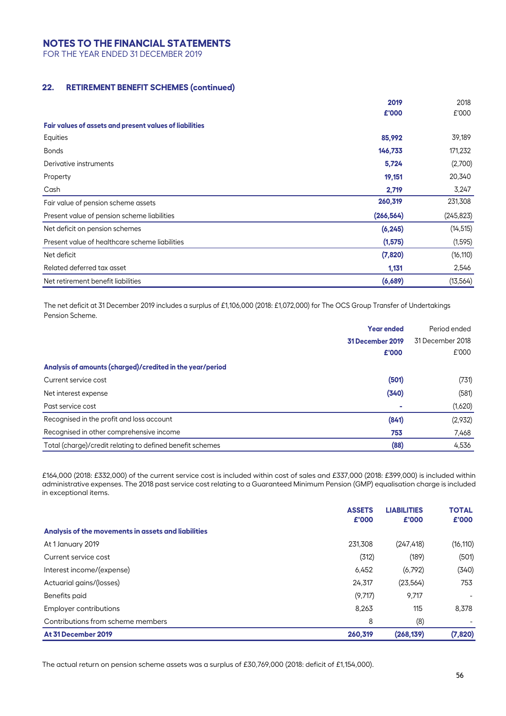FOR THE YEAR ENDED 31 DECEMBER 2019

# **22. RETIREMENT BENEFIT SCHEMES (continued)**

|                                                         | 2019       | 2018       |
|---------------------------------------------------------|------------|------------|
|                                                         | £'000      | £'000      |
| Fair values of assets and present values of liabilities |            |            |
| Equities                                                | 85,992     | 39,189     |
| <b>Bonds</b>                                            | 146,733    | 171,232    |
| Derivative instruments                                  | 5,724      | (2,700)    |
| Property                                                | 19,151     | 20,340     |
| Cash                                                    | 2,719      | 3,247      |
| Fair value of pension scheme assets                     | 260,319    | 231,308    |
| Present value of pension scheme liabilities             | (266, 564) | (245, 823) |
| Net deficit on pension schemes                          | (6, 245)   | (14, 515)  |
| Present value of healthcare scheme liabilities          | (1, 575)   | (1, 595)   |
| Net deficit                                             | (7,820)    | (16, 110)  |
| Related deferred tax asset                              | 1,131      | 2,546      |
| Net retirement benefit liabilities                      | (6,689)    | (13, 564)  |

The net deficit at 31 December 2019 includes a surplus of £1,106,000 (2018: £1,072,000) for The OCS Group Transfer of Undertakings Pension Scheme.

|                                                           | <b>Year ended</b> | Period ended     |
|-----------------------------------------------------------|-------------------|------------------|
|                                                           | 31 December 2019  | 31 December 2018 |
|                                                           | £'000             | £'000            |
| Analysis of amounts (charged)/credited in the year/period |                   |                  |
| Current service cost                                      | (501)             | (731)            |
| Net interest expense                                      | (340)             | (581)            |
| Past service cost                                         |                   | (1,620)          |
| Recognised in the profit and loss account                 | (841)             | (2,932)          |
| Recognised in other comprehensive income                  | 753               | 7,468            |
| Total (charge)/credit relating to defined benefit schemes | (88)              | 4,536            |

£164,000 (2018: £332,000) of the current service cost is included within cost of sales and £337,000 (2018: £399,000) is included within administrative expenses. The 2018 past service cost relating to a Guaranteed Minimum Pension (GMP) equalisation charge is included in exceptional items.

|                                                     | <b>ASSETS</b><br>£'000 | <b>LIABILITIES</b><br>£'000 | <b>TOTAL</b><br>£'000    |
|-----------------------------------------------------|------------------------|-----------------------------|--------------------------|
| Analysis of the movements in assets and liabilities |                        |                             |                          |
| At 1 January 2019                                   | 231.308                | (247, 418)                  | (16, 110)                |
| Current service cost                                | (312)                  | (189)                       | (501)                    |
| Interest income/(expense)                           | 6,452                  | (6,792)                     | (340)                    |
| Actuarial gains/(losses)                            | 24,317                 | (23, 564)                   | 753                      |
| Benefits paid                                       | (9,717)                | 9,717                       | ٠                        |
| <b>Employer contributions</b>                       | 8,263                  | 115                         | 8.378                    |
| Contributions from scheme members                   | 8                      | (8)                         | $\overline{\phantom{a}}$ |
| At 31 December 2019                                 | 260.319                | (268, 139)                  | (7,820)                  |

The actual return on pension scheme assets was a surplus of £30,769,000 (2018: deficit of £1,154,000).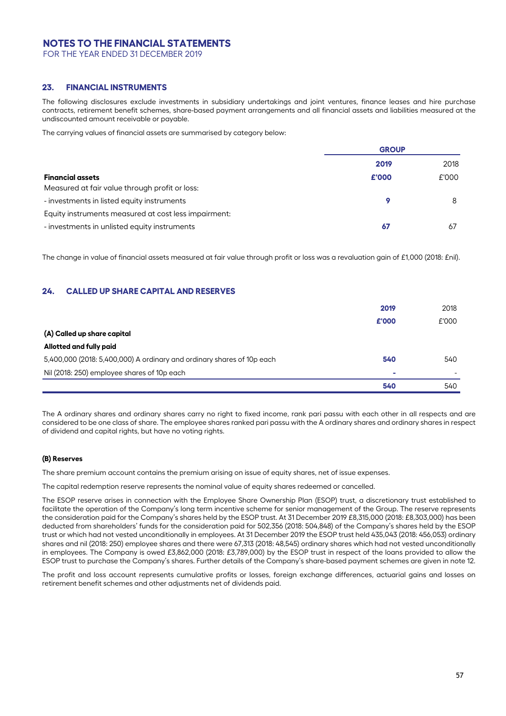FOR THE YEAR ENDED 31 DECEMBER 2019

### **23. FINANCIAL INSTRUMENTS**

The following disclosures exclude investments in subsidiary undertakings and joint ventures, finance leases and hire purchase contracts, retirement benefit schemes, share-based payment arrangements and all financial assets and liabilities measured at the undiscounted amount receivable or payable.

The carrying values of financial assets are summarised by category below:

|                                                      | <b>GROUP</b> |       |
|------------------------------------------------------|--------------|-------|
|                                                      | 2019         | 2018  |
| <b>Financial assets</b>                              | £'000        | £'000 |
| Measured at fair value through profit or loss:       |              |       |
| - investments in listed equity instruments           | 9            | 8     |
| Equity instruments measured at cost less impairment: |              |       |
| - investments in unlisted equity instruments         | -67          | -67   |

The change in value of financial assets measured at fair value through profit or loss was a revaluation gain of £1,000 (2018: £nil).

### **24. CALLED UP SHARE CAPITAL AND RESERVES**

|                                                                        | 2019  | 2018  |
|------------------------------------------------------------------------|-------|-------|
|                                                                        | £'000 | £'000 |
| (A) Called up share capital                                            |       |       |
| Allotted and fully paid                                                |       |       |
| 5,400,000 (2018: 5,400,000) A ordinary and ordinary shares of 10p each | 540   | 540   |
| Nil (2018: 250) employee shares of 10p each                            | ۰     |       |
|                                                                        | 540   | 540   |

The A ordinary shares and ordinary shares carry no right to fixed income, rank pari passu with each other in all respects and are considered to be one class of share. The employee shares ranked pari passu with the A ordinary shares and ordinary shares in respect of dividend and capital rights, but have no voting rights.

#### **(B) Reserves**

The share premium account contains the premium arising on issue of equity shares, net of issue expenses.

The capital redemption reserve represents the nominal value of equity shares redeemed or cancelled.

The ESOP reserve arises in connection with the Employee Share Ownership Plan (ESOP) trust, a discretionary trust established to facilitate the operation of the Company's long term incentive scheme for senior management of the Group. The reserve represents the consideration paid for the Company's shares held by the ESOP trust. At 31 December 2019 £8,315,000 (2018: £8,303,000) has been deducted from shareholders' funds for the consideration paid for 502,356 (2018: 504,848) of the Company's shares held by the ESOP trust or which had not vested unconditionally in employees. At 31 December 2019 the ESOP trust held 435,043 (2018: 456,053) ordinary shares and nil (2018: 250) employee shares and there were 67,313 (2018: 48,545) ordinary shares which had not vested unconditionally in employees. The Company is owed £3,862,000 (2018: £3,789,000) by the ESOP trust in respect of the loans provided to allow the ESOP trust to purchase the Company's shares. Further details of the Company's share-based payment schemes are given in note 12.

The profit and loss account represents cumulative profits or losses, foreign exchange differences, actuarial gains and losses on retirement benefit schemes and other adjustments net of dividends paid.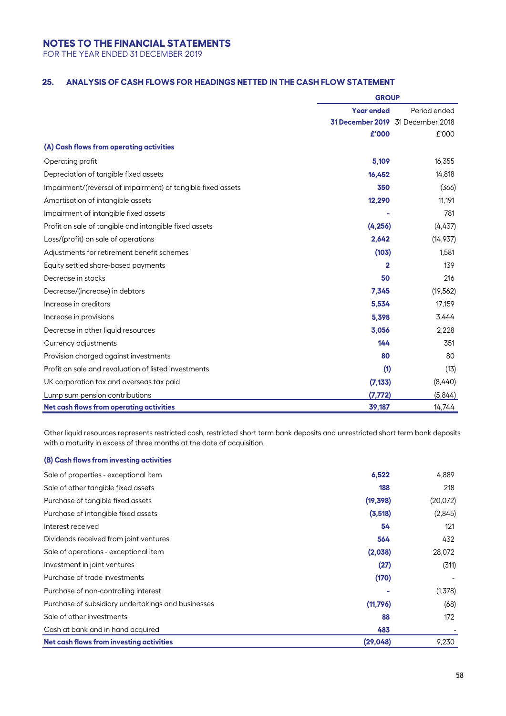FOR THE YEAR ENDED 31 DECEMBER 2019

## **25. ANALYSIS OF CASH FLOWS FOR HEADINGS NETTED IN THE CASH FLOW STATEMENT**

|                                                              | <b>GROUP</b>                      |                                   |  |
|--------------------------------------------------------------|-----------------------------------|-----------------------------------|--|
|                                                              | Period ended<br><b>Year ended</b> |                                   |  |
|                                                              |                                   | 31 December 2019 31 December 2018 |  |
|                                                              | £'000                             | £'000                             |  |
| (A) Cash flows from operating activities                     |                                   |                                   |  |
| Operating profit                                             | 5,109                             | 16,355                            |  |
| Depreciation of tangible fixed assets                        | 16,452                            | 14,818                            |  |
| Impairment/(reversal of impairment) of tangible fixed assets | 350                               | (366)                             |  |
| Amortisation of intangible assets                            | 12,290                            | 11,191                            |  |
| Impairment of intangible fixed assets                        |                                   | 781                               |  |
| Profit on sale of tangible and intangible fixed assets       | (4, 256)                          | (4,437)                           |  |
| Loss/(profit) on sale of operations                          | 2,642                             | (14, 937)                         |  |
| Adjustments for retirement benefit schemes                   | (103)                             | 1,581                             |  |
| Equity settled share-based payments                          | 2                                 | 139                               |  |
| Decrease in stocks                                           | 50                                | 216                               |  |
| Decrease/(increase) in debtors                               | 7,345                             | (19, 562)                         |  |
| Increase in creditors                                        | 5,534                             | 17,159                            |  |
| Increase in provisions                                       | 5,398                             | 3,444                             |  |
| Decrease in other liquid resources                           | 3,056                             | 2,228                             |  |
| Currency adjustments                                         | 144                               | 351                               |  |
| Provision charged against investments                        | 80                                | 80                                |  |
| Profit on sale and revaluation of listed investments         | (1)                               | (13)                              |  |
| UK corporation tax and overseas tax paid                     | (7, 133)                          | (8,440)                           |  |
| Lump sum pension contributions                               | (7, 772)                          | (5,844)                           |  |
| Net cash flows from operating activities                     | 39,187                            | 14,744                            |  |

Other liquid resources represents restricted cash, restricted short term bank deposits and unrestricted short term bank deposits with a maturity in excess of three months at the date of acquisition.

### **(B) Cash flows from investing activities**

| Sale of properties - exceptional item              | 6,522     | 4,889    |
|----------------------------------------------------|-----------|----------|
| Sale of other tangible fixed assets                | 188       | 218      |
| Purchase of tangible fixed assets                  | (19, 398) | (20,072) |
| Purchase of intangible fixed assets                | (3, 518)  | (2,845)  |
| Interest received                                  | 54        | 121      |
| Dividends received from joint ventures             | 564       | 432      |
| Sale of operations - exceptional item              | (2,038)   | 28,072   |
| Investment in joint ventures                       | (27)      | (311)    |
| Purchase of trade investments                      | (170)     |          |
| Purchase of non-controlling interest               |           | (1,378)  |
| Purchase of subsidiary undertakings and businesses | (11,796)  | (68)     |
| Sale of other investments                          | 88        | 172      |
| Cash at bank and in hand acquired                  | 483       |          |
| Net cash flows from investing activities           | (29, 048) | 9,230    |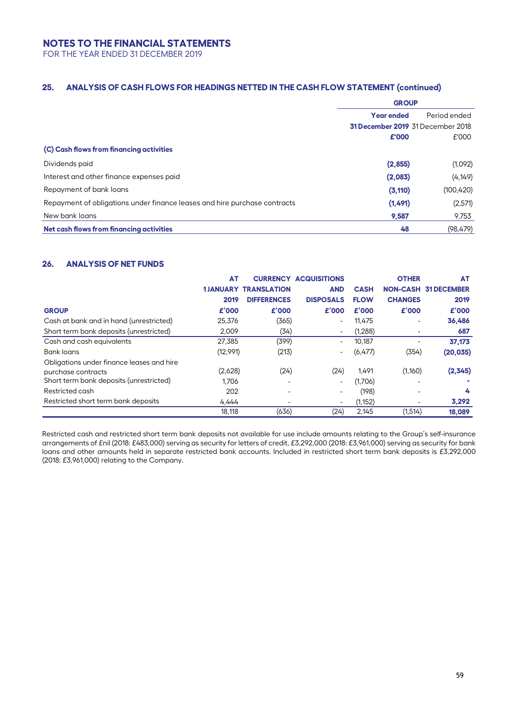FOR THE YEAR ENDED 31 DECEMBER 2019

## **25. ANALYSIS OF CASH FLOWS FOR HEADINGS NETTED IN THE CASH FLOW STATEMENT (continued)**

|                                                                           | <b>GROUP</b>                      |                                   |
|---------------------------------------------------------------------------|-----------------------------------|-----------------------------------|
|                                                                           | Period ended<br><b>Year ended</b> |                                   |
|                                                                           |                                   | 31 December 2019 31 December 2018 |
|                                                                           | £'000                             | £'000                             |
| (C) Cash flows from financing activities                                  |                                   |                                   |
| Dividends paid                                                            | (2,855)                           | (1,092)                           |
| Interest and other finance expenses paid                                  | (2,083)                           | (4, 149)                          |
| Repayment of bank loans                                                   | (3, 110)                          | (100, 420)                        |
| Repayment of obligations under finance leases and hire purchase contracts | (1, 491)                          | (2,571)                           |
| New bank loans                                                            | 9.587                             | 9,753                             |
| Net cash flows from financing activities                                  | 48                                | (98, 479)                         |

## **26. ANALYSIS OF NET FUNDS**

|                                           | AT       |                             | <b>CURRENCY ACQUISITIONS</b> |             | <b>OTHER</b>   | AT                          |
|-------------------------------------------|----------|-----------------------------|------------------------------|-------------|----------------|-----------------------------|
|                                           |          | <b>1JANUARY TRANSLATION</b> | <b>AND</b>                   | <b>CASH</b> |                | <b>NON-CASH 31 DECEMBER</b> |
|                                           | 2019     | <b>DIFFERENCES</b>          | <b>DISPOSALS</b>             | <b>FLOW</b> | <b>CHANGES</b> | 2019                        |
| <b>GROUP</b>                              | £'000    | £'000                       | £'000                        | £'000       | £'000          | £'000                       |
| Cash at bank and in hand (unrestricted)   | 25,376   | (365)                       | -                            | 11.475      | ٠              | 36,486                      |
| Short term bank deposits (unrestricted)   | 2.009    | (34)                        |                              | (1,288)     |                | 687                         |
| Cash and cash equivalents                 | 27,385   | (399)                       | ۰.                           | 10.187      |                | 37,173                      |
| Bank loans                                | (12,991) | (213)                       |                              | (6,477)     | (354)          | (20, 035)                   |
| Obligations under finance leases and hire |          |                             |                              |             |                |                             |
| purchase contracts                        | (2,628)  | (24)                        | (24)                         | 1.491       | (1,160)        | (2,345)                     |
| Short term bank deposits (unrestricted)   | 1.706    |                             | ۰                            | (1,706)     |                |                             |
| Restricted cash                           | 202      |                             |                              | (198)       |                | 4                           |
| Restricted short term bank deposits       | 4.444    |                             | ۰                            | (1, 152)    |                | 3,292                       |
|                                           | 18,118   | (636)                       | (24)                         | 2,145       | (1,514)        | 18,089                      |

Restricted cash and restricted short term bank deposits not available for use include amounts relating to the Group's self-insurance arrangements of £nil (2018: £483,000) serving as security for letters of credit, £3,292,000 (2018: £3,961,000) serving as security for bank loans and other amounts held in separate restricted bank accounts. Included in restricted short term bank deposits is £3,292,000 (2018: £3,961,000) relating to the Company.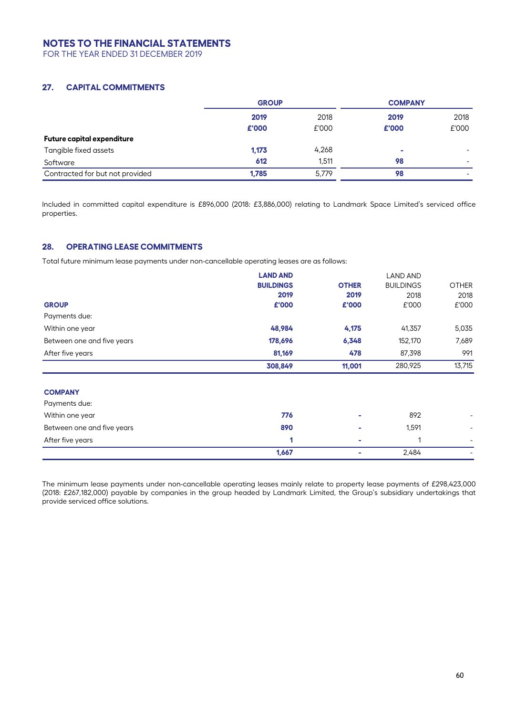FOR THE YEAR ENDED 31 DECEMBER 2019

### **27. CAPITAL COMMITMENTS**

|                                   | <b>GROUP</b> |       | <b>COMPANY</b> |       |
|-----------------------------------|--------------|-------|----------------|-------|
|                                   | 2019         | 2018  | 2019           | 2018  |
|                                   | £'000        | £'000 | £'000          | £'000 |
| <b>Future capital expenditure</b> |              |       |                |       |
| Tangible fixed assets             | 1,173        | 4,268 | ۰              |       |
| Software                          | 612          | 1.511 | 98             | ۰     |
| Contracted for but not provided   | 1,785        | 5,779 | 98             |       |

Included in committed capital expenditure is £896,000 (2018: £3,886,000) relating to Landmark Space Limited's serviced office properties.

## **28. OPERATING LEASE COMMITMENTS**

Total future minimum lease payments under non-cancellable operating leases are as follows:

|                            | <b>LAND AND</b>  |              | LAND AND         |                          |
|----------------------------|------------------|--------------|------------------|--------------------------|
|                            | <b>BUILDINGS</b> | <b>OTHER</b> | <b>BUILDINGS</b> | <b>OTHER</b>             |
|                            | 2019             | 2019         | 2018             | 2018                     |
| <b>GROUP</b>               | £'000            | £'000        | £'000            | £'000                    |
| Payments due:              |                  |              |                  |                          |
| Within one year            | 48,984           | 4,175        | 41,357           | 5,035                    |
| Between one and five years | 178,696          | 6,348        | 152,170          | 7,689                    |
| After five years           | 81,169           | 478          | 87,398           | 991                      |
|                            | 308,849          | 11,001       | 280,925          | 13,715                   |
| <b>COMPANY</b>             |                  |              |                  |                          |
| Payments due:              |                  |              |                  |                          |
| Within one year            | 776              |              | 892              |                          |
| Between one and five years | 890              |              | 1,591            | ۰                        |
| After five years           | 1                |              |                  | ۰.                       |
|                            | 1,667            |              | 2,484            | $\overline{\phantom{0}}$ |

The minimum lease payments under non-cancellable operating leases mainly relate to property lease payments of £298,423,000 (2018: £267,182,000) payable by companies in the group headed by Landmark Limited, the Group's subsidiary undertakings that provide serviced office solutions.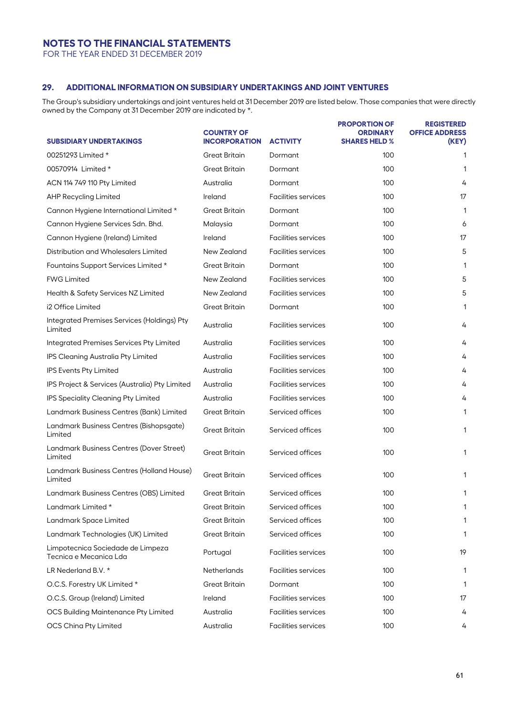FOR THE YEAR ENDED 31 DECEMBER 2019

## **29. ADDITIONAL INFORMATION ON SUBSIDIARY UNDERTAKINGS AND JOINT VENTURES**

The Group's subsidiary undertakings and joint ventures held at 31 December 2019 are listed below. Those companies that were directly owned by the Company at 31 December 2019 are indicated by \*.

| <b>SUBSIDIARY UNDERTAKINGS</b>                              | <b>COUNTRY OF</b><br><b>INCORPORATION</b> | <b>ACTIVITY</b>            | <b>PROPORTION OF</b><br><b>ORDINARY</b><br><b>SHARES HELD %</b> | <b>REGISTERED</b><br><b>OFFICE ADDRESS</b><br>(KEY) |
|-------------------------------------------------------------|-------------------------------------------|----------------------------|-----------------------------------------------------------------|-----------------------------------------------------|
| 00251293 Limited *                                          | <b>Great Britain</b>                      | Dormant                    | 100                                                             | 1                                                   |
| 00570914 Limited *                                          | <b>Great Britain</b>                      | Dormant                    | 100                                                             | 1                                                   |
| ACN 114 749 110 Pty Limited                                 | Australia                                 | Dormant                    | 100                                                             | 4                                                   |
| <b>AHP Recycling Limited</b>                                | Ireland                                   | <b>Facilities services</b> | 100                                                             | 17                                                  |
| Cannon Hygiene International Limited *                      | <b>Great Britain</b>                      | Dormant                    | 100                                                             | 1                                                   |
| Cannon Hygiene Services Sdn. Bhd.                           | Malaysia                                  | Dormant                    | 100                                                             | 6                                                   |
| Cannon Hygiene (Ireland) Limited                            | Ireland                                   | <b>Facilities services</b> | 100                                                             | 17                                                  |
| Distribution and Wholesalers Limited                        | New Zealand                               | <b>Facilities services</b> | 100                                                             | 5                                                   |
| Fountains Support Services Limited *                        | <b>Great Britain</b>                      | Dormant                    | 100                                                             | 1                                                   |
| <b>FWG Limited</b>                                          | New Zealand                               | <b>Facilities services</b> | 100                                                             | 5                                                   |
| Health & Safety Services NZ Limited                         | New Zealand                               | <b>Facilities services</b> | 100                                                             | 5                                                   |
| i2 Office Limited                                           | <b>Great Britain</b>                      | Dormant                    | 100                                                             | 1                                                   |
| Integrated Premises Services (Holdings) Pty<br>Limited      | Australia                                 | <b>Facilities services</b> | 100                                                             | 4                                                   |
| Integrated Premises Services Pty Limited                    | Australia                                 | Facilities services        | 100                                                             | 4                                                   |
| IPS Cleaning Australia Pty Limited                          | Australia                                 | <b>Facilities services</b> | 100                                                             | 4                                                   |
| <b>IPS Events Pty Limited</b>                               | Australia                                 | <b>Facilities services</b> | 100                                                             | 4                                                   |
| IPS Project & Services (Australia) Pty Limited              | Australia                                 | <b>Facilities services</b> | 100                                                             | 4                                                   |
| IPS Speciality Cleaning Pty Limited                         | Australia                                 | <b>Facilities services</b> | 100                                                             | 4                                                   |
| Landmark Business Centres (Bank) Limited                    | <b>Great Britain</b>                      | Serviced offices           | 100                                                             | 1                                                   |
| Landmark Business Centres (Bishopsgate)<br>Limited          | <b>Great Britain</b>                      | Serviced offices           | 100                                                             | 1                                                   |
| Landmark Business Centres (Dover Street)<br>Limited         | <b>Great Britain</b>                      | Serviced offices           | 100                                                             | 1                                                   |
| Landmark Business Centres (Holland House)<br>Limited        | <b>Great Britain</b>                      | Serviced offices           | 100                                                             | 1                                                   |
| Landmark Business Centres (OBS) Limited                     | <b>Great Britain</b>                      | Serviced offices           | 100                                                             | 1                                                   |
| Landmark Limited *                                          | Great Britain                             | Serviced offices           | 100                                                             | 1                                                   |
| Landmark Space Limited                                      | <b>Great Britain</b>                      | Serviced offices           | 100                                                             | 1                                                   |
| Landmark Technologies (UK) Limited                          | <b>Great Britain</b>                      | Serviced offices           | 100                                                             | 1                                                   |
| Limpotecnica Sociedade de Limpeza<br>Tecnica e Mecanica Lda | Portugal                                  | <b>Facilities services</b> | 100                                                             | 19                                                  |
| LR Nederland B.V. *                                         | <b>Netherlands</b>                        | <b>Facilities services</b> | 100                                                             | 1                                                   |
| O.C.S. Forestry UK Limited *                                | <b>Great Britain</b>                      | Dormant                    | 100                                                             | $\mathbf{1}$                                        |
| O.C.S. Group (Ireland) Limited                              | Ireland                                   | <b>Facilities services</b> | 100                                                             | 17                                                  |
| <b>OCS Building Maintenance Pty Limited</b>                 | Australia                                 | <b>Facilities services</b> | 100                                                             | 4                                                   |
| <b>OCS China Pty Limited</b>                                | Australia                                 | Facilities services        | 100                                                             | 4                                                   |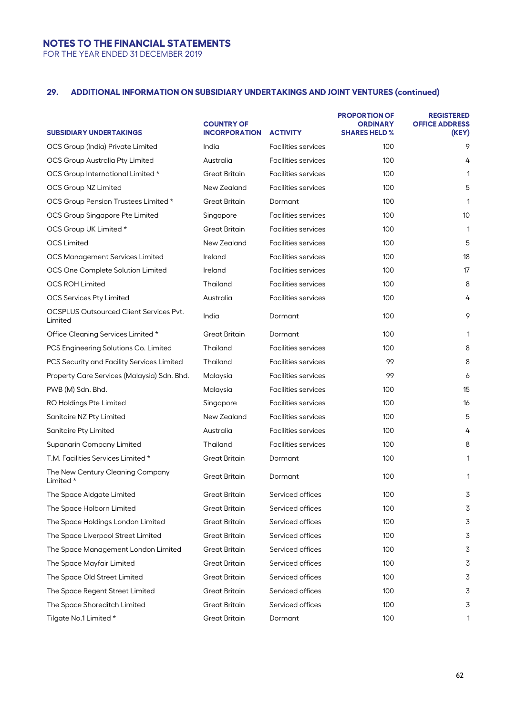FOR THE YEAR ENDED 31 DECEMBER 2019

# **29. ADDITIONAL INFORMATION ON SUBSIDIARY UNDERTAKINGS AND JOINT VENTURES (continued)**

| <b>SUBSIDIARY UNDERTAKINGS</b>                            | <b>COUNTRY OF</b><br><b>INCORPORATION</b> | <b>ACTIVITY</b>            | <b>PROPORTION OF</b><br>ORDINARY<br><b>SHARES HELD %</b> | <b>REGISTERED</b><br><b>OFFICE ADDRESS</b><br>(KEY) |
|-----------------------------------------------------------|-------------------------------------------|----------------------------|----------------------------------------------------------|-----------------------------------------------------|
| OCS Group (India) Private Limited                         | India                                     | <b>Facilities services</b> | 100                                                      | 9                                                   |
| OCS Group Australia Pty Limited                           | Australia                                 | <b>Facilities services</b> | 100                                                      | 4                                                   |
| OCS Group International Limited *                         | Great Britain                             | <b>Facilities services</b> | 100                                                      | 1                                                   |
| <b>OCS Group NZ Limited</b>                               | New Zealand                               | <b>Facilities services</b> | 100                                                      | 5                                                   |
| OCS Group Pension Trustees Limited *                      | <b>Great Britain</b>                      | Dormant                    | 100                                                      | 1                                                   |
| OCS Group Singapore Pte Limited                           | Singapore                                 | <b>Facilities services</b> | 100                                                      | 10                                                  |
| OCS Group UK Limited *                                    | Great Britain                             | <b>Facilities services</b> | 100                                                      | 1                                                   |
| <b>OCS Limited</b>                                        | New Zealand                               | <b>Facilities services</b> | 100                                                      | 5                                                   |
| <b>OCS Management Services Limited</b>                    | Ireland                                   | <b>Facilities services</b> | 100                                                      | 18                                                  |
| OCS One Complete Solution Limited                         | Ireland                                   | <b>Facilities services</b> | 100                                                      | 17                                                  |
| <b>OCS ROH Limited</b>                                    | Thailand                                  | <b>Facilities services</b> | 100                                                      | 8                                                   |
| <b>OCS Services Pty Limited</b>                           | Australia                                 | <b>Facilities services</b> | 100                                                      | 4                                                   |
| <b>OCSPLUS Outsourced Client Services Pvt.</b><br>Limited | India                                     | Dormant                    | 100                                                      | 9                                                   |
| Office Cleaning Services Limited *                        | <b>Great Britain</b>                      | Dormant                    | 100                                                      | 1                                                   |
| PCS Engineering Solutions Co. Limited                     | Thailand                                  | <b>Facilities services</b> | 100                                                      | 8                                                   |
| PCS Security and Facility Services Limited                | Thailand                                  | <b>Facilities services</b> | 99                                                       | 8                                                   |
| Property Care Services (Malaysia) Sdn. Bhd.               | Malaysia                                  | <b>Facilities services</b> | 99                                                       | 6                                                   |
| PWB (M) Sdn. Bhd.                                         | Malaysia                                  | <b>Facilities services</b> | 100                                                      | 15                                                  |
| RO Holdings Pte Limited                                   | Singapore                                 | <b>Facilities services</b> | 100                                                      | 16                                                  |
| Sanitaire NZ Pty Limited                                  | New Zealand                               | <b>Facilities services</b> | 100                                                      | 5                                                   |
| Sanitaire Pty Limited                                     | Australia                                 | <b>Facilities services</b> | 100                                                      | 4                                                   |
| Supanarin Company Limited                                 | Thailand                                  | <b>Facilities services</b> | 100                                                      | 8                                                   |
| T.M. Facilities Services Limited *                        | <b>Great Britain</b>                      | Dormant                    | 100                                                      | 1                                                   |
| The New Century Cleaning Company<br>Limited *             | <b>Great Britain</b>                      | Dormant                    | 100                                                      | 1                                                   |
| The Space Aldgate Limited                                 | <b>Great Britain</b>                      | Serviced offices           | 100                                                      | 3                                                   |
| The Space Holborn Limited                                 | Great Britain                             | Serviced offices           | 100                                                      | 3                                                   |
| The Space Holdings London Limited                         | Great Britain                             | Serviced offices           | 100                                                      | 3                                                   |
| The Space Liverpool Street Limited                        | <b>Great Britain</b>                      | Serviced offices           | 100                                                      | 3                                                   |
| The Space Management London Limited                       | Great Britain                             | Serviced offices           | 100                                                      | 3                                                   |
| The Space Mayfair Limited                                 | <b>Great Britain</b>                      | Serviced offices           | 100                                                      | 3                                                   |
| The Space Old Street Limited                              | <b>Great Britain</b>                      | Serviced offices           | 100                                                      | 3                                                   |
| The Space Regent Street Limited                           | Great Britain                             | Serviced offices           | 100                                                      | 3                                                   |
| The Space Shoreditch Limited                              | <b>Great Britain</b>                      | Serviced offices           | 100                                                      | 3                                                   |
| Tilgate No.1 Limited *                                    | <b>Great Britain</b>                      | Dormant                    | 100                                                      | 1                                                   |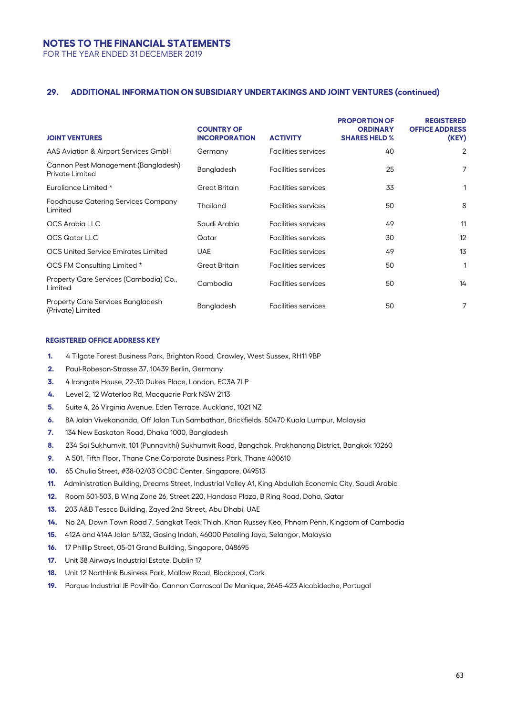FOR THE YEAR ENDED 31 DECEMBER 2019

### **29. ADDITIONAL INFORMATION ON SUBSIDIARY UNDERTAKINGS AND JOINT VENTURES (continued)**

| <b>JOINT VENTURES</b>                                         | <b>COUNTRY OF</b><br><b>INCORPORATION</b> | <b>ACTIVITY</b>            | <b>PROPORTION OF</b><br><b>ORDINARY</b><br><b>SHARES HELD %</b> | <b>REGISTERED</b><br><b>OFFICE ADDRESS</b><br>(KEY) |
|---------------------------------------------------------------|-------------------------------------------|----------------------------|-----------------------------------------------------------------|-----------------------------------------------------|
| AAS Aviation & Airport Services GmbH                          | Germany                                   | <b>Facilities services</b> | 40                                                              | $\overline{2}$                                      |
| Cannon Pest Management (Bangladesh)<br><b>Private Limited</b> | Bangladesh                                | <b>Facilities services</b> | 25                                                              | 7                                                   |
| Euroliance Limited *                                          | <b>Great Britain</b>                      | <b>Facilities services</b> | 33                                                              |                                                     |
| Foodhouse Catering Services Company<br>Limited                | Thailand                                  | <b>Facilities services</b> | 50                                                              | 8                                                   |
| OCS Arabia LLC                                                | Saudi Arabia                              | <b>Facilities services</b> | 49                                                              | 11                                                  |
| OCS Qatar LLC                                                 | Qatar                                     | <b>Facilities services</b> | 30                                                              | 12                                                  |
| OCS United Service Emirates Limited                           | <b>UAE</b>                                | <b>Facilities services</b> | 49                                                              | 13                                                  |
| OCS FM Consulting Limited *                                   | <b>Great Britain</b>                      | <b>Facilities services</b> | 50                                                              |                                                     |
| Property Care Services (Cambodia) Co.,<br>Limited             | Cambodia                                  | <b>Facilities services</b> | 50                                                              | 14                                                  |
| <b>Property Care Services Bangladesh</b><br>(Private) Limited | Bangladesh                                | <b>Facilities services</b> | 50                                                              | 7                                                   |

#### **REGISTERED OFFICE ADDRESS KEY**

- **1.** 4 Tilgate Forest Business Park, Brighton Road, Crawley, West Sussex, RH11 9BP
- **2.** Paul-Robeson-Strasse 37, 10439 Berlin, Germany
- **3.** 4 Irongate House, 22-30 Dukes Place, London, EC3A 7LP
- **4.** Level 2, 12 Waterloo Rd, Macquarie Park NSW 2113
- **5.** Suite 4, 26 Virginia Avenue, Eden Terrace, Auckland, 1021 NZ
- **6.** 8A Jalan Vivekananda, Off Jalan Tun Sambathan, Brickfields, 50470 Kuala Lumpur, Malaysia
- **7.** 134 New Easkaton Road, Dhaka 1000, Bangladesh
- **8.** 234 Soi Sukhumvit, 101 (Punnavithi) Sukhumvit Road, Bangchak, Prakhanong District, Bangkok 10260
- **9.** A 501, Fifth Floor, Thane One Corporate Business Park, Thane 400610
- **10.** 65 Chulia Street, #38-02/03 OCBC Center, Singapore, 049513
- **11.** Administration Building, Dreams Street, Industrial Valley A1, King Abdullah Economic City, Saudi Arabia
- **12.** Room 501-503, B Wing Zone 26, Street 220, Handasa Plaza, B Ring Road, Doha, Qatar
- **13.** 203 A&B Tessco Building, Zayed 2nd Street, Abu Dhabi, UAE
- **14.** No 2A, Down Town Road 7, Sangkat Teok Thlah, Khan Russey Keo, Phnom Penh, Kingdom of Cambodia
- **15.** 412A and 414A Jalan 5/132, Gasing Indah, 46000 Petaling Jaya, Selangor, Malaysia
- **16.** 17 Phillip Street, 05-01 Grand Building, Singapore, 048695
- **17.** Unit 38 Airways Industrial Estate, Dublin 17
- **18.** Unit 12 Northlink Business Park, Mallow Road, Blackpool, Cork
- **19.** Parque Industrial JE Pavilhão, Cannon Carrascal De Manique, 2645-423 Alcabideche, Portugal